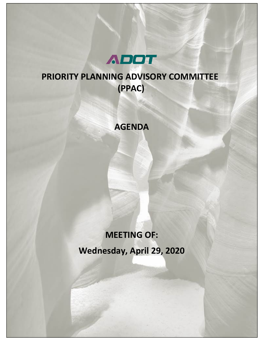

# **PRIORITY PLANNING ADVISORY COMMITTEE (PPAC)**

# **AGENDA**

# **MEETING OF: Wednesday, April 29, 2020**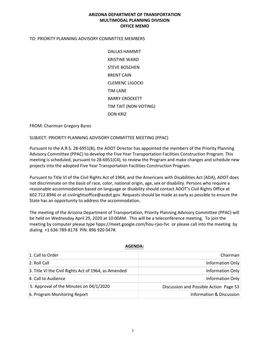# **ARIZONA DEPARTMENT OF TRANSPORTATION MULTIMODAL PLANNING DIVISION OFFICE MEMO**

# TO: PRIORITY PLANNING ADVISORY COMMITTEE MEMBERS

DALLAS HAMMIT KRISTINE WARD STEVE BOSCHEN BRENT CAIN CLEMENC LIGOCKI TIM LANE BARRY CROCKETT TIM TAIT (NON-VOTING) DON KRIZ

FROM: Chariman Gregory Byres

SUBJECT: PRIORITY PLANNING ADVISORY COMMITTEE MEETING (PPAC)

Pursuant to the A.R.S. 28-6951(B), the ADOT Director has appointed the members of the Priority Planning Advisory Committee (PPAC) to develop the Five Year Transportation Facilities Construction Program. This meeting is scheduled, pursuant to 28-6951(C4), to review the Program and make changes and schedule new projects into the adopted Five Year Transportation Facilities Construction Program.

Pursuant to Title VI of the Civil Rights Act of 1964, and the Americans with Disabilities Act (ADA), ADOT does not discriminate on the basis of race, color, national origin, age, sex or disability. Persons who require a reasonable accommodation based on language or disability should contact ADOT's Civil Rights Office at 602.712.8946 or at civilrightsoffice@azdot.gov. Requests should be made as early as possible to ensure the State has an opportunity to address the accommodation.

The meeting of the Arizona Department of Transportation, Priority Planning Advisory Committee (PPAC) will be held on Wednesday April 29, 2020 at 10:00AM. This will be a teleconference meeting. To join the meeting by computer please type hpps://meet.google.com/hou-rjxo-fvc or please call into the meeting by dialing +1 636-789-8178 PIN: 896 920 047#.

| 1. Call to Order                                     | Chairman                               |
|------------------------------------------------------|----------------------------------------|
| 2. Roll Call                                         | Information Only                       |
| 3. Title VI the Civil Rights Act of 1964, as Amended | Information Only                       |
| 4. Call to Audience                                  | Information Only                       |
| 5. Approval of the Minutes on 04/1/2020              | Discussion and Possible Action Page 53 |
| 6. Program Monitoring Report                         | Information & Discussion               |

#### **AGENDA:**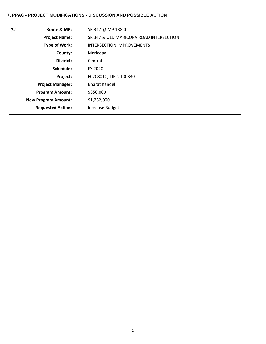# **7. PPAC - PROJECT MODIFICATIONS - DISCUSSION AND POSSIBLE ACTION**

| 7-1 | Route & MP:                | SR 347 @ MP 188.0                       |
|-----|----------------------------|-----------------------------------------|
|     | <b>Project Name:</b>       | SR 347 & OLD MARICOPA ROAD INTERSECTION |
|     | Type of Work:              | <b>INTERSECTION IMPROVEMENTS</b>        |
|     | County:                    | Maricopa                                |
|     | District:                  | Central                                 |
|     | Schedule:                  | FY 2020                                 |
|     | Project:                   | F020801C, TIP#: 100330                  |
|     | <b>Project Manager:</b>    | <b>Bharat Kandel</b>                    |
|     | <b>Program Amount:</b>     | \$350,000                               |
|     | <b>New Program Amount:</b> | \$1,232,000                             |
|     | <b>Requested Action:</b>   | Increase Budget                         |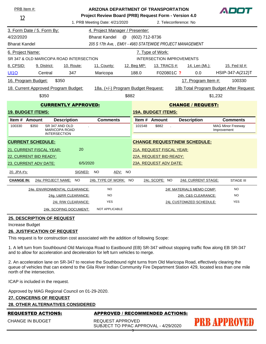| PRB Item #:              | <b>ARIZONA DEPARTMENT OF TRANSPORTATION</b><br>Project Review Board (PRB) Request Form - Version 4.0 |                                                         |                                                            |                |                                                   |                                     | ADOT                                    |
|--------------------------|------------------------------------------------------------------------------------------------------|---------------------------------------------------------|------------------------------------------------------------|----------------|---------------------------------------------------|-------------------------------------|-----------------------------------------|
| 12                       |                                                                                                      | 1. PRB Meeting Date: 4/21/2020<br>2. Teleconference: No |                                                            |                |                                                   |                                     |                                         |
|                          | 3. Form Date / 5. Form By:                                                                           |                                                         | 4. Project Manager / Presenter:                            |                |                                                   |                                     |                                         |
| 4/22/2020                |                                                                                                      |                                                         | @<br><b>Bharat Kandel</b>                                  | (602) 712-8736 |                                                   |                                     |                                         |
| <b>Bharat Kandel</b>     |                                                                                                      |                                                         | 205 S 17th Ave, , EM01 - 4983 STATEWIDE PROJECT MANAGEMENT |                |                                                   |                                     |                                         |
| 6. Project Name:         |                                                                                                      |                                                         |                                                            |                | 7. Type of Work:                                  |                                     |                                         |
|                          | SR 347 & OLD MARICOPA ROAD INTERSECTION                                                              |                                                         |                                                            |                | <b>INTERSECTION IMPROVEMENTS</b>                  |                                     |                                         |
| 8. CPSID:                | 9. District:                                                                                         | <b>10. Route:</b>                                       | 11. County:                                                | 12. Beg MP:    | 13. TRACS #:                                      | 14. Len (Mi.):                      | 15. Fed Id #:                           |
| <b>UI10</b>              | Central                                                                                              | 347                                                     | Maricopa                                                   | 188.0          | F020801C ?                                        | 0.0                                 | HSIP-347-A(212)T                        |
| 16. Program Budget:      |                                                                                                      | \$350                                                   |                                                            |                |                                                   | 17. Program Item #:                 | 100330                                  |
|                          | 18. Current Approved Program Budget:                                                                 |                                                         | 18a. (+/-) Program Budget Request:                         |                |                                                   |                                     | 18b Total Program Budget After Request: |
|                          | \$350                                                                                                |                                                         | \$882                                                      |                |                                                   |                                     | \$1,232                                 |
|                          |                                                                                                      | <b>CURRENTLY APPROVED:</b>                              |                                                            |                |                                                   | <b>CHANGE / REQUEST:</b>            |                                         |
| <b>19. BUDGET ITEMS:</b> |                                                                                                      |                                                         |                                                            |                | <b>19A. BUDGET ITEMS:</b>                         |                                     |                                         |
| Item # Amount            |                                                                                                      | <b>Description</b>                                      | <b>Comments</b>                                            | Item # Amount  |                                                   | <b>Description</b>                  | <b>Comments</b>                         |
| 100330                   | SR 347 AND OLD<br>\$350                                                                              | <b>MARICOPA ROAD</b>                                    |                                                            | 101548         | \$882                                             |                                     | <b>MAG Minor Freeway</b><br>Improvement |
|                          | <b>INTERSECTION</b>                                                                                  |                                                         |                                                            |                |                                                   |                                     |                                         |
|                          |                                                                                                      |                                                         |                                                            |                |                                                   |                                     |                                         |
|                          | <b>CURRENT SCHEDULE:</b>                                                                             |                                                         |                                                            |                |                                                   | <b>CHANGE REQUEST\NEW SCHEDULE:</b> |                                         |
|                          | 21. CURRENT FISCAL YEAR:                                                                             | 20                                                      |                                                            |                | 21A. REQUEST FISCAL YEAR:                         |                                     |                                         |
|                          | 22. CURRENT BID READY:                                                                               | 6/5/2020                                                |                                                            |                | 22A. REQUEST BID READY:<br>23A. REQUEST ADV DATE: |                                     |                                         |
| 20. JPA #'s:             | 23. CURRENT ADV DATE:                                                                                | SIGNED:                                                 | <b>NO</b><br>ADV:<br><b>NO</b>                             |                |                                                   |                                     |                                         |
| <b>CHANGE IN:</b>        | 24a: PROJECT NAME:                                                                                   | <b>NO</b>                                               | 24b. TYPE OF WORK: NO                                      |                | 24c. SCOPE: NO                                    | 24d. CURRENT STAGE:                 | <b>STAGE III</b>                        |
|                          | 24e. ENVIRONMENTAL CLEARANCE:                                                                        |                                                         | <b>NO</b>                                                  |                |                                                   | 24f. MATERIALS MEMO COMP:           | <b>NO</b>                               |
|                          |                                                                                                      | 24g. U&RR CLEARANCE:                                    | <b>NO</b>                                                  |                |                                                   | 24h. C&S CLEARANCE:                 | <b>NO</b>                               |
|                          |                                                                                                      | 24i. R/W CLEARANCE:                                     | <b>YES</b>                                                 |                |                                                   | 24j. CUSTOMIZED SCHEDULE:           | <b>YES</b>                              |

#### Increase Budget

#### **26. JUSTIFICATION OF REQUEST**

This request is for construction cost associated with the addition of following Scope:

1. A left turn from Southbound Old Maricopa Road to Eastbound (EB) SR-347 without stopping traffic flow along EB SR-347 and to allow for acceleration and deceleration for left turn vehicles to merge.

2. An acceleration lane on SR-347 to receive the Southbound right turns from Old Maricopa Road, effectively clearing the queue of vehicles that can extend to the Gila River Indian Community Fire Department Station 429, located less than one mile north of the intersection.

ICAP is included in the request.

Approved by MAG Regional Council on 01-29-2020.

# **27. CONCERNS OF REQUEST**

# **28. OTHER ALTERNATIVES CONSIDERED**

CHANGE IN BUDGET

### REQUESTED ACTIONS: APPROVED / RECOMMENDED ACTIONS:

REQUEST APPROVED SUBJECT TO PPAC APPROVAL - 4/29/2020

# **PRB APPROVED**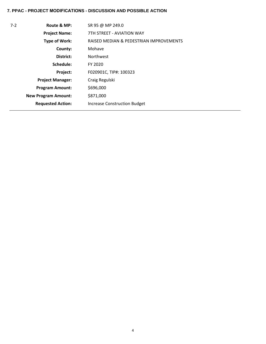# **7. PPAC - PROJECT MODIFICATIONS - DISCUSSION AND POSSIBLE ACTION**

| $7-2$ | Route & MP:                | SR 95 @ MP 249.0                        |
|-------|----------------------------|-----------------------------------------|
|       | <b>Project Name:</b>       | 7TH STRFFT - AVIATION WAY               |
|       | Type of Work:              | RAISED MEDIAN & PEDESTRIAN IMPROVEMENTS |
|       | County:                    | Mohave                                  |
|       | District:                  | <b>Northwest</b>                        |
|       | Schedule:                  | FY 2020                                 |
|       | Project:                   | F020901C, TIP#: 100323                  |
|       | <b>Project Manager:</b>    | Craig Regulski                          |
|       | <b>Program Amount:</b>     | \$696,000                               |
|       | <b>New Program Amount:</b> | \$871,000                               |
|       | <b>Requested Action:</b>   | <b>Increase Construction Budget</b>     |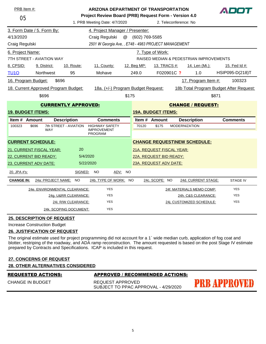| PRB Item #:              |                            |                                      | <b>ARIZONA DEPARTMENT OF TRANSPORTATION</b>           |       |                |                           |                       |                                         |       | ADDI            |
|--------------------------|----------------------------|--------------------------------------|-------------------------------------------------------|-------|----------------|---------------------------|-----------------------|-----------------------------------------|-------|-----------------|
| 05                       |                            |                                      | Project Review Board (PRB) Request Form - Version 4.0 |       |                |                           |                       |                                         |       |                 |
|                          |                            |                                      | 1. PRB Meeting Date: 4/7/2020                         |       |                |                           | 2. Teleconference: No |                                         |       |                 |
|                          | 3. Form Date / 5. Form By: |                                      | 4. Project Manager / Presenter:                       |       |                |                           |                       |                                         |       |                 |
| 4/13/2020                |                            |                                      | Craig Regulski<br>$^\copyright$                       |       | (602) 769-5585 |                           |                       |                                         |       |                 |
| Craig Regulski           |                            |                                      | 2501 W Georgia Ave, , E748 - 4983 PROJECT MANAGEMENT  |       |                |                           |                       |                                         |       |                 |
| 6. Project Name:         |                            |                                      |                                                       |       |                | 7. Type of Work:          |                       |                                         |       |                 |
|                          | 7TH STREET - AVIATION WAY  |                                      |                                                       |       |                |                           |                       | RAISED MEDIAN & PEDESTRIAN IMPROVEMENTS |       |                 |
| 8. CPSID:                | 9. District:               | <b>10. Route:</b>                    | 11. County:                                           |       | 12. Beg MP:    | 13. TRACS #:              |                       | <u>14. Len (Mi.):</u>                   |       | 15. Fed Id #:   |
| <b>TU10</b>              | <b>Northwest</b>           | 95                                   | Mohave                                                |       | 249.0          | F020901C ?                |                       | 1.0                                     |       | HSIP095-D(218)T |
| 16. Program Budget:      |                            | \$696                                |                                                       |       |                |                           |                       | 17. Program Item #:                     |       | 100323          |
|                          |                            | 18. Current Approved Program Budget: | 18a. (+/-) Program Budget Request:                    |       |                |                           |                       | 18b Total Program Budget After Request: |       |                 |
|                          | \$696                      |                                      |                                                       | \$175 |                |                           |                       |                                         | \$871 |                 |
|                          |                            | <b>CURRENTLY APPROVED:</b>           |                                                       |       |                |                           |                       | <b>CHANGE / REQUEST:</b>                |       |                 |
| <b>19. BUDGET ITEMS:</b> |                            |                                      |                                                       |       |                | <b>19A. BUDGET ITEMS:</b> |                       |                                         |       |                 |
| Item # Amount            |                            | <b>Description</b>                   | <b>Comments</b>                                       |       |                | Item # Amount             |                       | <b>Description</b>                      |       | <b>Comments</b> |
| 100323                   | \$696<br><b>WAY</b>        | 7th STREET - AVIATION                | <b>HIGHWAY SAFETY</b><br><b>IMPROVEMENT</b>           |       | 70120          | \$175                     | <b>MODERNIZATION</b>  |                                         |       |                 |
|                          |                            |                                      | <b>PROGRAM</b>                                        |       |                |                           |                       |                                         |       |                 |
|                          | <b>CURRENT SCHEDULE:</b>   |                                      |                                                       |       |                |                           |                       | <b>CHANGE REQUEST\NEW SCHEDULE:</b>     |       |                 |
|                          | 21. CURRENT FISCAL YEAR:   | 20                                   |                                                       |       |                | 21A. REQUEST FISCAL YEAR: |                       |                                         |       |                 |
|                          | 22. CURRENT BID READY:     |                                      | 5/4/2020                                              |       |                | 22A. REQUEST BID READY:   |                       |                                         |       |                 |
|                          | 23. CURRENT ADV DATE:      |                                      | 5/22/2020                                             |       |                | 23A. REQUEST ADV DATE:    |                       |                                         |       |                 |
| 20. JPA #'s:             |                            | SIGNED:                              | <b>NO</b><br>ADV: NO                                  |       |                |                           |                       |                                         |       |                 |
| <b>CHANGE IN:</b>        |                            | 24a: PROJECT NAME:<br><b>NO</b>      | 24b. TYPE OF WORK: NO                                 |       |                | 24c. SCOPE: NO            |                       | 24d. CURRENT STAGE:                     |       | <b>STAGE IV</b> |
|                          |                            | 24e. ENVIRONMENTAL CLEARANCE:        | <b>YES</b>                                            |       |                |                           |                       | 24f. MATERIALS MEMO COMP:               |       | <b>YES</b>      |
|                          |                            | 24g. U&RR CLEARANCE:                 | <b>YES</b>                                            |       |                |                           |                       | 24h. C&S CLEARANCE:                     |       | <b>YES</b>      |
|                          |                            | 24i. R/W CLEARANCE:                  | <b>YES</b>                                            |       |                |                           |                       | 24j. CUSTOMIZED SCHEDULE:               |       | <b>YES</b>      |
|                          |                            | 24k. SCOPING DOCUMENT:               | <b>YES</b>                                            |       |                |                           |                       |                                         |       |                 |

Increase Construction Budget

# **26. JUSTIFICATION OF REQUEST**

The original estimate used for project programming did not account for a 1` wide median curb, application of fog coat and blotter, restriping of the roadway, and ADA ramp reconstruction. The amount requested is based on the post Stage IV estimate prepared by Contracts and Specifications. ICAP is included in this request.

| <b>REQUESTED ACTIONS:</b><br><b>APPROVED / RECOMMENDED ACTIONS:</b> |  |  |  |  |  |  |
|---------------------------------------------------------------------|--|--|--|--|--|--|
| <b>28. OTHER ALTERNATIVES CONSIDERED</b>                            |  |  |  |  |  |  |
| <b>27. CONCERNS OF REQUEST</b>                                      |  |  |  |  |  |  |

CHANGE IN BUDGET

REQUEST APPROVED SUBJECT TO PPAC APPROVAL - 4/29/2020

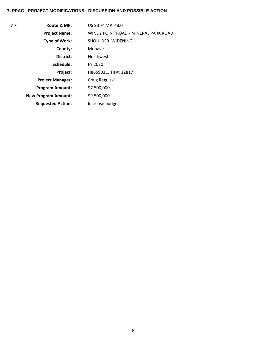# **7. PPAC - PROJECT MODIFICATIONS - DISCUSSION AND POSSIBLE ACTION**

| $7-3$ | Route & MP:                | US 93 @ MP 48.0                      |
|-------|----------------------------|--------------------------------------|
|       | <b>Project Name:</b>       | WINDY POINT ROAD - MINERAL PARK ROAD |
|       | <b>Type of Work:</b>       | SHOULDER WIDENING                    |
|       | County:                    | Mohave                               |
|       | District:                  | <b>Northwest</b>                     |
|       | Schedule:                  | FY 2020                              |
|       | Project:                   | H865901C, TIP#: 12817                |
|       | <b>Project Manager:</b>    | Craig Regulski                       |
|       | <b>Program Amount:</b>     | \$7,500,000                          |
|       | <b>New Program Amount:</b> | \$9,500,000                          |
|       | <b>Requested Action:</b>   | Increase budget                      |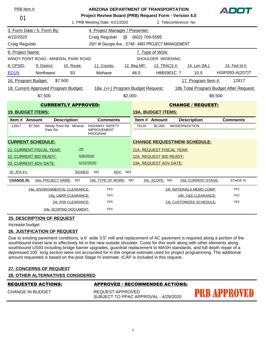| PRB Item #:              |               |                            |                                      |                                                               | <b>ARIZONA DEPARTMENT OF TRANSPORTATION</b>           |         |                |                           |                                         |         |                 |
|--------------------------|---------------|----------------------------|--------------------------------------|---------------------------------------------------------------|-------------------------------------------------------|---------|----------------|---------------------------|-----------------------------------------|---------|-----------------|
| 01                       |               |                            |                                      |                                                               | Project Review Board (PRB) Request Form - Version 4.0 |         |                |                           |                                         |         |                 |
|                          |               |                            |                                      |                                                               | 1. PRB Meeting Date: 4/21/2020                        |         |                | 2. Teleconference: No     |                                         |         |                 |
|                          |               | 3. Form Date / 5. Form By: |                                      |                                                               | 4. Project Manager / Presenter:                       |         |                |                           |                                         |         |                 |
| 4/22/2020                |               |                            |                                      | Craig Regulski                                                | @                                                     |         | (602) 769-5585 |                           |                                         |         |                 |
| Craig Regulski           |               |                            |                                      |                                                               | 2501 W Georgia Ave, , E748 - 4983 PROJECT MANAGEMENT  |         |                |                           |                                         |         |                 |
| 6. Project Name:         |               |                            |                                      |                                                               |                                                       |         |                | 7. Type of Work:          |                                         |         |                 |
|                          |               |                            | WINDY POINT ROAD - MINERAL PARK ROAD |                                                               |                                                       |         |                | SHOULDER WIDENING         |                                         |         |                 |
| 8. CPSID:                |               | 9. District:               | 10. Route:                           | 11. County:                                                   |                                                       |         | 12. Beg MP:    | 13. TRACS #:              | <u>14. Len (Mi.):</u>                   |         | 15. Fed Id #:   |
| ED <sub>1</sub> N        |               | Northwest                  | 93                                   | Mohave                                                        |                                                       |         | 48.0           | H865901C ?                | 10.5                                    |         | HSIP093-A(207)T |
| 16. Program Budget:      |               |                            | \$7,500                              |                                                               |                                                       |         |                |                           | 17. Program Item #:                     |         | 12817           |
|                          |               |                            | 18. Current Approved Program Budget: |                                                               | 18a. (+/-) Program Budget Request:                    |         |                |                           | 18b Total Program Budget After Request: |         |                 |
|                          |               | \$7,500                    |                                      |                                                               |                                                       | \$2,000 |                |                           |                                         | \$9,500 |                 |
|                          |               |                            | <b>CURRENTLY APPROVED:</b>           |                                                               |                                                       |         |                |                           | <b>CHANGE / REQUEST:</b>                |         |                 |
| <b>19. BUDGET ITEMS:</b> |               |                            |                                      |                                                               |                                                       |         |                | <b>19A. BUDGET ITEMS:</b> |                                         |         |                 |
|                          | Item # Amount |                            | <b>Description</b>                   |                                                               | <b>Comments</b>                                       |         |                | Item # Amount             | <b>Description</b>                      |         | <b>Comments</b> |
| 12817                    | \$7,500       | Park Rd                    | Windy Point Rd - Mineral             | <b>HIGHWAY SAFETY</b><br><b>IMPROVEMENT</b><br><b>PROGRAM</b> |                                                       |         | 70120          | \$2,000                   | <b>MODERNIZATION</b>                    |         |                 |
| <b>CURRENT SCHEDULE:</b> |               |                            |                                      |                                                               |                                                       |         |                |                           | <b>CHANGE REQUEST\NEW SCHEDULE:</b>     |         |                 |
|                          |               | 21. CURRENT FISCAL YEAR:   | 20                                   |                                                               |                                                       |         |                | 21A. REQUEST FISCAL YEAR: |                                         |         |                 |
| 22. CURRENT BID READY:   |               |                            |                                      | 5/8/2020                                                      |                                                       |         |                | 22A. REQUEST BID READY:   |                                         |         |                 |
| 23. CURRENT ADV DATE:    |               |                            |                                      | 5/22/2020                                                     |                                                       |         |                | 23A. REQUEST ADV DATE:    |                                         |         |                 |
| 20. JPA #'s:             |               |                            | SIGNED:                              | NO.                                                           | ADV: NO                                               |         |                |                           |                                         |         |                 |
| <b>CHANGE IN:</b>        |               | 24a: PROJECT NAME:         | <b>NO</b>                            |                                                               | 24b. TYPE OF WORK: NO                                 |         |                | 24c. SCOPE: NO            | 24d. CURRENT STAGE:                     |         | <b>STAGE IV</b> |
|                          |               |                            | 24e. ENVIRONMENTAL CLEARANCE:        |                                                               | <b>YES</b>                                            |         |                |                           | 24f. MATERIALS MEMO COMP:               |         | <b>YES</b>      |
|                          |               |                            | 24g. U&RR CLEARANCE:                 |                                                               | <b>YES</b>                                            |         |                |                           | 24h. C&S CLEARANCE:                     |         | <b>YES</b>      |
|                          |               |                            | 24i. R/W CLEARANCE:                  |                                                               | <b>YES</b>                                            |         |                |                           | 24j. CUSTOMIZED SCHEDULE:               |         | <b>YES</b>      |
|                          |               |                            | 24k. SCOPING DOCUMENT:               |                                                               | <b>YES</b>                                            |         |                |                           |                                         |         |                 |

Increase budget

# **26. JUSTIFICATION OF REQUEST**

Due to existing pavement conditions, a 6` wide 3.5" mill and replacement of AC pavement is required along a portion of the southbound travel lane to effectively tie in the new outside shoulder. Costs for this work along with other elements along southbound US93 including bridge barrier upgrades, guardrail replacement to MASH standards, and full depth repair of a depressed 100` long section were not accounted for in the original estimate used for project programming. The additional amount requested is based on the post Stage IV estimate. ICAP is included in this request.

# **27. CONCERNS OF REQUEST**

**28. OTHER ALTERNATIVES CONSIDERED**

| <b>REQUESTED ACTIONS:</b> |                                                          |                     |
|---------------------------|----------------------------------------------------------|---------------------|
| <b>CHANGE IN BUDGET</b>   | REQUEST APPROVED<br>SUBJECT TO PPAC APPROVAL - 4/29/2020 | <b>PRB APPROVED</b> |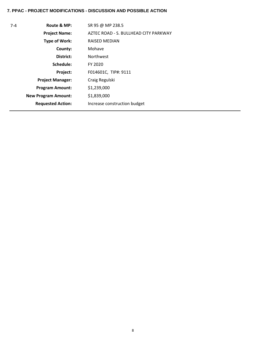# **7. PPAC - PROJECT MODIFICATIONS - DISCUSSION AND POSSIBLE ACTION**

| $7 - 4$ | Route & MP:                | SR 95 @ MP 238.5                      |
|---------|----------------------------|---------------------------------------|
|         | <b>Project Name:</b>       | AZTEC ROAD - S. BULLHEAD CITY PARKWAY |
|         | Type of Work:              | RAISED MEDIAN                         |
|         | County:                    | Mohave                                |
|         | District:                  | <b>Northwest</b>                      |
|         | Schedule:                  | FY 2020                               |
|         | Project:                   | F014601C, TIP#: 9111                  |
|         | <b>Project Manager:</b>    | Craig Regulski                        |
|         | <b>Program Amount:</b>     | \$1,239,000                           |
|         | <b>New Program Amount:</b> | \$1,839,000                           |
|         | <b>Requested Action:</b>   | Increase construction budget          |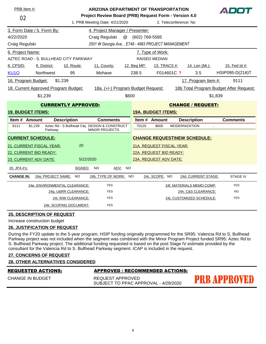| PRB Item #:              |                                       | <b>ARIZONA DEPARTMENT OF TRANSPORTATION</b><br>ADDI |                                                                        |                |                           |                                     |                                         |
|--------------------------|---------------------------------------|-----------------------------------------------------|------------------------------------------------------------------------|----------------|---------------------------|-------------------------------------|-----------------------------------------|
| 02                       |                                       |                                                     | Project Review Board (PRB) Request Form - Version 4.0                  |                |                           |                                     |                                         |
|                          |                                       |                                                     | 1. PRB Meeting Date: 4/21/2020                                         |                |                           | 2. Teleconference: No               |                                         |
|                          | 3. Form Date / 5. Form By:            |                                                     | 4. Project Manager / Presenter:                                        |                |                           |                                     |                                         |
| 4/22/2020                |                                       |                                                     | Craig Regulski<br>@                                                    | (602) 769-5585 |                           |                                     |                                         |
| Craig Regulski           |                                       |                                                     | 2501 W Georgia Ave, , E748 - 4983 PROJECT MANAGEMENT                   |                |                           |                                     |                                         |
| 6. Project Name:         |                                       |                                                     |                                                                        |                | 7. Type of Work:          |                                     |                                         |
|                          | AZTEC ROAD - S. BULLHEAD CITY PARKWAY |                                                     |                                                                        |                | <b>RAISED MEDIAN</b>      |                                     |                                         |
| 8. CPSID:                | 9. District:                          | 10. Route:                                          | 11. County:                                                            | 12. Beg MP:    | 13. TRACS #:              | 14. Len (Mi.):                      | 15. Fed Id #:                           |
| <b>KU10</b>              | Northwest                             | 95                                                  | Mohave                                                                 | 238.5          | F014601C ?                | 3.5                                 | HSIP095-D(216)T                         |
| 16. Program Budget:      |                                       | \$1,239                                             |                                                                        |                |                           | 17. Program Item #:                 | 9111                                    |
|                          | 18. Current Approved Program Budget:  |                                                     | 18a. (+/-) Program Budget Request:                                     |                |                           |                                     | 18b Total Program Budget After Request: |
|                          | \$1,239                               |                                                     | \$600                                                                  |                |                           |                                     | \$1,839                                 |
|                          |                                       | <b>CURRENTLY APPROVED:</b>                          |                                                                        |                |                           | <b>CHANGE / REQUEST:</b>            |                                         |
| <b>19. BUDGET ITEMS:</b> |                                       |                                                     |                                                                        |                | <b>19A. BUDGET ITEMS:</b> |                                     |                                         |
| Item # Amount            |                                       | <b>Description</b>                                  | <b>Comments</b>                                                        |                | Item # Amount             | <b>Description</b>                  | <b>Comments</b>                         |
| 9111                     | \$1,239<br>Parkway                    |                                                     | Aztec Rd - S Bullhead City DESIGN & CONSTRUCT<br><b>MINOR PROJECTS</b> | 70120          | \$600                     | <b>MODERNIZATION</b><br>$\cdot$     |                                         |
|                          | <b>CURRENT SCHEDULE:</b>              |                                                     |                                                                        |                |                           | <b>CHANGE REQUEST\NEW SCHEDULE:</b> |                                         |
| 21. CURRENT FISCAL YEAR: |                                       |                                                     |                                                                        |                |                           |                                     |                                         |
|                          |                                       | 20                                                  |                                                                        |                | 21A. REQUEST FISCAL YEAR: |                                     |                                         |
|                          | 22. CURRENT BID READY:                |                                                     |                                                                        |                | 22A. REQUEST BID READY:   |                                     |                                         |
|                          | 23. CURRENT ADV DATE:                 |                                                     | 5/22/2020                                                              |                | 23A. REQUEST ADV DATE:    |                                     |                                         |
| 20. JPA #'s:             |                                       | SIGNED:                                             | <b>NO</b><br>ADV: NO                                                   |                |                           |                                     |                                         |
| <b>CHANGE IN:</b>        | 24a: PROJECT NAME: NO                 |                                                     | 24b. TYPE OF WORK: NO                                                  |                | 24c. SCOPE: NO            | 24d. CURRENT STAGE:                 | <b>STAGE IV</b>                         |
|                          | 24e. ENVIRONMENTAL CLEARANCE:         |                                                     | <b>YES</b>                                                             |                |                           | 24f. MATERIALS MEMO COMP:           | <b>YES</b>                              |
|                          |                                       | 24g. U&RR CLEARANCE:                                | <b>YES</b>                                                             |                |                           | 24h. C&S CLEARANCE:                 | <b>NO</b>                               |
|                          |                                       | 24i. R/W CLEARANCE:                                 | <b>YES</b>                                                             |                |                           | 24j. CUSTOMIZED SCHEDULE:           | <b>YES</b>                              |

Increase construction budget

### **26. JUSTIFICATION OF REQUEST**

During the FY20 update to the 5-year program, HSIP funding originally programmed for the SR95: Valencia Rd to S. Bullhead Parkway project was not included when the segment was combined with the Minor Program Project funded SR95: Aztec Rd to S. Bullhead Parkway project. The additional funding requested is based on the post Stage IV estimate provided by the consultant for the Valencia Rd to S. Bullhead Parkway segment. ICAP is included in the request.

#### **27. CONCERNS OF REQUEST**

#### **28. OTHER ALTERNATIVES CONSIDERED**

CHANGE IN BUDGET

### REQUESTED ACTIONS: APPROVED / RECOMMENDED ACTIONS:

REQUEST APPROVED SUBJECT TO PPAC APPROVAL - 4/29/2020

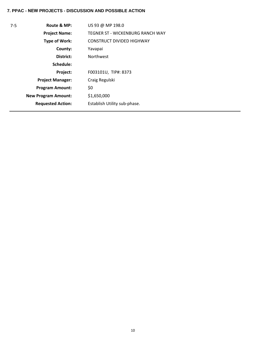| $7-5$ | Route & MP:                | US 93 @ MP 198.0                        |
|-------|----------------------------|-----------------------------------------|
|       | <b>Project Name:</b>       | <b>TEGNER ST - WICKENBURG RANCH WAY</b> |
|       | <b>Type of Work:</b>       | <b>CONSTRUCT DIVIDED HIGHWAY</b>        |
|       | County:                    | Yavapai                                 |
|       | District:                  | <b>Northwest</b>                        |
|       | Schedule:                  |                                         |
|       | Project:                   | F003101U, TIP#: 8373                    |
|       | <b>Project Manager:</b>    | Craig Regulski                          |
|       | <b>Program Amount:</b>     | \$0                                     |
|       | <b>New Program Amount:</b> | \$1,650,000                             |
|       | <b>Requested Action:</b>   | Establish Utility sub-phase.            |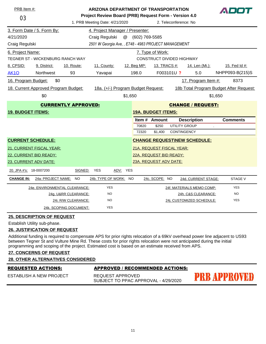|                                                                            | PRB Item #:<br><b>ARIZONA DEPARTMENT OF TRANSPORTATION</b> |                        |                                                       |             |                           | ADOT                  |                                         |                 |  |
|----------------------------------------------------------------------------|------------------------------------------------------------|------------------------|-------------------------------------------------------|-------------|---------------------------|-----------------------|-----------------------------------------|-----------------|--|
| 03                                                                         |                                                            |                        | Project Review Board (PRB) Request Form - Version 4.0 |             |                           |                       |                                         |                 |  |
|                                                                            |                                                            |                        | 1. PRB Meeting Date: 4/21/2020                        |             |                           | 2. Teleconference: No |                                         |                 |  |
|                                                                            | 3. Form Date / 5. Form By:                                 |                        | 4. Project Manager / Presenter:                       |             |                           |                       |                                         |                 |  |
| 4/21/2020                                                                  |                                                            |                        | $^\text{\textregistered}$<br>Craig Regulski           |             | (602) 769-5585            |                       |                                         |                 |  |
| Craig Regulski                                                             |                                                            |                        | 2501 W Georgia Ave, , E748 - 4983 PROJECT MANAGEMENT  |             |                           |                       |                                         |                 |  |
| 6. Project Name:                                                           |                                                            |                        |                                                       |             | 7. Type of Work:          |                       |                                         |                 |  |
| TEGNER ST - WICKENBURG RANCH WAY                                           |                                                            |                        |                                                       |             | CONSTRUCT DIVIDED HIGHWAY |                       |                                         |                 |  |
| 8. CPSID:                                                                  | 9. District:                                               | 10. Route:             | 11. County:                                           | 12. Beg MP: |                           | 13. TRACS #:          | 14. Len (Mi.):                          | 15. Fed Id #:   |  |
| <b>AK10</b>                                                                | Northwest                                                  | 93                     | Yavapai                                               | 198.0       |                           | F003101U ?            | 5.0                                     | NHPP093-B(215)S |  |
| 16. Program Budget:<br>\$0                                                 |                                                            |                        |                                                       |             |                           |                       | 17. Program Item #:                     | 8373            |  |
| 18a. (+/-) Program Budget Request:<br>18. Current Approved Program Budget: |                                                            |                        |                                                       |             |                           |                       | 18b Total Program Budget After Request: |                 |  |
| \$0                                                                        |                                                            |                        |                                                       | \$1,650     |                           |                       |                                         | \$1,650         |  |
| <b>CURRENTLY APPROVED:</b>                                                 |                                                            |                        |                                                       |             |                           |                       | <b>CHANGE / REQUEST:</b>                |                 |  |
|                                                                            | <b>19. BUDGET ITEMS:</b>                                   |                        |                                                       |             | <b>19A. BUDGET ITEMS:</b> |                       |                                         |                 |  |
|                                                                            |                                                            |                        |                                                       |             | Item # Amount             |                       | <b>Description</b>                      | <b>Comments</b> |  |
|                                                                            |                                                            |                        |                                                       | 70820       | \$250                     | <b>UTILITY GROUP</b>  |                                         | $\blacksquare$  |  |
|                                                                            |                                                            |                        |                                                       | 72320       | \$1,400                   | CONTINGENCY           |                                         |                 |  |
|                                                                            | <b>CURRENT SCHEDULE:</b>                                   |                        |                                                       |             |                           |                       | <b>CHANGE REQUEST\NEW SCHEDULE:</b>     |                 |  |
|                                                                            | 21. CURRENT FISCAL YEAR:                                   |                        |                                                       |             | 21A. REQUEST FISCAL YEAR: |                       |                                         |                 |  |
|                                                                            | 22. CURRENT BID READY:                                     |                        |                                                       |             | 22A. REQUEST BID READY:   |                       |                                         |                 |  |
|                                                                            | 23. CURRENT ADV DATE:                                      |                        |                                                       |             | 23A. REQUEST ADV DATE:    |                       |                                         |                 |  |
| 20. JPA #'s: 18-0007200                                                    |                                                            | SIGNED:                | <b>YES</b><br>ADV:                                    | <b>YES</b>  |                           |                       |                                         |                 |  |
| <b>CHANGE IN:</b>                                                          | 24a: PROJECT NAME:                                         | NO.                    | 24b. TYPE OF WORK: NO                                 |             | 24c. SCOPE: NO            |                       | 24d. CURRENT STAGE:                     | <b>STAGE V</b>  |  |
|                                                                            |                                                            |                        |                                                       |             |                           |                       |                                         |                 |  |
|                                                                            | 24e. ENVIRONMENTAL CLEARANCE:                              |                        | <b>YES</b>                                            |             |                           |                       | 24f. MATERIALS MEMO COMP:               | <b>YES</b>      |  |
|                                                                            |                                                            | 24g. U&RR CLEARANCE:   | <b>NO</b>                                             |             |                           |                       | 24h. C&S CLEARANCE:                     | <b>NO</b>       |  |
|                                                                            |                                                            | 24i. R/W CLEARANCE:    | NO                                                    |             |                           |                       | 24j. CUSTOMIZED SCHEDULE:               | <b>YES</b>      |  |
|                                                                            |                                                            | 24k. SCOPING DOCUMENT: | <b>YES</b>                                            |             |                           |                       |                                         |                 |  |

Establish Utility sub-phase.

#### **26. JUSTIFICATION OF REQUEST**

Additional funding is required to compensate APS for prior rights relocation of a 69kV overhead power line adjacent to US93 between Tegner St and Vulture Mine Rd. These costs for prior rights relocation were not anticipated during the initial programming and scoping of the project. Estimated cost is based on an estimate received from APS.

# **27. CONCERNS OF REQUEST**

#### **28. OTHER ALTERNATIVES CONSIDERED**

#### REQUESTED ACTIONS: APPROVED / RECOMMENDED ACTIONS:

ESTABLISH A NEW PROJECT

REQUEST APPROVED SUBJECT TO PPAC APPROVAL - 4/29/2020

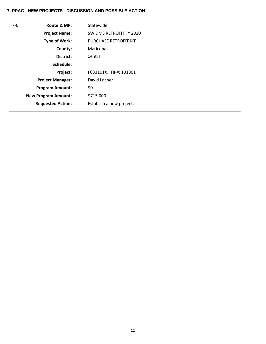| $7-6$ | Route & MP:                | Statewide                    |
|-------|----------------------------|------------------------------|
|       | <b>Project Name:</b>       | SW DMS RETROFIT FY 2020      |
|       | <b>Type of Work:</b>       | <b>PURCHASE RETROFIT KIT</b> |
|       | County:                    | Maricopa                     |
|       | District:                  | Central                      |
|       | Schedule:                  |                              |
|       | <b>Project:</b>            | F033101X, TIP#: 101801       |
|       | <b>Project Manager:</b>    | David Locher                 |
|       | <b>Program Amount:</b>     | \$0                          |
|       | <b>New Program Amount:</b> | \$715,000                    |
|       | <b>Requested Action:</b>   | Establish a new project.     |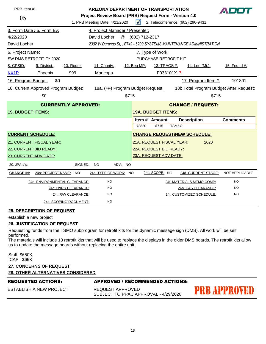| 05                                                                         | PRB Item #:<br>1. PRB Meeting Date: 4/21/2020                      |                               |                                 |  | <b>ARIZONA DEPARTMENT OF TRANSPORTATION</b><br>ADOT<br>Project Review Board (PRB) Request Form - Version 4.0<br>$\sqrt{ }$<br>2. Teleconference: (602) 290-9431 |                           |                                         |                                     |                       |  |
|----------------------------------------------------------------------------|--------------------------------------------------------------------|-------------------------------|---------------------------------|--|-----------------------------------------------------------------------------------------------------------------------------------------------------------------|---------------------------|-----------------------------------------|-------------------------------------|-----------------------|--|
|                                                                            | 3. Form Date / 5. Form By:                                         |                               | 4. Project Manager / Presenter: |  |                                                                                                                                                                 |                           |                                         |                                     |                       |  |
| 4/22/2020                                                                  | David Locher<br>@<br>(602) 712-2317                                |                               |                                 |  |                                                                                                                                                                 |                           |                                         |                                     |                       |  |
| David Locher                                                               | 2302 W Durango St., E749 - 6200 SYSTEMS MAINTENANCE ADMINISTRATION |                               |                                 |  |                                                                                                                                                                 |                           |                                         |                                     |                       |  |
| 6. Project Name:                                                           |                                                                    |                               |                                 |  |                                                                                                                                                                 | 7. Type of Work:          |                                         |                                     |                       |  |
| SW DMS RETROFIT FY 2020                                                    |                                                                    |                               |                                 |  | PURCHASE RETROFIT KIT                                                                                                                                           |                           |                                         |                                     |                       |  |
| 8. CPSID:                                                                  | 9. District:                                                       | 10. Route:                    | 11. County:                     |  | 12. Beg MP:                                                                                                                                                     | 13. TRACS #:              |                                         | 14. Len (Mi.):                      | 15. Fed Id #:         |  |
| KX1P                                                                       | Phoenix                                                            | 999                           | Maricopa                        |  |                                                                                                                                                                 | F033101X ?                |                                         |                                     |                       |  |
| 16. Program Budget:                                                        | \$0                                                                |                               |                                 |  |                                                                                                                                                                 |                           |                                         | 17. Program Item #:                 | 101801                |  |
| 18. Current Approved Program Budget:<br>18a. (+/-) Program Budget Request: |                                                                    |                               |                                 |  |                                                                                                                                                                 |                           | 18b Total Program Budget After Request: |                                     |                       |  |
| \$0                                                                        |                                                                    |                               | \$715                           |  |                                                                                                                                                                 |                           | \$715                                   |                                     |                       |  |
| <b>CURRENTLY APPROVED:</b>                                                 |                                                                    |                               |                                 |  |                                                                                                                                                                 | <b>CHANGE / REQUEST:</b>  |                                         |                                     |                       |  |
| <b>19. BUDGET ITEMS:</b>                                                   |                                                                    |                               |                                 |  | <b>19A. BUDGET ITEMS:</b>                                                                                                                                       |                           |                                         |                                     |                       |  |
|                                                                            |                                                                    |                               |                                 |  | Item $#$                                                                                                                                                        | <b>Amount</b>             |                                         | <b>Description</b>                  | <b>Comments</b>       |  |
|                                                                            |                                                                    |                               |                                 |  | 78820                                                                                                                                                           | \$715                     | TSM&O                                   |                                     |                       |  |
| <b>CURRENT SCHEDULE:</b>                                                   |                                                                    |                               |                                 |  |                                                                                                                                                                 |                           |                                         | <b>CHANGE REQUEST\NEW SCHEDULE:</b> |                       |  |
|                                                                            | <b>21. CURRENT FISCAL YEAR:</b>                                    |                               |                                 |  |                                                                                                                                                                 | 21A. REQUEST FISCAL YEAR: |                                         | 2020                                |                       |  |
| 22. CURRENT BID READY:                                                     |                                                                    |                               |                                 |  | 22A. REQUEST BID READY:                                                                                                                                         |                           |                                         |                                     |                       |  |
| 23. CURRENT ADV DATE:                                                      |                                                                    |                               |                                 |  |                                                                                                                                                                 | 23A. REQUEST ADV DATE:    |                                         |                                     |                       |  |
| 20. JPA #'s:                                                               |                                                                    | SIGNED:                       | <b>NO</b><br>ADV: NO            |  |                                                                                                                                                                 |                           |                                         |                                     |                       |  |
| <b>CHANGE IN:</b>                                                          | 24a: PROJECT NAME: NO                                              |                               | 24b. TYPE OF WORK: NO           |  |                                                                                                                                                                 | 24c. SCOPE: NO            |                                         | 24d. CURRENT STAGE:                 | <b>NOT APPLICABLE</b> |  |
|                                                                            |                                                                    | 24e. ENVIRONMENTAL CLEARANCE: | <b>NO</b>                       |  |                                                                                                                                                                 |                           |                                         | 24f. MATERIALS MEMO COMP:           | <b>NO</b>             |  |
|                                                                            |                                                                    | 24g. U&RR CLEARANCE:          | <b>NO</b>                       |  |                                                                                                                                                                 |                           |                                         | 24h. C&S CLEARANCE:                 | <b>NO</b>             |  |
|                                                                            |                                                                    | 24i. R/W CLEARANCE:           | <b>NO</b>                       |  |                                                                                                                                                                 |                           |                                         | 24j. CUSTOMIZED SCHEDULE:           | <b>NO</b>             |  |
|                                                                            |                                                                    | 24k. SCOPING DOCUMENT:        | <b>NO</b>                       |  |                                                                                                                                                                 |                           |                                         |                                     |                       |  |

establish a new project

#### **26. JUSTIFICATION OF REQUEST**

Requesting funds from the TSMO subprogram for retrofit kits for the dynamic message sign (DMS). All work will be self performed.

The materials will include 13 retrofit kits that will be used to replace the displays in the older DMS boards. The retrofit kits allow us to update the message boards without replacing the entire unit.

Staff \$650K ICAP \$65K

# **27. CONCERNS OF REQUEST 28. OTHER ALTERNATIVES CONSIDERED**

#### REQUESTED ACTIONS: APPROVED / RECOMMENDED ACTIONS:

ESTABLISH A NEW PROJECT REQUEST APPROVED SUBJECT TO PPAC APPROVAL - 4/29/2020

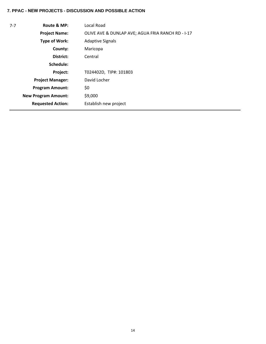| $7 - 7$ | Route & MP:                | Local Road                                        |
|---------|----------------------------|---------------------------------------------------|
|         | <b>Project Name:</b>       | OLIVE AVE & DUNLAP AVE; AGUA FRIA RANCH RD - I-17 |
|         | Type of Work:              | <b>Adaptive Signals</b>                           |
|         | County:                    | Maricopa                                          |
|         | District:                  | Central                                           |
|         | Schedule:                  |                                                   |
|         | Project:                   | T024402D, TIP#: 101803                            |
|         | <b>Project Manager:</b>    | David Locher                                      |
|         | <b>Program Amount:</b>     | \$0                                               |
|         | <b>New Program Amount:</b> | \$9,000                                           |
|         | <b>Requested Action:</b>   | Establish new project                             |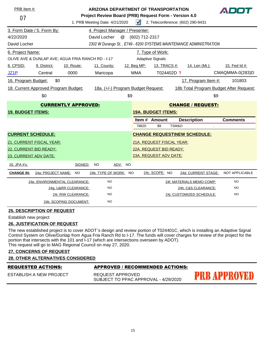|                                                                            | PRB Item #:<br>ARIZONA DEPARTMENT OF TRANSPORTATION<br>Project Review Board (PRB) Request Form - Version 4.0 |                               |                                 |                         |                                   |                                         |                                     |  |                 |
|----------------------------------------------------------------------------|--------------------------------------------------------------------------------------------------------------|-------------------------------|---------------------------------|-------------------------|-----------------------------------|-----------------------------------------|-------------------------------------|--|-----------------|
| 07                                                                         |                                                                                                              |                               | 1. PRB Meeting Date: 4/21/2020  | $\blacktriangleleft$    | 2. Teleconference: (602) 290-9431 |                                         |                                     |  |                 |
|                                                                            | 3. Form Date / 5. Form By:                                                                                   |                               | 4. Project Manager / Presenter: |                         |                                   |                                         |                                     |  |                 |
| 4/22/2020                                                                  |                                                                                                              |                               | David Locher<br>@               | (602) 712-2317          |                                   |                                         |                                     |  |                 |
| David Locher                                                               | 2302 W Durango St., E749 - 6200 SYSTEMS MAINTENANCE ADMINISTRATION                                           |                               |                                 |                         |                                   |                                         |                                     |  |                 |
| 6. Project Name:                                                           |                                                                                                              |                               |                                 | 7. Type of Work:        |                                   |                                         |                                     |  |                 |
| OLIVE AVE & DUNLAP AVE; AGUA FRIA RANCH RD - I-17                          |                                                                                                              |                               |                                 | <b>Adaptive Signals</b> |                                   |                                         |                                     |  |                 |
| 8. CPSID:                                                                  | 9. District:                                                                                                 | 10. Route:                    | 11. County:                     | 12. Beg MP:             | 13. TRACS #:                      |                                         | 14. Len (Mi.):                      |  | 15. Fed Id #:   |
| <b>JZ1P</b>                                                                | Central                                                                                                      | 0000                          | Maricopa                        | <b>MMA</b>              |                                   | T024402D ?                              |                                     |  | CMAQMMA-0(283)D |
| 16. Program Budget:                                                        | \$0                                                                                                          |                               |                                 |                         |                                   |                                         | 17. Program Item #:                 |  | 101803          |
| 18. Current Approved Program Budget:<br>18a. (+/-) Program Budget Request: |                                                                                                              |                               |                                 |                         |                                   | 18b Total Program Budget After Request: |                                     |  |                 |
| \$0                                                                        |                                                                                                              |                               | \$9                             |                         |                                   |                                         | \$9                                 |  |                 |
| <b>CURRENTLY APPROVED:</b>                                                 |                                                                                                              |                               |                                 |                         | <b>CHANGE / REQUEST:</b>          |                                         |                                     |  |                 |
| <b>19. BUDGET ITEMS:</b>                                                   |                                                                                                              |                               |                                 |                         | <b>19A. BUDGET ITEMS:</b>         |                                         |                                     |  |                 |
|                                                                            |                                                                                                              |                               |                                 |                         | Item # Amount                     |                                         | <b>Description</b>                  |  | <b>Comments</b> |
|                                                                            |                                                                                                              |                               |                                 | 78820                   | \$9                               | TSM&O                                   |                                     |  |                 |
| <b>CURRENT SCHEDULE:</b>                                                   |                                                                                                              |                               |                                 |                         |                                   |                                         | <b>CHANGE REQUEST\NEW SCHEDULE:</b> |  |                 |
|                                                                            | 21. CURRENT FISCAL YEAR:                                                                                     |                               |                                 |                         | 21A. REQUEST FISCAL YEAR:         |                                         |                                     |  |                 |
| 22. CURRENT BID READY:                                                     |                                                                                                              |                               |                                 |                         | 22A. REQUEST BID READY:           |                                         |                                     |  |                 |
| 23. CURRENT ADV DATE:                                                      |                                                                                                              |                               |                                 |                         | 23A. REQUEST ADV DATE:            |                                         |                                     |  |                 |
| 20. JPA #'s:                                                               |                                                                                                              | SIGNED:                       | ADV: NO<br>NO.                  |                         |                                   |                                         |                                     |  |                 |
| <b>CHANGE IN:</b>                                                          | 24a: PROJECT NAME: NO                                                                                        |                               | 24b. TYPE OF WORK: NO           |                         | 24c. SCOPE: NO                    |                                         | 24d. CURRENT STAGE:                 |  | NOT APPLICABLE  |
|                                                                            |                                                                                                              | 24e. ENVIRONMENTAL CLEARANCE: | <b>NO</b>                       |                         |                                   |                                         | 24f. MATERIALS MEMO COMP:           |  | <b>NO</b>       |
|                                                                            |                                                                                                              | 24g. U&RR CLEARANCE:          | <b>NO</b>                       |                         |                                   |                                         | 24h. C&S CLEARANCE:                 |  | NO              |
|                                                                            |                                                                                                              | 24i. R/W CLEARANCE:           | <b>NO</b>                       |                         |                                   |                                         | 24j. CUSTOMIZED SCHEDULE:           |  | <b>NO</b>       |
|                                                                            |                                                                                                              | 24k. SCOPING DOCUMENT:        | <b>NO</b>                       |                         |                                   |                                         |                                     |  |                 |

Establish new project

#### **26. JUSTIFICATION OF REQUEST**

The new established project is to cover ADOT`s design and review portion of T024401C, which is installing an Adaptive Signal Control System on Olive/Dunlap from Agua Fria Ranch Rd to I-17. The funds will cover charges for review of the project for the portion that intersects with the 101 and I-17 (which are intersections overseen by ADOT). This request will go to MAG Regional Council on may 27, 2020.

#### **27. CONCERNS OF REQUEST**

#### **28. OTHER ALTERNATIVES CONSIDERED**

|  |  |  | REQUESTED ACTIONS: |
|--|--|--|--------------------|
|  |  |  |                    |

**APPROVED / RECOMMENDED ACTIONS:** 

ESTABLISH A NEW PROJECT

REQUEST APPROVED SUBJECT TO PPAC APPROVAL - 4/29/2020

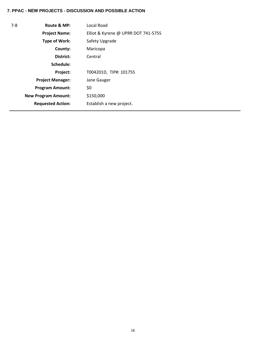| $7-8$ | Route & MP:                | Local Road                          |
|-------|----------------------------|-------------------------------------|
|       | <b>Project Name:</b>       | Elliot & Kyrene @ UPRR DOT 741-575S |
|       | <b>Type of Work:</b>       | Safety Upgrade                      |
|       | County:                    | Maricopa                            |
|       | District:                  | Central                             |
|       | Schedule:                  |                                     |
|       | Project:                   | T004201D, TIP#: 101755              |
|       | <b>Project Manager:</b>    | Jane Gauger                         |
|       | <b>Program Amount:</b>     | \$0                                 |
|       | <b>New Program Amount:</b> | \$150,000                           |
|       | <b>Requested Action:</b>   | Establish a new project.            |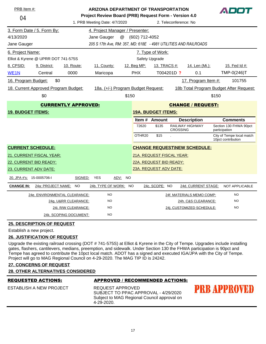| PRB Item #:         |                                      |                        | <b>ARIZONA DEPARTMENT OF TRANSPORTATION</b><br>Project Review Board (PRB) Request Form - Version 4.0 |                   |                    |                           |                       |                                     |       | ADOT                                            |
|---------------------|--------------------------------------|------------------------|------------------------------------------------------------------------------------------------------|-------------------|--------------------|---------------------------|-----------------------|-------------------------------------|-------|-------------------------------------------------|
| 04                  |                                      |                        | 1. PRB Meeting Date: 4/7/2020                                                                        |                   |                    |                           | 2. Teleconference: No |                                     |       |                                                 |
|                     | 3. Form Date / 5. Form By:           |                        | 4. Project Manager / Presenter:                                                                      |                   |                    |                           |                       |                                     |       |                                                 |
| 4/13/2020           |                                      |                        | Jane Gauger                                                                                          | @                 | (602) 712-4052     |                           |                       |                                     |       |                                                 |
| Jane Gauger         |                                      |                        | 205 S 17th Ave, RM: 357, MD: 618E - 4981 UTILITIES AND RAILROADS                                     |                   |                    |                           |                       |                                     |       |                                                 |
| 6. Project Name:    |                                      |                        |                                                                                                      |                   |                    | 7. Type of Work:          |                       |                                     |       |                                                 |
|                     | Elliot & Kyrene @ UPRR DOT 741-575S  |                        |                                                                                                      |                   |                    | Safety Upgrade            |                       |                                     |       |                                                 |
| 8. CPSID:           | 9. District:                         | 10. Route:             | 11. County:                                                                                          |                   | 12. Beg MP:        | 13. TRACS #:              |                       | 14. Len (Mi.):                      |       | 15. Fed Id #:                                   |
| WE <sub>1</sub> N   | Central                              | 0000                   | Maricopa                                                                                             |                   | <b>PHX</b>         |                           | T004201D ?            | 0.1                                 |       | TMP-0(246)T                                     |
| 16. Program Budget: | \$0                                  |                        |                                                                                                      |                   |                    |                           |                       | 17. Program Item #:                 |       | 101755                                          |
|                     | 18. Current Approved Program Budget: |                        | 18a. (+/-) Program Budget Request:                                                                   |                   |                    |                           |                       |                                     |       | 18b Total Program Budget After Request:         |
|                     | \$0                                  |                        |                                                                                                      | \$150             |                    |                           |                       |                                     | \$150 |                                                 |
|                     | <b>CURRENTLY APPROVED:</b>           |                        |                                                                                                      |                   |                    |                           |                       | <b>CHANGE / REQUEST:</b>            |       |                                                 |
|                     | <b>19. BUDGET ITEMS:</b>             |                        |                                                                                                      |                   |                    | <b>19A. BUDGET ITEMS:</b> |                       |                                     |       |                                                 |
|                     |                                      |                        |                                                                                                      |                   |                    | Item # Amount             |                       | <b>Description</b>                  |       | <b>Comments</b>                                 |
|                     |                                      |                        |                                                                                                      |                   | 72620              | \$135                     | <b>CROSSING</b>       | <b>RAILWAY HIGHWAY</b>              |       | Section 130 FHWA 90pct<br>participation         |
|                     |                                      |                        |                                                                                                      |                   | OTHR <sub>20</sub> | \$15                      |                       |                                     |       | City of Tempe local match<br>10pct contribution |
|                     | <b>CURRENT SCHEDULE:</b>             |                        |                                                                                                      |                   |                    |                           |                       | <b>CHANGE REQUEST\NEW SCHEDULE:</b> |       |                                                 |
|                     | 21. CURRENT FISCAL YEAR:             |                        |                                                                                                      |                   |                    | 21A. REQUEST FISCAL YEAR: |                       |                                     |       |                                                 |
|                     | 22. CURRENT BID READY:               |                        |                                                                                                      |                   |                    | 22A. REQUEST BID READY:   |                       |                                     |       |                                                 |
|                     | 23. CURRENT ADV DATE:                |                        |                                                                                                      |                   |                    | 23A. REQUEST ADV DATE:    |                       |                                     |       |                                                 |
|                     | 20. JPA #'s: 15-0005706-I            | SIGNED:                | <b>YES</b>                                                                                           | ADV:<br><b>NO</b> |                    |                           |                       |                                     |       |                                                 |
| <b>CHANGE IN:</b>   | 24a: PROJECT NAME: NO                |                        | 24b. TYPE OF WORK: NO                                                                                |                   |                    | 24c. SCOPE: NO            |                       | 24d. CURRENT STAGE:                 |       | <b>NOT APPLICABLE</b>                           |
|                     | 24e. ENVIRONMENTAL CLEARANCE:        |                        | <b>NO</b>                                                                                            |                   |                    |                           |                       | 24f. MATERIALS MEMO COMP:           |       | <b>NO</b>                                       |
|                     |                                      | 24g. U&RR CLEARANCE:   | <b>NO</b>                                                                                            |                   |                    |                           |                       | 24h. C&S CLEARANCE:                 |       | <b>NO</b>                                       |
|                     |                                      | 24i. R/W CLEARANCE:    | <b>NO</b>                                                                                            |                   |                    |                           |                       | 24j. CUSTOMIZED SCHEDULE:           |       | <b>NO</b>                                       |
|                     |                                      | 24k. SCOPING DOCUMENT: | <b>NO</b>                                                                                            |                   |                    |                           |                       |                                     |       |                                                 |

Establish a new project.

# **26. JUSTIFICATION OF REQUEST**

Upgrade the existing railroad crossing (DOT # 741-575S) at Elliot & Kyrene in the City of Tempe. Upgrades include installing gates, flashers, cantilevers, medians, preemption, and sidewalk. Under Section 130 the FHWA participation is 90pct and Tempe has agreed to contribute the 10pct local match. ADOT has a signed and executed IGA/JPA with the City of Tempe. Project will go to MAG Regional Council on 4-29-2020. The MAG TIP ID is 24242.

# **27. CONCERNS OF REQUEST**

|  | <b>28. OTHER ALTERNATIVES CONSIDERED</b> |  |  |
|--|------------------------------------------|--|--|
|  |                                          |  |  |

| <b>REQUESTED ACTIONS:</b> | APPROVED / RECOMMENDED ACTIONS:                                                                                       |              |
|---------------------------|-----------------------------------------------------------------------------------------------------------------------|--------------|
| ESTABLISH A NEW PROJECT   | REQUEST APPROVED<br>SUBJECT TO PPAC APPROVAL - 4/29/2020<br>Subject to MAG Regional Council approval on<br>4-29-2020. | PRB APPROVED |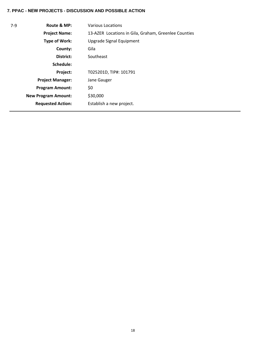| $7-9$ | Route & MP:                | Various Locations                                    |
|-------|----------------------------|------------------------------------------------------|
|       | <b>Project Name:</b>       | 13-AZER Locations in Gila, Graham, Greenlee Counties |
|       | Type of Work:              | Upgrade Signal Equipment                             |
|       | County:                    | Gila                                                 |
|       | District:                  | Southeast                                            |
|       | Schedule:                  |                                                      |
|       | Project:                   | T025201D, TIP#: 101791                               |
|       | <b>Project Manager:</b>    | Jane Gauger                                          |
|       | <b>Program Amount:</b>     | \$0                                                  |
|       | <b>New Program Amount:</b> | \$30,000                                             |
|       | <b>Requested Action:</b>   | Establish a new project.                             |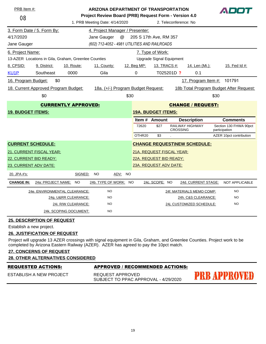| PRB Item #:<br><b>ARIZONA DEPARTMENT OF TRANSPORTATION</b><br>ADOT |                                      |                                                      |                                                       |         |                           |                           |                       |                                     |                                         |  |
|--------------------------------------------------------------------|--------------------------------------|------------------------------------------------------|-------------------------------------------------------|---------|---------------------------|---------------------------|-----------------------|-------------------------------------|-----------------------------------------|--|
| 08                                                                 |                                      |                                                      | Project Review Board (PRB) Request Form - Version 4.0 |         |                           |                           |                       |                                     |                                         |  |
|                                                                    |                                      |                                                      | 1. PRB Meeting Date: 4/14/2020                        |         |                           |                           | 2. Teleconference: No |                                     |                                         |  |
|                                                                    | 3. Form Date / 5. Form By:           |                                                      | 4. Project Manager / Presenter:                       |         |                           |                           |                       |                                     |                                         |  |
| 4/17/2020                                                          |                                      |                                                      | Jane Gauger                                           | @       | 205 S 17th Ave, RM 357    |                           |                       |                                     |                                         |  |
| Jane Gauger                                                        |                                      |                                                      | (602) 712-4052 - 4981 UTILITIES AND RAILROADS         |         |                           |                           |                       |                                     |                                         |  |
| 6. Project Name:                                                   |                                      |                                                      |                                                       |         |                           | 7. Type of Work:          |                       |                                     |                                         |  |
|                                                                    |                                      | 13-AZER Locations in Gila, Graham, Greenlee Counties |                                                       |         |                           | Upgrade Signal Equipment  |                       |                                     |                                         |  |
| 8. CPSID:                                                          | 9. District:                         | 10. Route:                                           | 11. County:                                           |         | 12. Beg MP:               | 13. TRACS #:              |                       | 14. Len (Mi.):                      | 15. Fed Id #:                           |  |
| KU <sub>1</sub> P                                                  | Southeast                            | 0000                                                 | Gila                                                  |         | 0                         |                           | T025201D ?            | 0.1                                 |                                         |  |
| 16. Program Budget:                                                | \$0                                  |                                                      |                                                       |         |                           |                           |                       | 17. Program Item #: 101791          |                                         |  |
|                                                                    | 18. Current Approved Program Budget: |                                                      | 18a. (+/-) Program Budget Request:                    |         |                           |                           |                       |                                     | 18b Total Program Budget After Request: |  |
|                                                                    | \$0                                  |                                                      |                                                       | \$30    |                           |                           |                       |                                     | \$30                                    |  |
|                                                                    |                                      | <b>CURRENTLY APPROVED:</b>                           |                                                       |         |                           |                           |                       | <b>CHANGE / REQUEST:</b>            |                                         |  |
| <b>19. BUDGET ITEMS:</b>                                           |                                      |                                                      |                                                       |         |                           | <b>19A. BUDGET ITEMS:</b> |                       |                                     |                                         |  |
|                                                                    |                                      |                                                      |                                                       |         |                           | <b>Item # Amount</b>      |                       | <b>Description</b>                  | <b>Comments</b>                         |  |
|                                                                    |                                      |                                                      |                                                       |         | 72620                     | \$27                      | <b>CROSSING</b>       | RAILWAY HIGHWAY                     | Section 130 FHWA 90pct<br>participation |  |
|                                                                    |                                      |                                                      |                                                       |         | OTHR20                    | \$3                       |                       |                                     | AZER 10pct contribution                 |  |
|                                                                    | <b>CURRENT SCHEDULE:</b>             |                                                      |                                                       |         |                           |                           |                       | <b>CHANGE REQUEST\NEW SCHEDULE:</b> |                                         |  |
|                                                                    | 21. CURRENT FISCAL YEAR:             |                                                      |                                                       |         | 21A. REQUEST FISCAL YEAR: |                           |                       |                                     |                                         |  |
|                                                                    | 22. CURRENT BID READY:               |                                                      |                                                       |         |                           | 22A. REQUEST BID READY:   |                       |                                     |                                         |  |
|                                                                    | 23. CURRENT ADV DATE:                |                                                      |                                                       |         |                           | 23A. REQUEST ADV DATE:    |                       |                                     |                                         |  |
| 20. JPA #'s:                                                       |                                      | SIGNED:                                              | NO.                                                   | ADV: NO |                           |                           |                       |                                     |                                         |  |
| <b>CHANGE IN:</b>                                                  | 24a: PROJECT NAME: NO                |                                                      | 24b. TYPE OF WORK: NO                                 |         |                           | 24c. SCOPE: NO            |                       | 24d. CURRENT STAGE:                 | NOT APPLICABLE                          |  |
|                                                                    |                                      | 24e. ENVIRONMENTAL CLEARANCE:                        | <b>NO</b>                                             |         |                           |                           |                       | 24f. MATERIALS MEMO COMP:           | <b>NO</b>                               |  |
|                                                                    |                                      | 24g. U&RR CLEARANCE:                                 | <b>NO</b>                                             |         |                           |                           |                       | 24h. C&S CLEARANCE:                 | <b>NO</b>                               |  |
|                                                                    |                                      | 24i. R/W CLEARANCE:                                  | <b>NO</b>                                             |         |                           |                           |                       | 24j. CUSTOMIZED SCHEDULE:           | <b>NO</b>                               |  |
|                                                                    |                                      |                                                      |                                                       |         |                           |                           |                       |                                     |                                         |  |
|                                                                    |                                      | 24k. SCOPING DOCUMENT:                               | <b>NO</b>                                             |         |                           |                           |                       |                                     |                                         |  |

Establish a new project.

#### **26. JUSTIFICATION OF REQUEST**

Project will upgrade 13 AZER crossings with signal equipment in Gila, Graham, and Greenlee Counties. Project work to be completed by Arizona Eastern Railway (AZER). AZER has agreed to pay the 10pct match.

# **27. CONCERNS OF REQUEST**

|--|

| <b>REQUESTED ACTIONS:</b> | APPROVED / RECOMMENDED ACTIONS:                          |                     |
|---------------------------|----------------------------------------------------------|---------------------|
| ESTABLISH A NEW PROJECT   | REQUEST APPROVED<br>SUBJECT TO PPAC APPROVAL - 4/29/2020 | <b>PRB APPROVED</b> |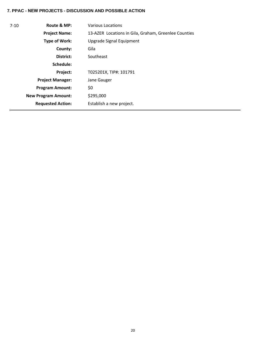| $7 - 10$ | Route & MP:                | <b>Various Locations</b>                             |
|----------|----------------------------|------------------------------------------------------|
|          | <b>Project Name:</b>       | 13-AZER Locations in Gila, Graham, Greenlee Counties |
|          | Type of Work:              | Upgrade Signal Equipment                             |
|          | County:                    | Gila                                                 |
|          | District:                  | Southeast                                            |
|          | Schedule:                  |                                                      |
|          | Project:                   | T025201X, TIP#: 101791                               |
|          | <b>Project Manager:</b>    | Jane Gauger                                          |
|          | <b>Program Amount:</b>     | \$0                                                  |
|          | <b>New Program Amount:</b> | \$295,000                                            |
|          | <b>Requested Action:</b>   | Establish a new project.                             |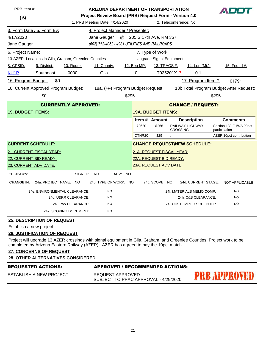| PRB Item #:                                                  |                                      | <b>ARIZONA DEPARTMENT OF TRANSPORTATION</b><br>ADOT   |                                    |         |                           |                          |                       |                                     |               |                                         |
|--------------------------------------------------------------|--------------------------------------|-------------------------------------------------------|------------------------------------|---------|---------------------------|--------------------------|-----------------------|-------------------------------------|---------------|-----------------------------------------|
| 09                                                           |                                      | Project Review Board (PRB) Request Form - Version 4.0 |                                    |         |                           |                          |                       |                                     |               |                                         |
|                                                              |                                      |                                                       | 1. PRB Meeting Date: 4/14/2020     |         |                           |                          | 2. Teleconference: No |                                     |               |                                         |
|                                                              | 3. Form Date / 5. Form By:           |                                                       | 4. Project Manager / Presenter:    |         |                           |                          |                       |                                     |               |                                         |
| 4/17/2020                                                    |                                      | @ 205 S 17th Ave, RM 357                              |                                    |         |                           |                          |                       |                                     |               |                                         |
| (602) 712-4052 - 4981 UTILITIES AND RAILROADS<br>Jane Gauger |                                      |                                                       |                                    |         |                           |                          |                       |                                     |               |                                         |
| 6. Project Name:                                             |                                      |                                                       |                                    |         |                           | 7. Type of Work:         |                       |                                     |               |                                         |
|                                                              |                                      | 13-AZER Locations in Gila, Graham, Greenlee Counties  |                                    |         |                           | Upgrade Signal Equipment |                       |                                     |               |                                         |
| 8. CPSID:                                                    | 9. District:                         | 10. Route:                                            | 11. County:                        |         | 12. Beg MP:               | 13. TRACS #:             |                       | 14. Len (Mi.):                      |               | <u>15. Fed Id #:</u>                    |
| KU <sub>1</sub> P                                            | Southeast                            | 0000                                                  | Gila                               |         | $\Omega$                  |                          | T025201X ?            | 0.1                                 |               |                                         |
| 16. Program Budget:                                          | \$0                                  |                                                       |                                    |         |                           |                          |                       | 17. Program Item #:                 |               | 101791                                  |
|                                                              | 18. Current Approved Program Budget: |                                                       | 18a. (+/-) Program Budget Request: |         |                           |                          |                       |                                     |               | 18b Total Program Budget After Request: |
|                                                              | \$0                                  |                                                       |                                    | \$295   |                           |                          |                       |                                     | \$295         |                                         |
| <b>CURRENTLY APPROVED:</b><br><b>CHANGE / REQUEST:</b>       |                                      |                                                       |                                    |         |                           |                          |                       |                                     |               |                                         |
| <b>19. BUDGET ITEMS:</b>                                     |                                      |                                                       |                                    |         | <b>19A. BUDGET ITEMS:</b> |                          |                       |                                     |               |                                         |
|                                                              |                                      |                                                       |                                    |         |                           | Item # Amount            |                       | <b>Description</b>                  |               | <b>Comments</b>                         |
|                                                              |                                      |                                                       |                                    |         | 72620                     | \$266                    | <b>CROSSING</b>       | RAILWAY HIGHWAY                     | participation | Section 130 FHWA 90pct                  |
|                                                              |                                      |                                                       |                                    |         | OTHR20                    | \$29                     |                       |                                     |               | AZER 10pct contribution                 |
|                                                              | <b>CURRENT SCHEDULE:</b>             |                                                       |                                    |         |                           |                          |                       | <b>CHANGE REQUEST\NEW SCHEDULE:</b> |               |                                         |
|                                                              | 21. CURRENT FISCAL YEAR:             |                                                       |                                    |         | 21A. REQUEST FISCAL YEAR: |                          |                       |                                     |               |                                         |
|                                                              | 22. CURRENT BID READY:               |                                                       |                                    |         | 22A. REQUEST BID READY:   |                          |                       |                                     |               |                                         |
| 23. CURRENT ADV DATE:                                        |                                      |                                                       |                                    |         | 23A. REQUEST ADV DATE:    |                          |                       |                                     |               |                                         |
| 20. JPA #'s:                                                 |                                      | SIGNED:                                               | <b>NO</b>                          | ADV: NO |                           |                          |                       |                                     |               |                                         |
| <b>CHANGE IN:</b>                                            | 24a: PROJECT NAME: NO                |                                                       | 24b. TYPE OF WORK: NO              |         |                           | 24c. SCOPE: NO           |                       | 24d. CURRENT STAGE:                 |               | NOT APPLICABLE                          |
|                                                              |                                      | 24e. ENVIRONMENTAL CLEARANCE:                         | <b>NO</b>                          |         |                           |                          |                       | 24f. MATERIALS MEMO COMP:           |               | <b>NO</b>                               |
|                                                              |                                      | 24g. U&RR CLEARANCE:                                  | <b>NO</b>                          |         |                           |                          |                       | 24h. C&S CLEARANCE:                 |               | <b>NO</b>                               |
|                                                              |                                      | 24i. R/W CLEARANCE:                                   | <b>NO</b>                          |         |                           |                          |                       | 24j. CUSTOMIZED SCHEDULE:           |               | <b>NO</b>                               |
|                                                              |                                      | 24k. SCOPING DOCUMENT:                                | <b>NO</b>                          |         |                           |                          |                       |                                     |               |                                         |
|                                                              | <b>25. DESCRIPTION OF REQUEST</b>    |                                                       |                                    |         |                           |                          |                       |                                     |               |                                         |

Establish a new project.

## **26. JUSTIFICATION OF REQUEST**

Project will upgrade 13 AZER crossings with signal equipment in Gila, Graham, and Greenlee Counties. Project work to be completed by Arizona Eastern Railway (AZER). AZER has agreed to pay the 10pct match.

# **27. CONCERNS OF REQUEST**

|--|

| <b>REQUESTED ACTIONS:</b> | APPROVED / RECOMMENDED ACTIONS:                          |                     |
|---------------------------|----------------------------------------------------------|---------------------|
| ESTABLISH A NEW PROJECT   | REQUEST APPROVED<br>SUBJECT TO PPAC APPROVAL - 4/29/2020 | <b>PRB APPROVED</b> |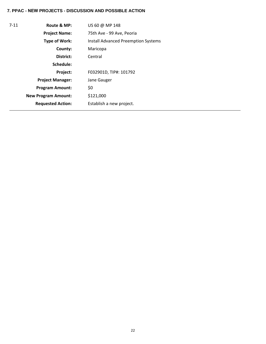| $7 - 11$ | Route & MP:                | US 60 @ MP 148                             |
|----------|----------------------------|--------------------------------------------|
|          | <b>Project Name:</b>       | 75th Ave - 99 Ave, Peoria                  |
|          | <b>Type of Work:</b>       | <b>Install Advanced Preemption Systems</b> |
|          | County:                    | Maricopa                                   |
|          | District:                  | Central                                    |
|          | Schedule:                  |                                            |
|          | Project:                   | F032901D, TIP#: 101792                     |
|          | <b>Project Manager:</b>    | Jane Gauger                                |
|          | <b>Program Amount:</b>     | \$0                                        |
|          | <b>New Program Amount:</b> | \$121,000                                  |
|          | <b>Requested Action:</b>   | Establish a new project.                   |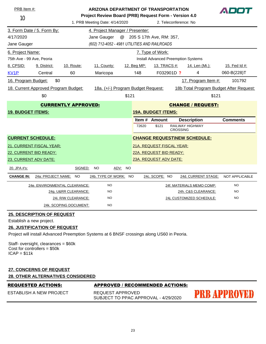| PRB Item #:                       |                                      | <b>ARIZONA DEPARTMENT OF TRANSPORTATION</b>           |                                               |           |                           |                                            |                       |                                     | A D D                                   |  |
|-----------------------------------|--------------------------------------|-------------------------------------------------------|-----------------------------------------------|-----------|---------------------------|--------------------------------------------|-----------------------|-------------------------------------|-----------------------------------------|--|
| 10                                |                                      | Project Review Board (PRB) Request Form - Version 4.0 |                                               |           |                           |                                            |                       |                                     |                                         |  |
|                                   |                                      |                                                       | 1. PRB Meeting Date: 4/14/2020                |           |                           |                                            | 2. Teleconference: No |                                     |                                         |  |
|                                   | 3. Form Date / 5. Form By:           |                                                       | 4. Project Manager / Presenter:               |           |                           |                                            |                       |                                     |                                         |  |
| 4/17/2020                         | @                                    |                                                       | 205 S 17th Ave, RM: 357,                      |           |                           |                                            |                       |                                     |                                         |  |
| Jane Gauger                       |                                      |                                                       | (602) 712-4052 - 4981 UTILITIES AND RAILROADS |           |                           |                                            |                       |                                     |                                         |  |
| 6. Project Name:                  |                                      |                                                       |                                               |           |                           | 7. Type of Work:                           |                       |                                     |                                         |  |
| 75th Ave - 99 Ave, Peoria         |                                      |                                                       |                                               |           |                           | <b>Install Advanced Preemption Systems</b> |                       |                                     |                                         |  |
| 8. CPSID:                         | 9. District:                         | 10. Route:                                            | 11. County:                                   |           | 12. Beg MP:               | 13. TRACS #:                               |                       | 14. Len (Mi.):                      | 15. Fed Id #:                           |  |
| KV <sub>1</sub> P                 | Central                              | 60                                                    | Maricopa                                      |           | 148                       | F032901D ?                                 |                       | 4                                   | 060-B(228)T                             |  |
| 16. Program Budget:               | \$0                                  |                                                       |                                               |           |                           |                                            |                       | 17. Program Item #:                 | 101792                                  |  |
|                                   | 18. Current Approved Program Budget: |                                                       | 18a. (+/-) Program Budget Request:            |           |                           |                                            |                       |                                     | 18b Total Program Budget After Request: |  |
|                                   | \$0                                  |                                                       |                                               | \$121     |                           |                                            |                       | \$121                               |                                         |  |
|                                   |                                      | <b>CURRENTLY APPROVED:</b>                            |                                               |           |                           |                                            |                       | <b>CHANGE / REQUEST:</b>            |                                         |  |
| <b>19. BUDGET ITEMS:</b>          |                                      |                                                       |                                               |           | <b>19A. BUDGET ITEMS:</b> |                                            |                       |                                     |                                         |  |
|                                   |                                      |                                                       |                                               |           |                           | Item # Amount                              |                       | <b>Description</b>                  | <b>Comments</b>                         |  |
|                                   |                                      |                                                       |                                               |           | 72620                     | \$121                                      | <b>CROSSING</b>       | RAILWAY HIGHWAY                     |                                         |  |
|                                   | <b>CURRENT SCHEDULE:</b>             |                                                       |                                               |           |                           |                                            |                       | <b>CHANGE REQUEST\NEW SCHEDULE:</b> |                                         |  |
|                                   | 21. CURRENT FISCAL YEAR:             |                                                       |                                               |           | 21A. REQUEST FISCAL YEAR: |                                            |                       |                                     |                                         |  |
|                                   | 22. CURRENT BID READY:               |                                                       |                                               |           | 22A. REQUEST BID READY:   |                                            |                       |                                     |                                         |  |
|                                   | 23. CURRENT ADV DATE:                |                                                       |                                               |           | 23A. REQUEST ADV DATE:    |                                            |                       |                                     |                                         |  |
| 20. JPA #'s:                      |                                      | SIGNED:                                               | <b>NO</b><br>ADV:                             | <b>NO</b> |                           |                                            |                       |                                     |                                         |  |
| <b>CHANGE IN:</b>                 | 24a: PROJECT NAME:                   | <b>NO</b>                                             | 24b. TYPE OF WORK: NO                         |           |                           | 24c. SCOPE: NO                             |                       | 24d. CURRENT STAGE:                 | <b>NOT APPLICABLE</b>                   |  |
|                                   |                                      | <u> 24e. ENVIRONMENTAL CLEARANCE:</u>                 | <b>NO</b>                                     |           |                           |                                            |                       | 24f. MATERIALS MEMO COMP:           | <b>NO</b>                               |  |
| 24g. U&RR CLEARANCE:<br><b>NO</b> |                                      |                                                       |                                               |           |                           |                                            |                       | 24h. C&S CLEARANCE:                 | <b>NO</b>                               |  |
| 24i. R/W CLEARANCE:<br><b>NO</b>  |                                      |                                                       |                                               |           |                           |                                            |                       | 24j. CUSTOMIZED SCHEDULE:           | <b>NO</b>                               |  |
|                                   |                                      | 24k. SCOPING DOCUMENT:                                | <b>NO</b>                                     |           |                           |                                            |                       |                                     |                                         |  |
|                                   | <b>25. DESCRIPTION OF REQUEST</b>    |                                                       |                                               |           |                           |                                            |                       |                                     |                                         |  |

Establish a new project.

#### **26. JUSTIFICATION OF REQUEST**

Project will install Advanced Preemption Systems at 6 BNSF crossings along US60 in Peoria.

Staff- oversight, clearances = \$60k Cost for controllers = \$50k  $ICAP = $11k$ 

# **27. CONCERNS OF REQUEST 28. OTHER ALTERNATIVES CONSIDERED**

### REQUESTED ACTIONS: APPROVED / RECOMMENDED ACTIONS:

ESTABLISH A NEW PROJECT

REQUEST APPROVED SUBJECT TO PPAC APPROVAL - 4/29/2020

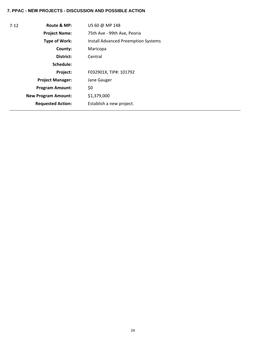| $7 - 12$ | Route & MP:                | US 60 @ MP 148                             |
|----------|----------------------------|--------------------------------------------|
|          | <b>Project Name:</b>       | 75th Ave - 99th Ave, Peoria                |
|          | Type of Work:              | <b>Install Advanced Preemption Systems</b> |
|          | County:                    | Maricopa                                   |
|          | District:                  | Central                                    |
|          | Schedule:                  |                                            |
|          | <b>Project:</b>            | F032901X, TIP#: 101792                     |
|          | <b>Project Manager:</b>    | Jane Gauger                                |
|          | <b>Program Amount:</b>     | \$0                                        |
|          | <b>New Program Amount:</b> | \$1,379,000                                |
|          | <b>Requested Action:</b>   | Establish a new project.                   |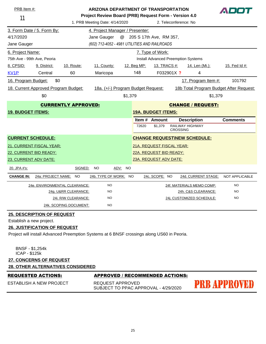| PRB Item #:                                           |                                                                                                            | <b>ARIZONA DEPARTMENT OF TRANSPORTATION</b>                                                                      |                                                                                            |                                                                                                      |       |                           |                                    |                                     | ADOT                                    |  |
|-------------------------------------------------------|------------------------------------------------------------------------------------------------------------|------------------------------------------------------------------------------------------------------------------|--------------------------------------------------------------------------------------------|------------------------------------------------------------------------------------------------------|-------|---------------------------|------------------------------------|-------------------------------------|-----------------------------------------|--|
| 11                                                    |                                                                                                            | Project Review Board (PRB) Request Form - Version 4.0<br>1. PRB Meeting Date: 4/14/2020<br>2. Teleconference: No |                                                                                            |                                                                                                      |       |                           |                                    |                                     |                                         |  |
|                                                       | 3. Form Date / 5. Form By:                                                                                 |                                                                                                                  | 4. Project Manager / Presenter:                                                            |                                                                                                      |       |                           |                                    |                                     |                                         |  |
| 4/17/2020                                             |                                                                                                            |                                                                                                                  | Jane Gauger                                                                                |                                                                                                      |       | @ 205 S 17th Ave, RM 357, |                                    |                                     |                                         |  |
| Jane Gauger                                           |                                                                                                            |                                                                                                                  | (602) 712-4052 - 4981 UTILITIES AND RAILROADS                                              |                                                                                                      |       |                           |                                    |                                     |                                         |  |
|                                                       |                                                                                                            |                                                                                                                  |                                                                                            |                                                                                                      |       |                           |                                    |                                     |                                         |  |
|                                                       | 6. Project Name:<br>7. Type of Work:<br>75th Ave - 99th Ave, Peoria<br>Install Advanced Preemption Systems |                                                                                                                  |                                                                                            |                                                                                                      |       |                           |                                    |                                     |                                         |  |
| 8. CPSID:                                             | 9. District:                                                                                               | 10. Route:                                                                                                       |                                                                                            |                                                                                                      |       |                           |                                    |                                     | 15. Fed Id #:                           |  |
| KV <sub>1</sub> P                                     | Central                                                                                                    | 60                                                                                                               | Maricopa                                                                                   | 11. County:<br>12. Beg MP:<br><u>13. TRACS #:</u><br><u>14. Len (Mi.):</u><br>148<br>F032901X ?<br>4 |       |                           |                                    |                                     |                                         |  |
|                                                       |                                                                                                            |                                                                                                                  |                                                                                            |                                                                                                      |       |                           |                                    |                                     |                                         |  |
| 16. Program Budget:                                   | \$0                                                                                                        |                                                                                                                  |                                                                                            |                                                                                                      |       |                           |                                    | 17. Program Item #:                 | 101792                                  |  |
|                                                       | 18. Current Approved Program Budget:                                                                       |                                                                                                                  | 18a. (+/-) Program Budget Request:                                                         |                                                                                                      |       |                           |                                    |                                     | 18b Total Program Budget After Request: |  |
|                                                       | \$0                                                                                                        |                                                                                                                  |                                                                                            | \$1,379                                                                                              |       |                           |                                    | \$1,379                             |                                         |  |
|                                                       |                                                                                                            | <b>CURRENTLY APPROVED:</b>                                                                                       |                                                                                            |                                                                                                      |       |                           |                                    | <b>CHANGE / REQUEST:</b>            |                                         |  |
| <b>19. BUDGET ITEMS:</b>                              |                                                                                                            |                                                                                                                  |                                                                                            |                                                                                                      |       | <b>19A. BUDGET ITEMS:</b> |                                    |                                     |                                         |  |
|                                                       |                                                                                                            |                                                                                                                  |                                                                                            |                                                                                                      |       | Item # Amount             |                                    | <b>Description</b>                  | <b>Comments</b>                         |  |
|                                                       |                                                                                                            |                                                                                                                  |                                                                                            |                                                                                                      | 72620 | \$1,379                   | RAILWAY HIGHWAY<br><b>CROSSING</b> |                                     |                                         |  |
| <b>CURRENT SCHEDULE:</b>                              |                                                                                                            |                                                                                                                  |                                                                                            |                                                                                                      |       |                           |                                    | <b>CHANGE REQUEST\NEW SCHEDULE:</b> |                                         |  |
| 21. CURRENT FISCAL YEAR:<br>21A. REQUEST FISCAL YEAR: |                                                                                                            |                                                                                                                  |                                                                                            |                                                                                                      |       |                           |                                    |                                     |                                         |  |
| 22. CURRENT BID READY:<br>22A. REQUEST BID READY:     |                                                                                                            |                                                                                                                  |                                                                                            |                                                                                                      |       |                           |                                    |                                     |                                         |  |
| 23A. REQUEST ADV DATE:<br>23. CURRENT ADV DATE:       |                                                                                                            |                                                                                                                  |                                                                                            |                                                                                                      |       |                           |                                    |                                     |                                         |  |
| 20. JPA #'s:                                          |                                                                                                            | SIGNED:                                                                                                          | NO<br>ADV:                                                                                 | NO                                                                                                   |       |                           |                                    |                                     |                                         |  |
| <b>CHANGE IN:</b>                                     | 24a: PROJECT NAME:                                                                                         | NO                                                                                                               | 24b. TYPE OF WORK: NO                                                                      |                                                                                                      |       | 24c. SCOPE: NO            |                                    | 24d. CURRENT STAGE:                 | <b>NOT APPLICABLE</b>                   |  |
|                                                       | 24e. ENVIRONMENTAL CLEARANCE:                                                                              |                                                                                                                  | <b>NO</b>                                                                                  |                                                                                                      |       |                           |                                    | 24f. MATERIALS MEMO COMP:           | <b>NO</b>                               |  |
|                                                       |                                                                                                            | 24g. U&RR CLEARANCE:                                                                                             | <b>NO</b>                                                                                  |                                                                                                      |       |                           |                                    | 24h. C&S CLEARANCE:                 | <b>NO</b>                               |  |
|                                                       |                                                                                                            | 24i. R/W CLEARANCE:                                                                                              | <b>NO</b>                                                                                  |                                                                                                      |       |                           | 24j. CUSTOMIZED SCHEDULE:          | NO                                  |                                         |  |
|                                                       |                                                                                                            | 24k. SCOPING DOCUMENT:                                                                                           | NO                                                                                         |                                                                                                      |       |                           |                                    |                                     |                                         |  |
|                                                       | <b>25. DESCRIPTION OF REQUEST</b>                                                                          |                                                                                                                  |                                                                                            |                                                                                                      |       |                           |                                    |                                     |                                         |  |
| Establish a new project.                              |                                                                                                            |                                                                                                                  |                                                                                            |                                                                                                      |       |                           |                                    |                                     |                                         |  |
|                                                       | <b>26. JUSTIFICATION OF REQUEST</b>                                                                        |                                                                                                                  |                                                                                            |                                                                                                      |       |                           |                                    |                                     |                                         |  |
|                                                       |                                                                                                            |                                                                                                                  | Project will install Advanced Preemption Systems at 6 BNSF crossings along US60 in Peoria. |                                                                                                      |       |                           |                                    |                                     |                                         |  |
|                                                       |                                                                                                            |                                                                                                                  |                                                                                            |                                                                                                      |       |                           |                                    |                                     |                                         |  |
| <b>BNSF - \$1,254k</b><br>ICAP - \$125k               |                                                                                                            |                                                                                                                  |                                                                                            |                                                                                                      |       |                           |                                    |                                     |                                         |  |
|                                                       | <b>27. CONCERNS OF REQUEST</b>                                                                             |                                                                                                                  |                                                                                            |                                                                                                      |       |                           |                                    |                                     |                                         |  |
|                                                       | <b>28. OTHER ALTERNATIVES CONSIDERED</b>                                                                   |                                                                                                                  |                                                                                            |                                                                                                      |       |                           |                                    |                                     |                                         |  |
|                                                       | <b>REQUESTED ACTIONS:</b>                                                                                  |                                                                                                                  | <b>APPROVED / RECOMMENDED ACTIONS:</b>                                                     |                                                                                                      |       |                           |                                    |                                     |                                         |  |
|                                                       | <b>ESTABLISH A NEW PROJECT</b>                                                                             |                                                                                                                  | REQUEST APPROVED<br>SUBJECT TO PPAC APPROVAL - 4/29/2020                                   |                                                                                                      |       |                           |                                    |                                     | PRB APPROVED                            |  |
|                                                       |                                                                                                            |                                                                                                                  |                                                                                            |                                                                                                      |       |                           |                                    |                                     |                                         |  |
|                                                       |                                                                                                            |                                                                                                                  |                                                                                            |                                                                                                      |       |                           |                                    |                                     |                                         |  |
|                                                       |                                                                                                            |                                                                                                                  |                                                                                            |                                                                                                      |       |                           |                                    |                                     |                                         |  |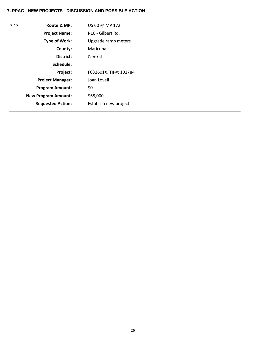| $7 - 13$ | Route & MP:                | US 60 @ MP 172         |
|----------|----------------------------|------------------------|
|          | <b>Project Name:</b>       | I-10 - Gilbert Rd.     |
|          | <b>Type of Work:</b>       | Upgrade ramp meters    |
|          | County:                    | Maricopa               |
|          | District:                  | Central                |
|          | Schedule:                  |                        |
|          | Project:                   | F032601X, TIP#: 101784 |
|          | <b>Project Manager:</b>    | Joan Lovell            |
|          | <b>Program Amount:</b>     | \$0                    |
|          | <b>New Program Amount:</b> | \$68,000               |
|          | <b>Requested Action:</b>   | Establish new project  |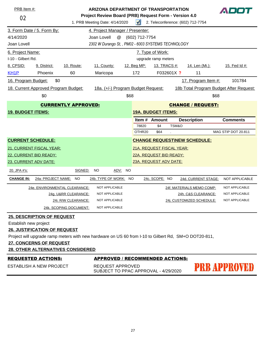| PRB Item #:                                                                                          | <b>ARIZONA DEPARTMENT OF TRANSPORTATION</b>                                                              |                                                       |                                    |      |                                             |                           |       | ADOT                                |                                         |  |
|------------------------------------------------------------------------------------------------------|----------------------------------------------------------------------------------------------------------|-------------------------------------------------------|------------------------------------|------|---------------------------------------------|---------------------------|-------|-------------------------------------|-----------------------------------------|--|
| 02                                                                                                   |                                                                                                          | Project Review Board (PRB) Request Form - Version 4.0 |                                    |      |                                             |                           |       |                                     |                                         |  |
|                                                                                                      |                                                                                                          |                                                       | 1. PRB Meeting Date: 4/14/2020     |      | $\sqrt{ }$                                  |                           |       | 2. Teleconference: (602) 712-7754   |                                         |  |
|                                                                                                      | 3. Form Date / 5. Form By:                                                                               |                                                       | 4. Project Manager / Presenter:    |      |                                             |                           |       |                                     |                                         |  |
| 4/14/2020                                                                                            |                                                                                                          |                                                       | @<br>Joan Lovell                   |      | (602) 712-7754                              |                           |       |                                     |                                         |  |
| Joan Lovell                                                                                          | 2302 W Durango St, , PM02 - 6003 SYSTEMS TECHNOLOGY                                                      |                                                       |                                    |      |                                             |                           |       |                                     |                                         |  |
|                                                                                                      | 6. Project Name:<br>7. Type of Work:                                                                     |                                                       |                                    |      |                                             |                           |       |                                     |                                         |  |
| I-10 - Gilbert Rd.                                                                                   |                                                                                                          |                                                       |                                    |      |                                             | upgrade ramp meters       |       |                                     |                                         |  |
| 8. CPSID:                                                                                            | 12. Beg MP:<br>9. District:<br>10. Route:<br>11. County:<br><u>13. TRACS #:</u><br><u>14. Len (Mi.):</u> |                                                       |                                    |      |                                             |                           |       | 15. Fed Id #:                       |                                         |  |
| KH <sub>1</sub> P                                                                                    | Phoenix                                                                                                  | 60                                                    | Maricopa                           |      | 172                                         | F032601X ?                |       | 11                                  |                                         |  |
| 16. Program Budget:                                                                                  | \$0                                                                                                      |                                                       |                                    |      |                                             |                           |       | 17. Program Item #:                 | 101784                                  |  |
|                                                                                                      | 18. Current Approved Program Budget:                                                                     |                                                       | 18a. (+/-) Program Budget Request: |      |                                             |                           |       |                                     | 18b Total Program Budget After Request: |  |
|                                                                                                      | \$0                                                                                                      |                                                       |                                    | \$68 |                                             |                           |       | \$68                                |                                         |  |
|                                                                                                      |                                                                                                          | <b>CURRENTLY APPROVED:</b>                            |                                    |      |                                             |                           |       | <b>CHANGE / REQUEST:</b>            |                                         |  |
| <b>19. BUDGET ITEMS:</b>                                                                             |                                                                                                          |                                                       |                                    |      |                                             | <b>19A. BUDGET ITEMS:</b> |       |                                     |                                         |  |
|                                                                                                      |                                                                                                          |                                                       |                                    |      |                                             | Item # Amount             |       | <b>Description</b>                  | <b>Comments</b>                         |  |
|                                                                                                      |                                                                                                          |                                                       |                                    |      | 78820                                       | \$4                       | TSM&O |                                     |                                         |  |
|                                                                                                      |                                                                                                          |                                                       |                                    |      | OTHR <sub>20</sub>                          | \$64                      |       |                                     | MAG STIP DOT 20.811                     |  |
| <b>CURRENT SCHEDULE:</b>                                                                             |                                                                                                          |                                                       |                                    |      |                                             |                           |       | <b>CHANGE REQUEST\NEW SCHEDULE:</b> |                                         |  |
|                                                                                                      | 21. CURRENT FISCAL YEAR:                                                                                 |                                                       |                                    |      |                                             | 21A. REQUEST FISCAL YEAR: |       |                                     |                                         |  |
|                                                                                                      | 22. CURRENT BID READY:                                                                                   |                                                       |                                    |      | 22A. REQUEST BID READY:                     |                           |       |                                     |                                         |  |
| 23. CURRENT ADV DATE:                                                                                |                                                                                                          |                                                       |                                    |      | 23A. REQUEST ADV DATE:                      |                           |       |                                     |                                         |  |
| 20. JPA #'s:                                                                                         |                                                                                                          | SIGNED:                                               | <b>NO</b><br><u>ADV:</u>           | NO   |                                             |                           |       |                                     |                                         |  |
| <b>CHANGE IN:</b>                                                                                    | 24a: PROJECT NAME:                                                                                       | NO.                                                   | 24b. TYPE OF WORK:                 | NO   |                                             | 24c. SCOPE: NO            |       | 24d. CURRENT STAGE:                 | NOT APPLICABLE                          |  |
|                                                                                                      |                                                                                                          | 24e. ENVIRONMENTAL CLEARANCE:                         | NOT APPLICABLE                     |      |                                             |                           |       | 24f. MATERIALS MEMO COMP:           | NOT APPLICABLE                          |  |
|                                                                                                      |                                                                                                          | 24g. U&RR CLEARANCE:                                  | <b>NOT APPLICABLE</b>              |      |                                             |                           |       | 24h. C&S CLEARANCE:                 | NOT APPLICABLE                          |  |
| NOT APPLICABLE<br>24i. R/W CLEARANCE:                                                                |                                                                                                          |                                                       |                                    |      | 24j. CUSTOMIZED SCHEDULE:<br>NOT APPLICABLE |                           |       |                                     |                                         |  |
|                                                                                                      | NOT APPLICABLE<br>24k. SCOPING DOCUMENT:                                                                 |                                                       |                                    |      |                                             |                           |       |                                     |                                         |  |
|                                                                                                      | <b>25. DESCRIPTION OF REQUEST</b>                                                                        |                                                       |                                    |      |                                             |                           |       |                                     |                                         |  |
| Establish new project                                                                                |                                                                                                          |                                                       |                                    |      |                                             |                           |       |                                     |                                         |  |
|                                                                                                      | <b>26. JUSTIFICATION OF REQUEST</b>                                                                      |                                                       |                                    |      |                                             |                           |       |                                     |                                         |  |
| Project will upgrade ramp meters with new hardware on US 60 from I-10 to Gilbert Rd, SM+O DOT20-811, |                                                                                                          |                                                       |                                    |      |                                             |                           |       |                                     |                                         |  |

**27. CONCERNS OF REQUEST**

#### **28. OTHER ALTERNATIVES CONSIDERED**

|  | REQUESTED ACTIONS: |  |
|--|--------------------|--|
|  |                    |  |

# **APPROVED / RECOMMENDED ACTIONS:**

ESTABLISH A NEW PROJECT

REQUEST APPROVED SUBJECT TO PPAC APPROVAL - 4/29/2020 **PRB APPROVED**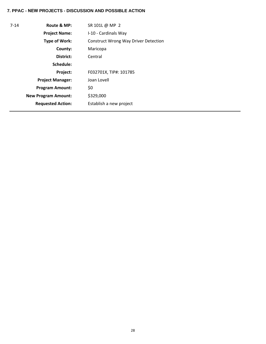| $7 - 14$ | Route & MP:                | SR 101L @ MP 2                              |
|----------|----------------------------|---------------------------------------------|
|          | <b>Project Name:</b>       | I-10 - Cardinals Way                        |
|          | <b>Type of Work:</b>       | <b>Construct Wrong Way Driver Detection</b> |
|          | County:                    | Maricopa                                    |
|          | District:                  | Central                                     |
|          | Schedule:                  |                                             |
|          | Project:                   | F032701X, TIP#: 101785                      |
|          | <b>Project Manager:</b>    | Joan Lovell                                 |
|          | <b>Program Amount:</b>     | \$0                                         |
|          | <b>New Program Amount:</b> | \$329,000                                   |
|          | <b>Requested Action:</b>   | Establish a new project                     |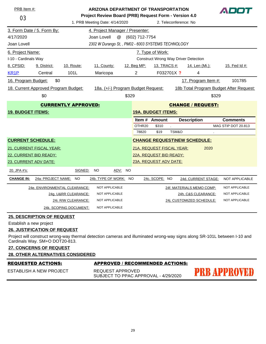| PRB Item #:              |                                      |                               | <b>ARIZONA DEPARTMENT OF TRANSPORTATION</b>           |           |                           |                  |                       |                                             | ADOT                                    |
|--------------------------|--------------------------------------|-------------------------------|-------------------------------------------------------|-----------|---------------------------|------------------|-----------------------|---------------------------------------------|-----------------------------------------|
| 03                       |                                      |                               | Project Review Board (PRB) Request Form - Version 4.0 |           |                           |                  |                       |                                             |                                         |
|                          |                                      |                               | 1. PRB Meeting Date: 4/14/2020                        |           |                           |                  | 2. Teleconference: No |                                             |                                         |
|                          | 3. Form Date / 5. Form By:           |                               | 4. Project Manager / Presenter:                       |           |                           |                  |                       |                                             |                                         |
| 4/17/2020                |                                      |                               | Joan Lovell<br>$^\text{\textregistered}$              |           | (602) 712-7754            |                  |                       |                                             |                                         |
| Joan Lovell              |                                      |                               | 2302 W Durango St., PM02 - 6003 SYSTEMS TECHNOLOGY    |           |                           |                  |                       |                                             |                                         |
| 6. Project Name:         |                                      |                               |                                                       |           |                           | 7. Type of Work: |                       |                                             |                                         |
| I-10 - Cardinals Way     |                                      |                               |                                                       |           |                           |                  |                       | <b>Construct Wrong Way Driver Detection</b> |                                         |
| 8. CPSID:                | 9. District:                         | 10. Route:                    | 11. County:                                           |           | 12. Beg MP:               |                  | 13. TRACS #:          | 14. Len (Mi.):                              | 15. Fed Id #:                           |
| KR <sub>1</sub> P        | Central                              | 101L                          | Maricopa                                              |           | $\overline{2}$            |                  | F032701X ?            | 4                                           |                                         |
| 16. Program Budget:      | \$0                                  |                               |                                                       |           |                           |                  |                       | 17. Program Item #:                         | 101785                                  |
|                          | 18. Current Approved Program Budget: |                               | 18a. (+/-) Program Budget Request:                    |           |                           |                  |                       |                                             | 18b Total Program Budget After Request: |
|                          | \$0                                  |                               |                                                       | \$329     |                           |                  |                       | \$329                                       |                                         |
|                          |                                      | <b>CURRENTLY APPROVED:</b>    |                                                       |           |                           |                  |                       | <b>CHANGE / REQUEST:</b>                    |                                         |
| <b>19. BUDGET ITEMS:</b> |                                      |                               |                                                       |           | <b>19A. BUDGET ITEMS:</b> |                  |                       |                                             |                                         |
|                          |                                      |                               |                                                       |           |                           | Item # Amount    |                       | <b>Description</b>                          | <b>Comments</b>                         |
|                          |                                      |                               |                                                       |           | OTHR20                    | \$310            |                       |                                             | MAG STIP DOT 20.813                     |
|                          |                                      |                               |                                                       |           | 78820                     | \$19             | TSM&O                 |                                             |                                         |
| <b>CURRENT SCHEDULE:</b> |                                      |                               |                                                       |           |                           |                  |                       | <b>CHANGE REQUEST\NEW SCHEDULE:</b>         |                                         |
|                          | 21. CURRENT FISCAL YEAR:             |                               |                                                       |           | 21A. REQUEST FISCAL YEAR: |                  |                       | 2020                                        |                                         |
| 22. CURRENT BID READY:   |                                      |                               |                                                       |           | 22A. REQUEST BID READY:   |                  |                       |                                             |                                         |
| 23. CURRENT ADV DATE:    |                                      |                               |                                                       |           | 23A. REQUEST ADV DATE:    |                  |                       |                                             |                                         |
| 20. JPA #'s:             |                                      | SIGNED:                       | <b>NO</b><br>ADV:                                     | <b>NO</b> |                           |                  |                       |                                             |                                         |
| <b>CHANGE IN:</b>        | 24a: PROJECT NAME:                   | <b>NO</b>                     | 24b. TYPE OF WORK: NO                                 |           |                           | 24c. SCOPE: NO   |                       | 24d. CURRENT STAGE:                         | NOT APPLICABLE                          |
|                          |                                      | 24e. ENVIRONMENTAL CLEARANCE: | NOT APPLICABLE                                        |           |                           |                  |                       | 24f. MATERIALS MEMO COMP:                   | NOT APPLICABLE                          |
|                          |                                      | 24g. U&RR CLEARANCE:          | NOT APPLICABLE                                        |           |                           |                  |                       | 24h. C&S CLEARANCE:                         | NOT APPLICABLE                          |
|                          |                                      | 24i. R/W CLEARANCE:           | NOT APPLICABLE                                        |           |                           |                  |                       | 24j. CUSTOMIZED SCHEDULE:                   | NOT APPLICABLE                          |
|                          |                                      | 24k. SCOPING DOCUMENT:        | NOT APPLICABLE                                        |           |                           |                  |                       |                                             |                                         |

Establish a new project

### **26. JUSTIFICATION OF REQUEST**

Project will construct wrong-way thermal detection cameras and illuminated wrong-way signs along SR-101L between I-10 and Cardinals Way. SM+O DOT20-813.

# **27. CONCERNS OF REQUEST**

**28. OTHER ALTERNATIVES CONSIDERED**

|  |  |  | REQUESTED ACTIONS: |
|--|--|--|--------------------|
|  |  |  |                    |

#### **APPROVED / RECOMMENDED ACTIONS:**

ESTABLISH A NEW PROJECT

REQUEST APPROVED SUBJECT TO PPAC APPROVAL - 4/29/2020 **PRB APPROVED**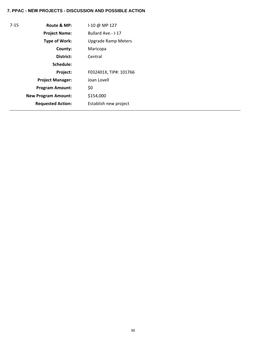| $7 - 15$ | Route & MP:                | 1-10 @ MP 127              |
|----------|----------------------------|----------------------------|
|          | <b>Project Name:</b>       | Bullard Ave.- I-17         |
|          | <b>Type of Work:</b>       | <b>Upgrade Ramp Meters</b> |
|          | County:                    | Maricopa                   |
|          | District:                  | Central                    |
|          | Schedule:                  |                            |
|          | Project:                   | F032401X, TIP#: 101766     |
|          | <b>Project Manager:</b>    | Joan Lovell                |
|          | <b>Program Amount:</b>     | \$0                        |
|          | <b>New Program Amount:</b> | \$154,000                  |
|          | <b>Requested Action:</b>   | Establish new project      |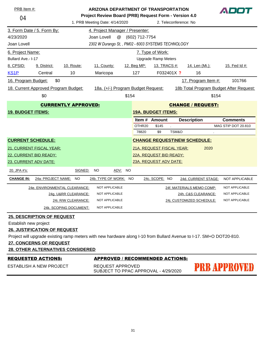| PRB Item #:              |                                      |                            | <b>ARIZONA DEPARTMENT OF TRANSPORTATION</b>           |           |                |                            |                       |                                                                                                                     | ADOT                                    |
|--------------------------|--------------------------------------|----------------------------|-------------------------------------------------------|-----------|----------------|----------------------------|-----------------------|---------------------------------------------------------------------------------------------------------------------|-----------------------------------------|
| 04                       |                                      |                            | Project Review Board (PRB) Request Form - Version 4.0 |           |                |                            |                       |                                                                                                                     |                                         |
|                          |                                      |                            | 1. PRB Meeting Date: 4/14/2020                        |           |                |                            | 2. Teleconference: No |                                                                                                                     |                                         |
|                          | 3. Form Date / 5. Form By:           |                            | 4. Project Manager / Presenter:                       |           |                |                            |                       |                                                                                                                     |                                         |
| 4/23/2020                |                                      |                            | @<br>Joan Lovell                                      |           | (602) 712-7754 |                            |                       |                                                                                                                     |                                         |
| Joan Lovell              |                                      |                            | 2302 W Durango St,, PM02 - 6003 SYSTEMS TECHNOLOGY    |           |                |                            |                       |                                                                                                                     |                                         |
| 6. Project Name:         |                                      |                            |                                                       |           |                | 7. Type of Work:           |                       |                                                                                                                     |                                         |
| Bullard Ave.- I-17       |                                      |                            |                                                       |           |                | <b>Upgrade Ramp Meters</b> |                       |                                                                                                                     |                                         |
| 8. CPSID:                | 9. District:                         | 10. Route:                 | 11. County:                                           |           | 12. Beg MP:    | <u>13. TRACS #:</u>        |                       | <u>14. Len (Mi.):</u>                                                                                               | 15. Fed Id #:                           |
| KS <sub>1P</sub>         | Central                              | 10                         | Maricopa                                              |           | 127            | F032401X ?                 |                       | 16                                                                                                                  |                                         |
| 16. Program Budget:      | \$0                                  |                            |                                                       |           |                |                            |                       | 17. Program Item #:                                                                                                 | 101766                                  |
|                          | 18. Current Approved Program Budget: |                            | 18a. (+/-) Program Budget Request:                    |           |                |                            |                       |                                                                                                                     | 18b Total Program Budget After Request: |
|                          | \$0                                  |                            |                                                       | \$154     |                |                            |                       | \$154                                                                                                               |                                         |
|                          |                                      | <b>CURRENTLY APPROVED:</b> |                                                       |           |                |                            |                       | <b>CHANGE / REQUEST:</b>                                                                                            |                                         |
| <b>19. BUDGET ITEMS:</b> |                                      |                            |                                                       |           |                | <b>19A. BUDGET ITEMS:</b>  |                       |                                                                                                                     |                                         |
|                          |                                      |                            |                                                       |           |                | Item # Amount              |                       | <b>Description</b>                                                                                                  | <b>Comments</b>                         |
|                          |                                      |                            |                                                       |           | OTHR20         | \$145                      |                       |                                                                                                                     | MAG STIP DOT 20.810                     |
|                          |                                      |                            |                                                       |           | 78820          | \$9                        | TSM&O                 |                                                                                                                     |                                         |
|                          | <b>CURRENT SCHEDULE:</b>             |                            |                                                       |           |                |                            |                       | <b>CHANGE REQUEST\NEW SCHEDULE:</b>                                                                                 |                                         |
|                          | 21. CURRENT FISCAL YEAR:             |                            |                                                       |           |                | 21A. REQUEST FISCAL YEAR:  |                       | 2020                                                                                                                |                                         |
|                          | 22. CURRENT BID READY:               |                            |                                                       |           |                | 22A. REQUEST BID READY:    |                       |                                                                                                                     |                                         |
|                          | 23. CURRENT ADV DATE:                |                            |                                                       |           |                | 23A. REQUEST ADV DATE:     |                       |                                                                                                                     |                                         |
| 20. JPA #'s:             |                                      | SIGNED:                    | NO<br><u>ADV:</u>                                     | NO.       |                |                            |                       |                                                                                                                     |                                         |
| <b>CHANGE IN:</b>        | 24a: PROJECT NAME:                   | NO.                        | 24b. TYPE OF WORK:                                    | <b>NO</b> |                | 24c. SCOPE: NO             |                       | 24d. CURRENT STAGE:                                                                                                 | NOT APPLICABLE                          |
|                          | 24e. ENVIRONMENTAL CLEARANCE:        |                            | NOT APPLICABLE                                        |           |                |                            |                       | 24f. MATERIALS MEMO COMP:                                                                                           | NOT APPLICABLE                          |
|                          |                                      | 24g. U&RR CLEARANCE:       | NOT APPLICABLE                                        |           |                |                            |                       | 24h. C&S CLEARANCE:                                                                                                 | NOT APPLICABLE                          |
|                          |                                      | 24i. R/W CLEARANCE:        | NOT APPLICABLE                                        |           |                |                            |                       | 24j. CUSTOMIZED SCHEDULE:                                                                                           | NOT APPLICABLE                          |
|                          |                                      | 24k. SCOPING DOCUMENT:     | NOT APPLICABLE                                        |           |                |                            |                       |                                                                                                                     |                                         |
|                          | <b>25. DESCRIPTION OF REQUEST</b>    |                            |                                                       |           |                |                            |                       |                                                                                                                     |                                         |
| Establish new project    |                                      |                            |                                                       |           |                |                            |                       |                                                                                                                     |                                         |
|                          | <b>26. JUSTIFICATION OF REQUEST</b>  |                            |                                                       |           |                |                            |                       |                                                                                                                     |                                         |
|                          |                                      |                            |                                                       |           |                |                            |                       | Project will upgrade existing ramp meters with new hardware along I-10 from Bullard Avenue to I-17. SM+O DOT20-810. |                                         |

**27. CONCERNS OF REQUEST**

**28. OTHER ALTERNATIVES CONSIDERED**

| <b>REQUESTED ACTIONS:</b> |
|---------------------------|
|---------------------------|

ESTABLISH A NEW PROJECT

**APPROVED / RECOMMENDED ACTIONS:** 

REQUEST APPROVED SUBJECT TO PPAC APPROVAL - 4/29/2020

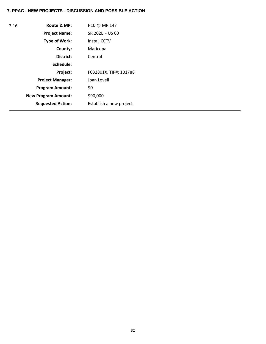| $7 - 16$ | Route & MP:                | $1-10 \omega$ MP 147    |
|----------|----------------------------|-------------------------|
|          | <b>Project Name:</b>       | SR 202L - US 60         |
|          | Type of Work:              | Install CCTV            |
|          | County:                    | Maricopa                |
|          | District:                  | Central                 |
|          | Schedule:                  |                         |
|          | Project:                   | F032801X, TIP#: 101788  |
|          | <b>Project Manager:</b>    | Joan Lovell             |
|          | <b>Program Amount:</b>     | \$0                     |
|          | <b>New Program Amount:</b> | \$90,000                |
|          | <b>Requested Action:</b>   | Establish a new project |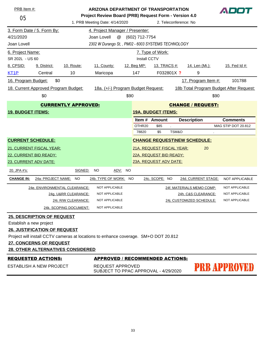| PRB Item #:              |                                      |                                                                                     | <b>ARIZONA DEPARTMENT OF TRANSPORTATION</b>              |      |                |                           |       |                                         | ADOT                       |
|--------------------------|--------------------------------------|-------------------------------------------------------------------------------------|----------------------------------------------------------|------|----------------|---------------------------|-------|-----------------------------------------|----------------------------|
| 05                       |                                      |                                                                                     | Project Review Board (PRB) Request Form - Version 4.0    |      |                |                           |       |                                         |                            |
|                          |                                      |                                                                                     | 1. PRB Meeting Date: 4/14/2020                           |      |                | 2. Teleconference: No     |       |                                         |                            |
|                          | 3. Form Date / 5. Form By:           |                                                                                     | 4. Project Manager / Presenter:                          |      |                |                           |       |                                         |                            |
| 4/21/2020                |                                      |                                                                                     | @<br>Joan Lovell                                         |      | (602) 712-7754 |                           |       |                                         |                            |
| Joan Lovell              |                                      |                                                                                     | 2302 W Durango St, , PM02 - 6003 SYSTEMS TECHNOLOGY      |      |                |                           |       |                                         |                            |
| 6. Project Name:         |                                      |                                                                                     |                                                          |      |                | 7. Type of Work:          |       |                                         |                            |
| SR 202L - US 60          |                                      |                                                                                     |                                                          |      | Install CCTV   |                           |       |                                         |                            |
| 8. CPSID:                | 9. District:                         | 10. Route:                                                                          | 11. County:                                              |      | 12. Beg MP:    | <u>13. TRACS #:</u>       |       | <u>14. Len (Mi.):</u>                   | 15. Fed Id #:              |
| KT <sub>1</sub> P        | Central                              | 10                                                                                  | Maricopa                                                 |      | 147            | F032801X ?                |       | 9                                       |                            |
| 16. Program Budget:      | \$0                                  |                                                                                     |                                                          |      |                |                           |       | 17. Program Item #:                     | 101788                     |
|                          | 18. Current Approved Program Budget: |                                                                                     | 18a. (+/-) Program Budget Request:                       |      |                |                           |       | 18b Total Program Budget After Request: |                            |
|                          | \$0                                  |                                                                                     |                                                          | \$90 |                |                           |       | \$90                                    |                            |
|                          |                                      | <b>CURRENTLY APPROVED:</b>                                                          |                                                          |      |                |                           |       | <b>CHANGE / REQUEST:</b>                |                            |
| <b>19. BUDGET ITEMS:</b> |                                      |                                                                                     |                                                          |      |                | <b>19A. BUDGET ITEMS:</b> |       |                                         |                            |
|                          |                                      |                                                                                     |                                                          |      |                | Item # Amount             |       | <b>Description</b>                      | <b>Comments</b>            |
|                          |                                      |                                                                                     |                                                          |      | OTHR20         | \$85<br>$\mathbf{r}$      |       |                                         | <b>MAG STIP DOT 20.812</b> |
|                          |                                      |                                                                                     |                                                          |      | 78820          | \$5                       | TSM&O |                                         |                            |
| <b>CURRENT SCHEDULE:</b> |                                      |                                                                                     |                                                          |      |                |                           |       | <b>CHANGE REQUEST\NEW SCHEDULE:</b>     |                            |
|                          | 21. CURRENT FISCAL YEAR:             |                                                                                     |                                                          |      |                | 21A. REQUEST FISCAL YEAR: |       | 20                                      |                            |
|                          | 22. CURRENT BID READY:               |                                                                                     |                                                          |      |                | 22A. REQUEST BID READY:   |       |                                         |                            |
| 23. CURRENT ADV DATE:    |                                      |                                                                                     |                                                          |      |                | 23A. REQUEST ADV DATE:    |       |                                         |                            |
| 20. JPA #'s:             |                                      | SIGNED:                                                                             | <b>NO</b><br>ADV:                                        | NO   |                |                           |       |                                         |                            |
| <b>CHANGE IN:</b>        | 24a: PROJECT NAME:                   | NO.                                                                                 | 24b. TYPE OF WORK: NO                                    |      |                | 24c. SCOPE: NO            |       | 24d. CURRENT STAGE:                     | <b>NOT APPLICABLE</b>      |
|                          |                                      | 24e. ENVIRONMENTAL CLEARANCE:                                                       | NOT APPLICABLE                                           |      |                |                           |       | 24f. MATERIALS MEMO COMP:               | NOT APPLICABLE             |
|                          |                                      | 24g. U&RR CLEARANCE:                                                                | NOT APPLICABLE                                           |      |                |                           |       | 24h. C&S CLEARANCE:                     | NOT APPLICABLE             |
|                          |                                      | 24i. R/W CLEARANCE:                                                                 | NOT APPLICABLE                                           |      |                |                           |       | 24j. CUSTOMIZED SCHEDULE:               | NOT APPLICABLE             |
|                          |                                      | 24k. SCOPING DOCUMENT:                                                              | NOT APPLICABLE                                           |      |                |                           |       |                                         |                            |
|                          | <b>25. DESCRIPTION OF REQUEST</b>    |                                                                                     |                                                          |      |                |                           |       |                                         |                            |
| Establish a new project  |                                      |                                                                                     |                                                          |      |                |                           |       |                                         |                            |
|                          | <b>26. JUSTIFICATION OF REQUEST</b>  |                                                                                     |                                                          |      |                |                           |       |                                         |                            |
|                          |                                      | Project will install CCTV cameras at locations to enhance coverage. SM+O DOT 20.812 |                                                          |      |                |                           |       |                                         |                            |
|                          | 27. CONCERNS OF REQUEST              |                                                                                     |                                                          |      |                |                           |       |                                         |                            |
|                          |                                      | <b>28. OTHER ALTERNATIVES CONSIDERED</b>                                            |                                                          |      |                |                           |       |                                         |                            |
|                          | <b>REQUESTED ACTIONS:</b>            |                                                                                     | <b>APPROVED / RECOMMENDED ACTIONS:</b>                   |      |                |                           |       |                                         |                            |
|                          | <b>ESTABLISH A NEW PROJECT</b>       |                                                                                     | REQUEST APPROVED<br>SUBJECT TO PPAC APPROVAL - 4/29/2020 |      |                |                           |       |                                         | PRB APPROVED               |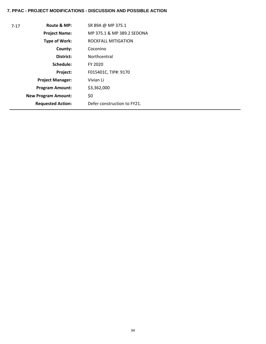# **7. PPAC - PROJECT MODIFICATIONS - DISCUSSION AND POSSIBLE ACTION**

| $7 - 17$ | Route & MP:                | SR 89A @ MP 375.1           |
|----------|----------------------------|-----------------------------|
|          | <b>Project Name:</b>       | MP 375.1 & MP 389.2 SEDONA  |
|          | <b>Type of Work:</b>       | ROCKFALL MITIGATION         |
|          | County:                    | Coconino                    |
|          | District:                  | Northcentral                |
|          | Schedule:                  | FY 2020                     |
|          | Project:                   | F015401C, TIP#: 9170        |
|          | <b>Project Manager:</b>    | Vivian Li                   |
|          | <b>Program Amount:</b>     | \$3,362,000                 |
|          | <b>New Program Amount:</b> | \$0                         |
|          | <b>Requested Action:</b>   | Defer construction to FY21. |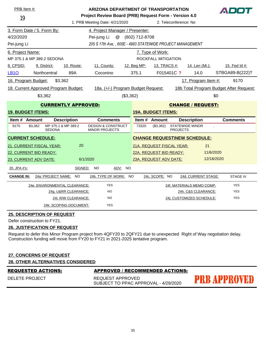| PRB Item #:              |                                      |                            | ARIZONA DEPARTMENT OF TRANSPORTATION                                                    |                  |                           |                       |                                     |            |                                         |
|--------------------------|--------------------------------------|----------------------------|-----------------------------------------------------------------------------------------|------------------|---------------------------|-----------------------|-------------------------------------|------------|-----------------------------------------|
| 19                       |                                      |                            | Project Review Board (PRB) Request Form - Version 4.0<br>1. PRB Meeting Date: 4/21/2020 |                  |                           | 2. Teleconference: No |                                     |            |                                         |
|                          |                                      |                            |                                                                                         |                  |                           |                       |                                     |            |                                         |
|                          | 3. Form Date / 5. Form By:           |                            | 4. Project Manager / Presenter:                                                         |                  |                           |                       |                                     |            |                                         |
| 4/22/2020                |                                      |                            | Pei-jung Li                                                                             | @ (602) 712-8708 |                           |                       |                                     |            |                                         |
| Pei-jung Li              |                                      |                            | 205 S 17th Ave,, 605E - 4983 STATEWIDE PROJECT MANAGEMENT                               |                  |                           |                       |                                     |            |                                         |
| 6. Project Name:         |                                      |                            |                                                                                         |                  | 7. Type of Work:          |                       |                                     |            |                                         |
|                          | MP 375.1 & MP 389.2 SEDONA           |                            |                                                                                         |                  | ROCKFALL MITIGATION       |                       |                                     |            |                                         |
| 8. CPSID:                | 9. District:                         | 10. Route:                 | 11. County:                                                                             | 12. Beg MP:      | 13. TRACS #:              |                       | 14. Len (Mi.):                      |            | 15. Fed Id #:                           |
| <b>LB10</b>              | Northcentral                         | 89A                        | Coconino                                                                                | 375.1            |                           | F015401C ?            | 14.0                                |            | STBGA89-B(222)T                         |
| 16. Program Budget:      |                                      | \$3,362                    |                                                                                         |                  |                           |                       | 17. Program Item #:                 |            | 9170                                    |
|                          | 18. Current Approved Program Budget: |                            | 18a. (+/-) Program Budget Request:                                                      |                  |                           |                       |                                     |            | 18b Total Program Budget After Request: |
|                          | \$3,362                              |                            | (\$3,362)                                                                               |                  |                           |                       |                                     | \$0        |                                         |
|                          |                                      | <b>CURRENTLY APPROVED:</b> |                                                                                         |                  |                           |                       | <b>CHANGE / REQUEST:</b>            |            |                                         |
| <b>19. BUDGET ITEMS:</b> |                                      |                            |                                                                                         |                  | <b>19A. BUDGET ITEMS:</b> |                       |                                     |            |                                         |
| Item # Amount            |                                      | <b>Description</b>         | <b>Comments</b>                                                                         |                  | Item # Amount             |                       | <b>Description</b>                  |            | <b>Comments</b>                         |
| 9170                     | \$3,362<br><b>SEDONA</b>             | MP 375.1 & MP 389.2        | <b>DESIGN &amp; CONSTRUCT</b><br><b>MINOR PROJECTS</b>                                  | 73320            | (\$3,362)                 | <b>PROJECTS</b>       | <b>STATEWIDE MINOR</b>              |            |                                         |
| <b>CURRENT SCHEDULE:</b> |                                      |                            |                                                                                         |                  |                           |                       | <b>CHANGE REQUEST\NEW SCHEDULE:</b> |            |                                         |
|                          | <b>21. CURRENT FISCAL YEAR:</b>      | 20                         |                                                                                         |                  | 21A. REQUEST FISCAL YEAR: |                       | 21                                  |            |                                         |
| 22. CURRENT BID READY:   |                                      |                            |                                                                                         |                  | 22A. REQUEST BID READY:   |                       | 11/6/2020                           |            |                                         |
| 23. CURRENT ADV DATE:    |                                      | 6/1/2020                   |                                                                                         |                  | 23A. REQUEST ADV DATE:    |                       |                                     | 12/18/2020 |                                         |
| 20. JPA #'s:             |                                      | SIGNED:                    | <b>NO</b><br><u>ADV:</u><br>NO                                                          |                  |                           |                       |                                     |            |                                         |
| <b>CHANGE IN:</b>        | 24a: PROJECT NAME:                   | <b>NO</b>                  | 24b. TYPE OF WORK: NO                                                                   |                  | 24c. SCOPE: NO            |                       | 24d. CURRENT STAGE:                 |            | <b>STAGE IV</b>                         |
|                          | 24e. ENVIRONMENTAL CLEARANCE:        |                            | <b>YES</b>                                                                              |                  |                           |                       | 24f. MATERIALS MEMO COMP:           |            | <b>YES</b>                              |
|                          |                                      | 24g. U&RR CLEARANCE:       | <b>NO</b>                                                                               |                  |                           |                       | 24h. C&S CLEARANCE:                 |            | <b>YES</b>                              |
|                          |                                      | 24i. R/W CLEARANCE:        | <b>NO</b>                                                                               |                  |                           |                       | 24j. CUSTOMIZED SCHEDULE:           |            | <b>YES</b>                              |
|                          |                                      | 24k. SCOPING DOCUMENT:     | <b>YES</b>                                                                              |                  |                           |                       |                                     |            |                                         |

Defer construction to FY21.

### **26. JUSTIFICATION OF REQUEST**

Request to defer this Minor Program project from 4QFY20 to 2QFY21 due to unexpected Right of Way negotiation delay. Construction funding will move from FY20 to FY21 in 2021-2025 tentative program.

#### **27. CONCERNS OF REQUEST**

|--|

|--|

# **APPROVED / RECOMMENDED ACTIONS:**

DELETE PROJECT

REQUEST APPROVED SUBJECT TO PPAC APPROVAL - 4/29/2020

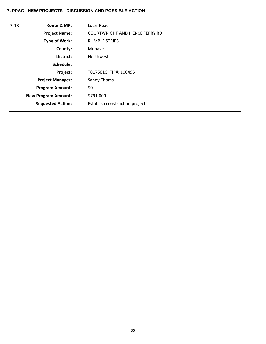| Route & MP:                | Local Road                             |
|----------------------------|----------------------------------------|
| <b>Project Name:</b>       | <b>COURTWRIGHT AND PIERCE FERRY RD</b> |
| <b>Type of Work:</b>       | <b>RUMBLE STRIPS</b>                   |
| County:                    | Mohave                                 |
| District:                  | <b>Northwest</b>                       |
| Schedule:                  |                                        |
| Project:                   | T017501C, TIP#: 100496                 |
| <b>Project Manager:</b>    | Sandy Thoms                            |
| <b>Program Amount:</b>     | \$0                                    |
| <b>New Program Amount:</b> | \$791,000                              |
| <b>Requested Action:</b>   | Establish construction project.        |
|                            |                                        |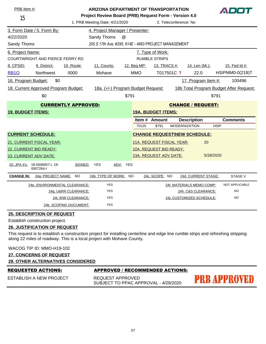| PRB Item #:<br><b>ARIZONA DEPARTMENT OF TRANSPORTATION</b> |                                                                     |                                                                                                                  |                                     |             |                           | ADOT       |                                     |             |                                         |
|------------------------------------------------------------|---------------------------------------------------------------------|------------------------------------------------------------------------------------------------------------------|-------------------------------------|-------------|---------------------------|------------|-------------------------------------|-------------|-----------------------------------------|
| 15                                                         |                                                                     | Project Review Board (PRB) Request Form - Version 4.0<br>1. PRB Meeting Date: 4/21/2020<br>2. Teleconference: No |                                     |             |                           |            |                                     |             |                                         |
|                                                            | 3. Form Date / 5. Form By:                                          |                                                                                                                  | 4. Project Manager / Presenter:     |             |                           |            |                                     |             |                                         |
| 4/22/2020                                                  |                                                                     |                                                                                                                  | Sandy Thoms<br>$^{\textregistered}$ |             |                           |            |                                     |             |                                         |
|                                                            | 205 S 17th Ave, #295, 614E - 4983 PROJECT MANAGEMENT<br>Sandy Thoms |                                                                                                                  |                                     |             |                           |            |                                     |             |                                         |
| 6. Project Name:<br>7. Type of Work:                       |                                                                     |                                                                                                                  |                                     |             |                           |            |                                     |             |                                         |
|                                                            | <b>COURTWRIGHT AND PIERCE FERRY RD</b>                              |                                                                                                                  |                                     |             | <b>RUMBLE STRIPS</b>      |            |                                     |             |                                         |
| 8. CPSID:                                                  | 9. District:                                                        | 10. Route:                                                                                                       | 11. County:                         | 12. Beg MP: | 13. TRACS #:              |            | <u>14. Len (Mi.):</u>               |             | 15. Fed Id #:                           |
| <b>RB10</b>                                                | <b>Northwest</b>                                                    | 0000                                                                                                             | Mohave                              | <b>MMO</b>  |                           | T017501C ? | 22.0                                |             | <b>HSIPMM0-0(218)T</b>                  |
| 16. Program Budget:                                        | \$0                                                                 |                                                                                                                  |                                     |             |                           |            | 17. Program Item #:                 |             | 100496                                  |
|                                                            | 18. Current Approved Program Budget:                                |                                                                                                                  | 18a. (+/-) Program Budget Request:  |             |                           |            |                                     |             | 18b Total Program Budget After Request: |
|                                                            | \$0                                                                 |                                                                                                                  | \$791                               |             |                           |            |                                     | \$791       |                                         |
|                                                            |                                                                     | <b>CURRENTLY APPROVED:</b>                                                                                       |                                     |             |                           |            | <b>CHANGE / REQUEST:</b>            |             |                                         |
| <b>19. BUDGET ITEMS:</b>                                   |                                                                     |                                                                                                                  |                                     |             | <b>19A. BUDGET ITEMS:</b> |            |                                     |             |                                         |
|                                                            |                                                                     |                                                                                                                  |                                     |             | Item # Amount             |            | <b>Description</b>                  |             | <b>Comments</b>                         |
|                                                            |                                                                     |                                                                                                                  |                                     | 70120       | \$791                     |            | <b>MODERNIZATION</b>                | <b>HSIP</b> |                                         |
|                                                            | <b>CURRENT SCHEDULE:</b>                                            |                                                                                                                  |                                     |             |                           |            | <b>CHANGE REQUEST\NEW SCHEDULE:</b> |             |                                         |
|                                                            | <b>21. CURRENT FISCAL YEAR:</b>                                     |                                                                                                                  |                                     |             | 21A. REQUEST FISCAL YEAR: |            | 20                                  |             |                                         |
|                                                            | 22. CURRENT BID READY:                                              |                                                                                                                  |                                     |             | 22A. REQUEST BID READY:   |            |                                     |             |                                         |
|                                                            | 23. CURRENT ADV DATE:                                               |                                                                                                                  |                                     |             | 23A. REQUEST ADV DATE:    |            |                                     | 5/28/2020   |                                         |
|                                                            | 20. JPA #'s: 18-0006857-I, 19-<br>0007264-1                         | SIGNED:                                                                                                          | ADV: YES<br>YES                     |             |                           |            |                                     |             |                                         |
| <b>CHANGE IN:</b>                                          | 24a: PROJECT NAME: NO                                               |                                                                                                                  | 24b. TYPE OF WORK: NO               |             | 24c. SCOPE: NO            |            | 24d. CURRENT STAGE:                 |             | <b>STAGE V</b>                          |
|                                                            | 24e. ENVIRONMENTAL CLEARANCE:                                       |                                                                                                                  | <b>YES</b>                          |             |                           |            | 24f. MATERIALS MEMO COMP:           |             | <b>NOT APPLICABLE</b>                   |
|                                                            |                                                                     | 24g. U&RR CLEARANCE:                                                                                             | <b>YES</b>                          |             |                           |            | 24h. C&S CLEARANCE:                 |             | <b>NO</b>                               |
|                                                            |                                                                     | 24i. R/W CLEARANCE:                                                                                              | <b>YES</b>                          |             |                           |            | 24i. CUSTOMIZED SCHEDULE:           |             | <b>NO</b>                               |
|                                                            |                                                                     | 24k. SCOPING DOCUMENT:                                                                                           | <b>YES</b>                          |             |                           |            |                                     |             |                                         |

Establish construction project.

### **26. JUSTIFICATION OF REQUEST**

This request is to establish a construction project for installing centerline and edge line rumble strips and refreshing stripping along 22 miles of roadway. This is a local project with Mohave County.

WACOG TIP ID: MMO-H19-102

```
27. CONCERNS OF REQUEST
```
#### **28. OTHER ALTERNATIVES CONSIDERED**

ESTABLISH A NEW PROJECT

#### REQUESTED ACTIONS: APPROVED / RECOMMENDED ACTIONS:

REQUEST APPROVED SUBJECT TO PPAC APPROVAL - 4/29/2020 **PRB APPROVED**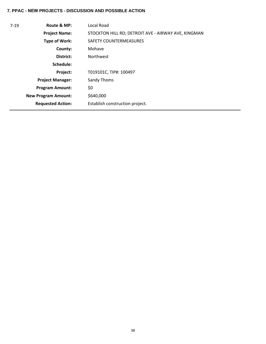| $7 - 19$ | Route & MP:                | <b>Local Road</b>                                   |
|----------|----------------------------|-----------------------------------------------------|
|          | <b>Project Name:</b>       | STOCKTON HILL RD; DETROIT AVE - AIRWAY AVE, KINGMAN |
|          | <b>Type of Work:</b>       | <b>SAFETY COUNTERMEASURES</b>                       |
|          | County:                    | Mohave                                              |
|          | District:                  | <b>Northwest</b>                                    |
|          | Schedule:                  |                                                     |
|          | Project:                   | T019101C, TIP#: 100497                              |
|          | <b>Project Manager:</b>    | Sandy Thoms                                         |
|          | <b>Program Amount:</b>     | \$0                                                 |
|          | <b>New Program Amount:</b> | \$640,000                                           |
|          | <b>Requested Action:</b>   | Establish construction project.                     |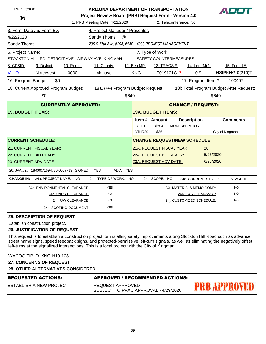| PRB Item #:                                       |                                      |                            | ARIZONA DEPARTMENT OF TRANSPORTATION                  |             |                           |                                     |                                         |
|---------------------------------------------------|--------------------------------------|----------------------------|-------------------------------------------------------|-------------|---------------------------|-------------------------------------|-----------------------------------------|
| 16                                                |                                      |                            | Project Review Board (PRB) Request Form - Version 4.0 |             |                           |                                     |                                         |
|                                                   |                                      |                            | 1. PRB Meeting Date: 4/21/2020                        |             |                           | 2. Teleconference: No               |                                         |
|                                                   | 3. Form Date / 5. Form By:           |                            | 4. Project Manager / Presenter:                       |             |                           |                                     |                                         |
| 4/22/2020                                         |                                      |                            | Sandy Thoms<br>@                                      |             |                           |                                     |                                         |
| Sandy Thoms                                       |                                      |                            | 205 S 17th Ave, #295, 614E - 4983 PROJECT MANAGEMENT  |             |                           |                                     |                                         |
| 6. Project Name:                                  |                                      |                            |                                                       |             | 7. Type of Work:          |                                     |                                         |
|                                                   |                                      |                            | STOCKTON HILL RD; DETROIT AVE - AIRWAY AVE, KINGMAN   |             | SAFETY COUNTERMEASURES    |                                     |                                         |
| 8. CPSID:                                         | 9. District:                         | 10. Route:                 | 11. County:                                           | 12. Beg MP: | 13. TRACS #:              | 14. Len (Mi.):                      | 15. Fed Id #:                           |
| <b>VL10</b>                                       | Northwest                            | 0000                       | Mohave                                                | <b>KNG</b>  | T019101C ?                | 0.9                                 | HSIPKNG-0(210)T                         |
| 16. Program Budget:                               | \$0                                  |                            |                                                       |             |                           | 17. Program Item #:                 | 100497                                  |
|                                                   | 18. Current Approved Program Budget: |                            | 18a. (+/-) Program Budget Request:                    |             |                           |                                     | 18b Total Program Budget After Request: |
|                                                   | \$0                                  |                            |                                                       | \$640       |                           |                                     | \$640                                   |
|                                                   |                                      | <b>CURRENTLY APPROVED:</b> |                                                       |             |                           | <b>CHANGE / REQUEST:</b>            |                                         |
| <b>19. BUDGET ITEMS:</b>                          |                                      |                            |                                                       |             | <b>19A. BUDGET ITEMS:</b> |                                     |                                         |
|                                                   |                                      |                            |                                                       |             | Item # Amount             | <b>Description</b>                  | <b>Comments</b>                         |
|                                                   |                                      |                            |                                                       | 70120       | \$604                     | <b>MODERNIZATION</b>                |                                         |
|                                                   |                                      |                            |                                                       | OTHR20      | \$36                      |                                     | City of Kingman                         |
|                                                   | <b>CURRENT SCHEDULE:</b>             |                            |                                                       |             |                           | <b>CHANGE REQUEST\NEW SCHEDULE:</b> |                                         |
|                                                   | 21. CURRENT FISCAL YEAR:             |                            |                                                       |             | 21A. REQUEST FISCAL YEAR: | 20                                  |                                         |
|                                                   | 22. CURRENT BID READY:               |                            |                                                       |             | 22A. REQUEST BID READY:   |                                     | 5/26/2020                               |
|                                                   | 23. CURRENT ADV DATE:                |                            |                                                       |             | 23A. REQUEST ADV DATE:    |                                     | 6/23/2020                               |
| 20. JPA #'s: 18-0007169-1, 20-0007719 SIGNED: YES |                                      |                            | ADV: YES                                              |             |                           |                                     |                                         |
|                                                   |                                      |                            |                                                       |             |                           |                                     |                                         |
| <b>CHANGE IN:</b>                                 | 24a: PROJECT NAME: NO                |                            | 24b. TYPE OF WORK:                                    | NO          | 24c. SCOPE: NO            | 24d. CURRENT STAGE:                 | <b>STAGE III</b>                        |
|                                                   | 24e. ENVIRONMENTAL CLEARANCE:        |                            | <b>YES</b>                                            |             |                           | 24f. MATERIALS MEMO COMP:           | <b>NO</b>                               |
|                                                   |                                      | 24g. U&RR CLEARANCE:       | <b>NO</b>                                             |             |                           | 24h. C&S CLEARANCE:                 | <b>NO</b>                               |
|                                                   |                                      | 24i. R/W CLEARANCE:        | NO                                                    |             |                           | 24j. CUSTOMIZED SCHEDULE:           | NO                                      |

Establish construction project.

### **26. JUSTIFICATION OF REQUEST**

This request is to establish a construction project for installing safety improvements along Stockton Hill Road such as advance street name signs, speed feedback signs, and protected-permissive left-turn signals, as well as eliminating the negatively offset left-turns at the signalized intersections. This is a local project with the City of Kingman.

| BEAUFOTER AGTIANC.                        | ABBBAUFB / BFAAMMENBEB AATIANG. |
|-------------------------------------------|---------------------------------|
| <u> 28. OTHER ALTERNATIVES CONSIDERED</u> |                                 |
| <b>27. CONCERNS OF REQUEST</b>            |                                 |
| WACOG TIP ID: KNG-H19-103                 |                                 |
|                                           |                                 |

| REQUESTED ACTIONS:      | APPROVED / RECOMMENDED ACTIONS:                          |                     |
|-------------------------|----------------------------------------------------------|---------------------|
| ESTABLISH A NEW PROJECT | REQUEST APPROVED<br>SUBJECT TO PPAC APPROVAL - 4/29/2020 | <b>PRB APPROVED</b> |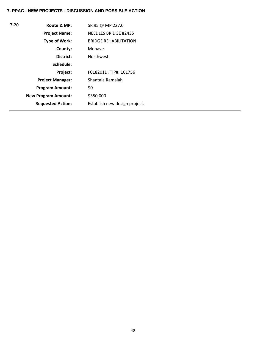| $7 - 20$ | Route & MP:                | SR 95 @ MP 227.0              |
|----------|----------------------------|-------------------------------|
|          | <b>Project Name:</b>       | <b>NEEDLES BRIDGE #2435</b>   |
|          | Type of Work:              | <b>BRIDGE REHABILITATION</b>  |
|          | County:                    | Mohave                        |
|          | District:                  | <b>Northwest</b>              |
|          | Schedule:                  |                               |
|          | Project:                   | F018201D, TIP#: 101756        |
|          | <b>Project Manager:</b>    | Shantala Ramaiah              |
|          | <b>Program Amount:</b>     | \$0                           |
|          | <b>New Program Amount:</b> | \$350,000                     |
|          | <b>Requested Action:</b>   | Establish new design project. |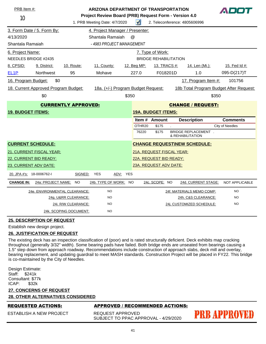| PRB Item #:                              |                                      |                                                  | <b>ARIZONA DEPARTMENT OF TRANSPORTATION</b><br>Project Review Board (PRB) Request Form - Version 4.0 |           |             |                           |                                                |       |                                         |
|------------------------------------------|--------------------------------------|--------------------------------------------------|------------------------------------------------------------------------------------------------------|-----------|-------------|---------------------------|------------------------------------------------|-------|-----------------------------------------|
| 10                                       |                                      |                                                  | 1. PRB Meeting Date: 4/7/2020                                                                        |           | $\sqrt{ }$  |                           | 2. Teleconference: 4805606996                  |       |                                         |
|                                          | 3. Form Date / 5. Form By:           |                                                  | 4. Project Manager / Presenter:                                                                      |           |             |                           |                                                |       |                                         |
| 4/13/2020                                |                                      |                                                  | Shantala Ramaiah                                                                                     | $\omega$  |             |                           |                                                |       |                                         |
| Shantala Ramaiah                         |                                      |                                                  | - 4983 PROJECT MANAGEMENT                                                                            |           |             |                           |                                                |       |                                         |
| 6. Project Name:<br>NEEDLES BRIDGE #2435 |                                      | 7. Type of Work:<br><b>BRIDGE REHABILITATION</b> |                                                                                                      |           |             |                           |                                                |       |                                         |
| 8. CPSID:                                | 9. District:                         | 10. Route:                                       | 11. County:                                                                                          |           | 12. Beg MP: | 13. TRACS #:              | 14. Len (Mi.):                                 |       | 15. Fed Id #:                           |
| EL <sub>1</sub> P                        | <b>Northwest</b>                     | 95                                               | Mohave                                                                                               |           | 227.0       | F018201D                  | 1.0                                            |       | 095-D(217)T                             |
| 16. Program Budget:                      | \$0                                  |                                                  |                                                                                                      |           |             |                           | 17. Program Item #:                            |       | 101756                                  |
|                                          | 18. Current Approved Program Budget: |                                                  | 18a. (+/-) Program Budget Request:                                                                   |           |             |                           |                                                |       | 18b Total Program Budget After Request: |
|                                          | \$0                                  |                                                  |                                                                                                      | \$350     |             |                           |                                                | \$350 |                                         |
|                                          |                                      | <b>CURRENTLY APPROVED:</b>                       |                                                                                                      |           |             |                           | <b>CHANGE / REQUEST:</b>                       |       |                                         |
| <b>19. BUDGET ITEMS:</b>                 |                                      |                                                  |                                                                                                      |           |             | <b>19A. BUDGET ITEMS:</b> |                                                |       |                                         |
|                                          |                                      |                                                  |                                                                                                      |           |             | Item # Amount             | <b>Description</b>                             |       | <b>Comments</b>                         |
|                                          |                                      |                                                  |                                                                                                      |           | OTHR20      | \$175                     |                                                |       | <b>City of Needles</b>                  |
|                                          |                                      |                                                  |                                                                                                      |           | 76220       | \$175                     | <b>BRIDGE REPLACEMENT.</b><br>& REHABILITATION |       |                                         |
|                                          | <b>CURRENT SCHEDULE:</b>             |                                                  |                                                                                                      |           |             |                           | <b>CHANGE REQUEST\NEW SCHEDULE:</b>            |       |                                         |
|                                          | 21. CURRENT FISCAL YEAR:             |                                                  |                                                                                                      |           |             | 21A. REQUEST FISCAL YEAR: |                                                |       |                                         |
|                                          | 22. CURRENT BID READY:               |                                                  |                                                                                                      |           |             | 22A. REQUEST BID READY:   |                                                |       |                                         |
|                                          | 23. CURRENT ADV DATE:                |                                                  |                                                                                                      |           |             | 23A. REQUEST ADV DATE:    |                                                |       |                                         |
| 20. JPA #'s: 18-0006762-I                |                                      | SIGNED:                                          | YES<br>ADV: YES                                                                                      |           |             |                           |                                                |       |                                         |
| <b>CHANGE IN:</b>                        | 24a: PROJECT NAME:                   | <b>NO</b>                                        | 24b. TYPE OF WORK:                                                                                   | <b>NO</b> |             | 24c. SCOPE: NO            | 24d. CURRENT STAGE:                            |       | <b>NOT APPLICABLE</b>                   |
|                                          | 24e. ENVIRONMENTAL CLEARANCE:        |                                                  | <b>NO</b>                                                                                            |           |             |                           | 24f. MATERIALS MEMO COMP:                      |       | <b>NO</b>                               |
|                                          |                                      | 24g. U&RR CLEARANCE:                             | <b>NO</b>                                                                                            |           |             |                           | 24h. C&S CLEARANCE:                            |       | <b>NO</b>                               |
|                                          |                                      | 24i. R/W CLEARANCE:                              | <b>NO</b>                                                                                            |           |             |                           | 24j. CUSTOMIZED SCHEDULE:                      |       | <b>NO</b>                               |
|                                          |                                      | 24k. SCOPING DOCUMENT:                           | <b>NO</b>                                                                                            |           |             |                           |                                                |       |                                         |

Establish new design project.

#### **26. JUSTIFICATION OF REQUEST**

The existing deck has an inspection classification of (poor) and is rated structurally deficient. Deck exhibits map cracking throughout (generally 3/32" width). Some bearing pads have failed. Both bridge ends are unseated from bearings causing a 1.5" step down from approach roadway. Recommendations include construction of approach slabs, deck mill and overlay, bearing replacement, and updating guardrail to meet MASH standards. Construction Project will be placed in FY22. This bridge is co-maintained by the City of Needles.

Design Estimate: Staff: \$241k Consultant: \$77k<br>ICAP: \$32k  $ICAP:$ 

| <b>27. CONCERNS OF REQUEST</b><br><b>28. OTHER ALTERNATIVES CONSIDERED</b> |                                                          |              |
|----------------------------------------------------------------------------|----------------------------------------------------------|--------------|
| <b>REQUESTED ACTIONS:</b>                                                  | APPROVED / RECOMMENDED ACTIONS:                          |              |
| ESTABLISH A NEW PROJECT                                                    | REQUEST APPROVED<br>SUBJECT TO PPAC APPROVAL - 4/29/2020 | PRB APPROVED |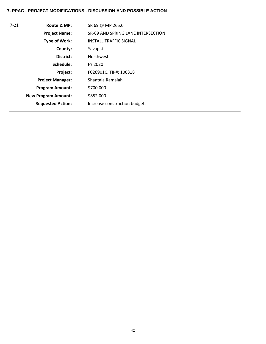# **7. PPAC - PROJECT MODIFICATIONS - DISCUSSION AND POSSIBLE ACTION**

| $7 - 21$ | Route & MP:                | SR 69 @ MP 265.0                   |
|----------|----------------------------|------------------------------------|
|          | <b>Project Name:</b>       | SR-69 AND SPRING LANE INTERSECTION |
|          | Type of Work:              | <b>INSTALL TRAFFIC SIGNAL</b>      |
|          | County:                    | Yavapai                            |
|          | District:                  | <b>Northwest</b>                   |
|          | Schedule:                  | FY 2020                            |
|          | Project:                   | F026901C, TIP#: 100318             |
|          | <b>Project Manager:</b>    | Shantala Ramaiah                   |
|          | <b>Program Amount:</b>     | \$700,000                          |
|          | <b>New Program Amount:</b> | \$852,000                          |
|          | <b>Requested Action:</b>   | Increase construction budget.      |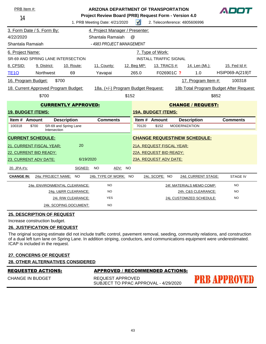| PRB Item #:                |                                      |                                                                               | <b>ARIZONA DEPARTMENT OF TRANSPORTATION</b>           |             |                               |                      |                                     | ADOT                                    |  |
|----------------------------|--------------------------------------|-------------------------------------------------------------------------------|-------------------------------------------------------|-------------|-------------------------------|----------------------|-------------------------------------|-----------------------------------------|--|
| 14                         |                                      |                                                                               | Project Review Board (PRB) Request Form - Version 4.0 |             |                               |                      |                                     |                                         |  |
|                            |                                      | $\sqrt{ }$<br>1. PRB Meeting Date: 4/21/2020<br>2. Teleconference: 4805606996 |                                                       |             |                               |                      |                                     |                                         |  |
|                            | 3. Form Date / 5. Form By:           |                                                                               | 4. Project Manager / Presenter:                       |             |                               |                      |                                     |                                         |  |
| 4/22/2020                  |                                      |                                                                               | Shantala Ramaiah                                      | $\omega$    |                               |                      |                                     |                                         |  |
| Shantala Ramaiah           |                                      |                                                                               | - 4983 PROJECT MANAGEMENT                             |             |                               |                      |                                     |                                         |  |
| 6. Project Name:           |                                      |                                                                               |                                                       |             | 7. Type of Work:              |                      |                                     |                                         |  |
|                            | SR-69 AND SPRING LANE INTERSECTION   |                                                                               |                                                       |             | <b>INSTALL TRAFFIC SIGNAL</b> |                      |                                     |                                         |  |
| 8. CPSID:                  | 9. District:                         | 10. Route:                                                                    | 11. County:                                           | 12. Beg MP: | 13. TRACS #:                  |                      | 14. Len (Mi.):                      | 15. Fed Id #:                           |  |
| <b>TE10</b>                | Northwest                            | 69                                                                            | Yavapai                                               | 265.0       |                               | F026901C ?           | 1.0                                 | HSIP069-A(219)T                         |  |
| 16. Program Budget:        | \$700                                |                                                                               |                                                       |             |                               |                      | 17. Program Item #:                 | 100318                                  |  |
|                            | 18. Current Approved Program Budget: |                                                                               | 18a. (+/-) Program Budget Request:                    |             |                               |                      |                                     | 18b Total Program Budget After Request: |  |
|                            | \$700                                |                                                                               |                                                       | \$152       |                               |                      |                                     | \$852                                   |  |
| <b>CURRENTLY APPROVED:</b> |                                      |                                                                               |                                                       |             |                               |                      | <b>CHANGE / REQUEST:</b>            |                                         |  |
| <b>19. BUDGET ITEMS:</b>   |                                      |                                                                               |                                                       |             | <b>19A. BUDGET ITEMS:</b>     |                      |                                     |                                         |  |
| Item # Amount              |                                      | <b>Description</b>                                                            | <b>Comments</b>                                       |             | Item # Amount                 |                      | <b>Description</b>                  | <b>Comments</b>                         |  |
| 100318                     | \$700<br>Intersection                | SR-69 and Spring Lane                                                         |                                                       | 70120       | \$152                         | <b>MODERNIZATION</b> |                                     |                                         |  |
| <b>CURRENT SCHEDULE:</b>   |                                      |                                                                               |                                                       |             |                               |                      | <b>CHANGE REQUEST\NEW SCHEDULE:</b> |                                         |  |
|                            | 21. CURRENT FISCAL YEAR:             | 20                                                                            |                                                       |             | 21A. REQUEST FISCAL YEAR:     |                      |                                     |                                         |  |
|                            | 22. CURRENT BID READY:               |                                                                               |                                                       |             | 22A. REQUEST BID READY:       |                      |                                     |                                         |  |
| 23. CURRENT ADV DATE:      |                                      | 6/19/2020                                                                     |                                                       |             | 23A. REQUEST ADV DATE:        |                      |                                     |                                         |  |
| 20. JPA #'s:               |                                      | SIGNED:                                                                       | <b>NO</b><br>ADV: NO                                  |             |                               |                      |                                     |                                         |  |
| <b>CHANGE IN:</b>          | 24a: PROJECT NAME: NO                |                                                                               | 24b. TYPE OF WORK: NO                                 |             | 24c. SCOPE: NO                |                      | 24d. CURRENT STAGE:                 | <b>STAGE IV</b>                         |  |
|                            |                                      | 24e. ENVIRONMENTAL CLEARANCE:                                                 | <b>NO</b>                                             |             |                               |                      | 24f. MATERIALS MEMO COMP:           | <b>NO</b>                               |  |
|                            |                                      | 24g. U&RR CLEARANCE:                                                          | <b>NO</b>                                             |             |                               |                      | 24h. C&S CLEARANCE:                 | <b>NO</b>                               |  |
|                            |                                      | 24i. R/W CLEARANCE:                                                           | <b>YES</b>                                            |             |                               |                      | 24j. CUSTOMIZED SCHEDULE:           | <b>NO</b>                               |  |
|                            |                                      | 24k. SCOPING DOCUMENT:                                                        | <b>NO</b>                                             |             |                               |                      |                                     |                                         |  |

Increase construction budget.

### **26. JUSTIFICATION OF REQUEST**

The original scoping estimate did not include traffic control, pavement removal, seeding, community relations, and construction of a dual left turn lane on Spring Lane. In addition striping, conductors, and communications equipment were underestimated. ICAP is included in the request.

#### **27. CONCERNS OF REQUEST**

| <b>28. OTHER ALTERNATIVES CONSIDERED</b> |
|------------------------------------------|
|------------------------------------------|

#### CHANGE IN BUDGET

### **APPROVED / RECOMMENDED ACTIONS:**

REQUEST APPROVED SUBJECT TO PPAC APPROVAL - 4/29/2020

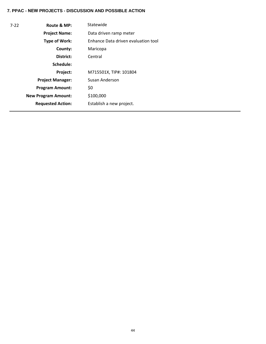| $7-22$ | Route & MP:                | Statewide                           |  |  |  |
|--------|----------------------------|-------------------------------------|--|--|--|
|        | <b>Project Name:</b>       | Data driven ramp meter              |  |  |  |
|        | Type of Work:              | Enhance Data driven evaluation tool |  |  |  |
|        | County:                    | Maricopa                            |  |  |  |
|        | District:                  | Central                             |  |  |  |
|        | Schedule:                  |                                     |  |  |  |
|        | Project:                   | M715501X, TIP#: 101804              |  |  |  |
|        | <b>Project Manager:</b>    | Susan Anderson                      |  |  |  |
|        | <b>Program Amount:</b>     | \$0                                 |  |  |  |
|        | <b>New Program Amount:</b> | \$100,000                           |  |  |  |
|        | <b>Requested Action:</b>   | Establish a new project.            |  |  |  |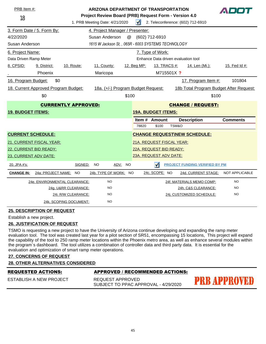| PRB Item #:<br><b>ARIZONA DEPARTMENT OF TRANSPORTATION</b><br>Project Review Board (PRB) Request Form - Version 4.0<br>18<br>1. PRB Meeting Date: 4/21/2020 |                                      |                               |                                                     |         | $\blacktriangleleft$                |                                     |       | 2. Teleconference: (602) 712-6910       |                       |
|-------------------------------------------------------------------------------------------------------------------------------------------------------------|--------------------------------------|-------------------------------|-----------------------------------------------------|---------|-------------------------------------|-------------------------------------|-------|-----------------------------------------|-----------------------|
| 3. Form Date / 5. Form By:<br>4. Project Manager / Presenter:                                                                                               |                                      |                               |                                                     |         |                                     |                                     |       |                                         |                       |
| 4/22/2020                                                                                                                                                   |                                      |                               | Susan Anderson                                      | @       |                                     | (602) 712-6910                      |       |                                         |                       |
| Susan Anderson                                                                                                                                              |                                      |                               | 1615 W Jackson St, , 065R - 6003 SYSTEMS TECHNOLOGY |         |                                     |                                     |       |                                         |                       |
| 6. Project Name:                                                                                                                                            |                                      |                               |                                                     |         |                                     | 7. Type of Work:                    |       |                                         |                       |
| Data Driven Ramp Meter                                                                                                                                      |                                      |                               |                                                     |         |                                     | Enhance Data driven evaluation tool |       |                                         |                       |
| 8. CPSID:                                                                                                                                                   | 9. District:                         | 10. Route:                    | 11. County:                                         |         | 12. Beg MP:                         | 13. TRACS #:                        |       | <u>14. Len (Mi.):</u>                   | 15. Fed Id #:         |
|                                                                                                                                                             | Phoenix                              |                               | Maricopa                                            |         |                                     | M715501X ?                          |       |                                         |                       |
| 16. Program Budget:                                                                                                                                         | \$0                                  |                               |                                                     |         |                                     |                                     |       | 17. Program Item #:                     | 101804                |
|                                                                                                                                                             | 18. Current Approved Program Budget: |                               | 18a. (+/-) Program Budget Request:                  |         |                                     |                                     |       | 18b Total Program Budget After Request: |                       |
|                                                                                                                                                             | \$0                                  |                               |                                                     | \$100   | \$100                               |                                     |       |                                         |                       |
| <b>CURRENTLY APPROVED:</b>                                                                                                                                  |                                      |                               | <b>CHANGE / REQUEST:</b>                            |         |                                     |                                     |       |                                         |                       |
| <b>19. BUDGET ITEMS:</b>                                                                                                                                    |                                      |                               |                                                     |         | <b>19A. BUDGET ITEMS:</b>           |                                     |       |                                         |                       |
|                                                                                                                                                             |                                      |                               |                                                     |         |                                     | Item # Amount                       |       | <b>Description</b>                      | <b>Comments</b>       |
|                                                                                                                                                             |                                      |                               |                                                     |         | 78820                               | \$100                               | TSM&O |                                         |                       |
| <b>CURRENT SCHEDULE:</b>                                                                                                                                    |                                      |                               |                                                     |         | <b>CHANGE REQUEST\NEW SCHEDULE:</b> |                                     |       |                                         |                       |
|                                                                                                                                                             | <b>21. CURRENT FISCAL YEAR:</b>      |                               |                                                     |         |                                     | 21A. REQUEST FISCAL YEAR:           |       |                                         |                       |
| 22. CURRENT BID READY:                                                                                                                                      |                                      |                               |                                                     |         | 22A. REQUEST BID READY:             |                                     |       |                                         |                       |
| 23. CURRENT ADV DATE:                                                                                                                                       |                                      |                               |                                                     |         |                                     | 23A. REQUEST ADV DATE:              |       |                                         |                       |
| 20. JPA #'s:                                                                                                                                                |                                      | SIGNED:                       | <b>NO</b>                                           | ADV: NO |                                     | $\sqrt{ }$                          |       | <b>PROJECT FUNDING VERIFIED BY PM</b>   |                       |
| <b>CHANGE IN:</b>                                                                                                                                           | 24a: PROJECT NAME:                   | <b>NO</b>                     | 24b. TYPE OF WORK:                                  | NO.     |                                     | 24c. SCOPE: NO                      |       | 24d. CURRENT STAGE:                     | <b>NOT APPLICABLE</b> |
|                                                                                                                                                             |                                      | 24e. ENVIRONMENTAL CLEARANCE: | <b>NO</b>                                           |         |                                     |                                     |       | 24f. MATERIALS MEMO COMP:               | <b>NO</b>             |
|                                                                                                                                                             |                                      | 24g. U&RR CLEARANCE:          | <b>NO</b>                                           |         |                                     |                                     |       | 24h. C&S CLEARANCE:                     | <b>NO</b>             |
|                                                                                                                                                             |                                      | 24i. R/W CLEARANCE:           | <b>NO</b>                                           |         |                                     |                                     |       | 24j. CUSTOMIZED SCHEDULE:               | <b>NO</b>             |
|                                                                                                                                                             |                                      | 24k. SCOPING DOCUMENT:        | <b>NO</b>                                           |         |                                     |                                     |       |                                         |                       |

Establish a new project.

#### **26. JUSTIFICATION OF REQUEST**

TSMO is requesting a new project to have the University of Arizona continue developing and expanding the ramp meter evaluation tool. The tool was created last year for a pilot section of SR51, encompassing 15 locations, This project will expand the capability of the tool to 250 ramp meter locations within the Phoenix metro area, as well as enhance several modules within the program`s dashboard. The tool utilizes a combination of controller data and third party data. It is essential for the evaluation and optimization of smart ramp meter operations.

#### **27. CONCERNS OF REQUEST**

# **28. OTHER ALTERNATIVES CONSIDERED**

| REQUESTED ACTIONS: |  |  |
|--------------------|--|--|
|                    |  |  |

# ESTABLISH A NEW PROJECT

# **APPROVED / RECOMMENDED ACTIONS:**

REQUEST APPROVED SUBJECT TO PPAC APPROVAL - 4/29/2020

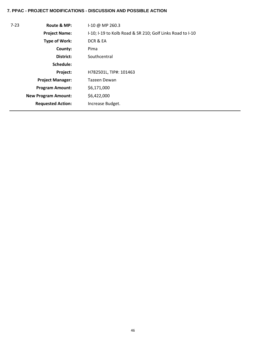# **7. PPAC - PROJECT MODIFICATIONS - DISCUSSION AND POSSIBLE ACTION**

| $7 - 23$ | Route & MP:                | I-10 @ MP 260.3                                           |
|----------|----------------------------|-----------------------------------------------------------|
|          | <b>Project Name:</b>       | I-10; I-19 to Kolb Road & SR 210; Golf Links Road to I-10 |
|          | <b>Type of Work:</b>       | DCR & EA                                                  |
|          | County:                    | Pima                                                      |
|          | District:                  | Southcentral                                              |
|          | Schedule:                  |                                                           |
|          | Project:                   | H782501L, TIP#: 101463                                    |
|          | <b>Project Manager:</b>    | Tazeen Dewan                                              |
|          | <b>Program Amount:</b>     | \$6,171,000                                               |
|          | <b>New Program Amount:</b> | \$6,422,000                                               |
|          | <b>Requested Action:</b>   | Increase Budget.                                          |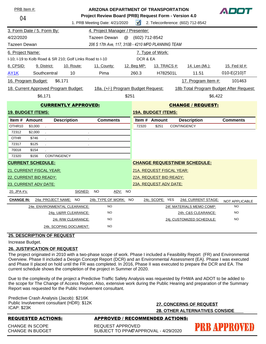| 04                             | PRB Item #:                          |                                                           | <b>ARIZONA DEPARTMENT OF TRANSPORTATION</b><br>Project Review Board (PRB) Request Form - Version 4.0<br>1. PRB Meeting Date: 4/21/2020 | $\sqrt{ }$                                            |                           | 2. Teleconference: (602) 712-8542                | ADDI                        |  |
|--------------------------------|--------------------------------------|-----------------------------------------------------------|----------------------------------------------------------------------------------------------------------------------------------------|-------------------------------------------------------|---------------------------|--------------------------------------------------|-----------------------------|--|
|                                | 3. Form Date / 5. Form By:           |                                                           | 4. Project Manager / Presenter:                                                                                                        |                                                       |                           |                                                  |                             |  |
| 4/22/2020<br>Tazeen Dewan<br>@ |                                      |                                                           |                                                                                                                                        |                                                       | (602) 712-8542            |                                                  |                             |  |
| Tazeen Dewan                   |                                      |                                                           | 206 S 17th Ave, 117, 310B - 4210 MPD PLANNING TEAM                                                                                     |                                                       |                           |                                                  |                             |  |
| 6. Project Name:               |                                      |                                                           |                                                                                                                                        |                                                       | 7. Type of Work:          |                                                  |                             |  |
|                                |                                      | I-10; I-19 to Kolb Road & SR 210; Golf Links Road to I-10 |                                                                                                                                        | DCR & EA                                              |                           |                                                  |                             |  |
| 8. CPSID:                      | 9. District:                         | 10. Route:                                                | 11. County:                                                                                                                            | 12. Beg MP:                                           | <u>13. TRACS #:</u>       | 14. Len (Mi.):                                   | 15. Fed Id #:               |  |
| AY1K                           | Southcentral                         | 10                                                        | Pima                                                                                                                                   | 260.3                                                 | H782501L                  | 11.51                                            | $010-E(210)T$               |  |
|                                | 16. Program Budget:                  | \$6,171                                                   |                                                                                                                                        |                                                       |                           | 17. Program Item #:                              | 101463                      |  |
|                                | 18. Current Approved Program Budget: |                                                           | 18a. (+/-) Program Budget Request:                                                                                                     |                                                       |                           | 18b Total Program Budget After Request:          |                             |  |
|                                | \$6,171                              |                                                           | \$251                                                                                                                                  |                                                       |                           | \$6,422                                          |                             |  |
|                                |                                      | <b>CURRENTLY APPROVED:</b>                                |                                                                                                                                        |                                                       |                           |                                                  |                             |  |
|                                | <b>19. BUDGET ITEMS:</b>             |                                                           |                                                                                                                                        | <b>CHANGE / REQUEST:</b><br><b>19A. BUDGET ITEMS:</b> |                           |                                                  |                             |  |
| Item # Amount                  |                                      | <b>Description</b>                                        | <b>Comments</b>                                                                                                                        | Item #                                                | Amount                    | <b>Description</b>                               | <b>Comments</b>             |  |
|                                |                                      |                                                           |                                                                                                                                        |                                                       |                           |                                                  |                             |  |
| OTHR10                         | \$3,000<br>$\mathcal{L}$             |                                                           |                                                                                                                                        | 72320                                                 | \$251                     | <b>CONTINGENCY</b>                               |                             |  |
| 72312                          | \$2,000                              |                                                           |                                                                                                                                        |                                                       |                           |                                                  |                             |  |
| <b>OTHR</b>                    | \$746                                | $\cdot$                                                   |                                                                                                                                        |                                                       |                           |                                                  |                             |  |
| 72317                          | \$125                                | $\blacksquare$                                            |                                                                                                                                        |                                                       |                           |                                                  |                             |  |
| 70018                          | \$154                                |                                                           |                                                                                                                                        |                                                       |                           |                                                  |                             |  |
| 72320                          | CONTINGENCY<br>\$156                 |                                                           |                                                                                                                                        |                                                       |                           |                                                  |                             |  |
|                                | <b>CURRENT SCHEDULE:</b>             |                                                           |                                                                                                                                        |                                                       |                           | <b>CHANGE REQUEST\NEW SCHEDULE:</b>              |                             |  |
|                                | 21. CURRENT FISCAL YEAR:             |                                                           |                                                                                                                                        |                                                       | 21A. REQUEST FISCAL YEAR: |                                                  |                             |  |
|                                | 22. CURRENT BID READY:               |                                                           |                                                                                                                                        |                                                       | 22A. REQUEST BID READY:   |                                                  |                             |  |
| 20. JPA #'s:                   | 23. CURRENT ADV DATE:                | SIGNED:                                                   | ADV: NO<br>NO                                                                                                                          |                                                       | 23A. REQUEST ADV DATE:    |                                                  |                             |  |
|                                |                                      |                                                           |                                                                                                                                        |                                                       |                           |                                                  |                             |  |
| <b>CHANGE IN:</b>              | 24a: PROJECT NAME: NO                |                                                           | 24b. TYPE OF WORK: NO<br><b>NO</b>                                                                                                     |                                                       | 24c. SCOPE: YES           | 24d. CURRENT STAGE:                              | NOT APPLICABLE<br><b>NO</b> |  |
|                                |                                      | 24e. ENVIRONMENTAL CLEARANCE:                             | <b>NO</b>                                                                                                                              |                                                       |                           | 24f. MATERIALS MEMO COMP:                        | <b>NO</b>                   |  |
|                                |                                      | <u> 24g. U&amp;RR CLEARANCE:</u><br>24i. R/W CLEARANCE:   | <b>NO</b>                                                                                                                              |                                                       |                           | 24h. C&S CLEARANCE:<br>24j. CUSTOMIZED SCHEDULE: | <b>NO</b>                   |  |

Increase Budget.

#### **26. JUSTIFICATION OF REQUEST**

The project originated in 2010 with a two-phase scope of work. Phase I included a Feasibility Report (FR) and Environmental Overview. Phase II included a Design Concept Report (DCR) and an Environmental Assessment (EA). Phase I was executed and Phase II placed on hold until the FR was completed. In 2016, Phase II was executed to prepare the DCR and EA. The current schedule shows the completion of the project in Summer of 2020.

Due to the complexity of the project a Predictive Traffic Safety Analysis was requested by FHWA and ADOT to be added to the scope for The Change of Access Report. Also, extensive work during the Public Hearing and preparation of the Summary Report was requested for the Public Involvement consultant.

Predictive Crash Analysis (Jacob): \$216K Public Involvement consultant (HDR): \$12K ICAP: \$23K

**27. CONCERNS OF REQUEST 28. OTHER ALTERNATIVES CONSIDE**

CHANGE IN SCOPE CHANGE IN BUDGET

# REQUESTED ACTIONS: APPROVED / RECOMMENDED ACTIONS:

REQUEST APPROVED SUBJECT TO PPAO APPROVAL - 4/29/2020

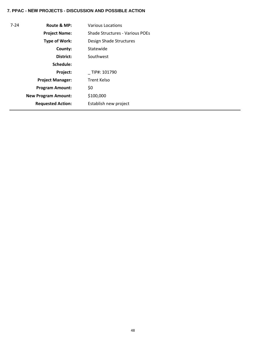| $7 - 24$ | Route & MP:                | <b>Various Locations</b>        |  |  |  |  |
|----------|----------------------------|---------------------------------|--|--|--|--|
|          | <b>Project Name:</b>       | Shade Structures - Various POEs |  |  |  |  |
|          | Type of Work:              | Design Shade Structures         |  |  |  |  |
|          | County:                    | Statewide                       |  |  |  |  |
|          | District:                  | Southwest                       |  |  |  |  |
|          | Schedule:                  |                                 |  |  |  |  |
|          | Project:                   | TIP#: 101790                    |  |  |  |  |
|          | <b>Project Manager:</b>    | Trent Kelso                     |  |  |  |  |
|          | <b>Program Amount:</b>     | \$0                             |  |  |  |  |
|          | <b>New Program Amount:</b> | \$100,000                       |  |  |  |  |
|          | <b>Requested Action:</b>   | Establish new project           |  |  |  |  |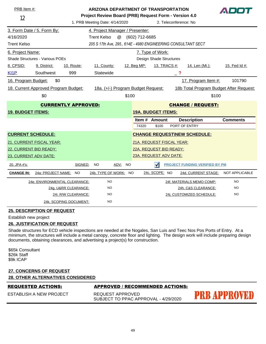| PRB Item #:<br>ARIZONA DEPARTMENT OF TRANSPORTATION<br>Project Review Board (PRB) Request Form - Version 4.0<br>12 |                                      |                               |                                                               |                           |                           |                           |                       |                                         |                       |
|--------------------------------------------------------------------------------------------------------------------|--------------------------------------|-------------------------------|---------------------------------------------------------------|---------------------------|---------------------------|---------------------------|-----------------------|-----------------------------------------|-----------------------|
| 1. PRB Meeting Date: 4/14/2020                                                                                     |                                      |                               |                                                               |                           |                           |                           | 2. Teleconference: No |                                         |                       |
|                                                                                                                    | 3. Form Date / 5. Form By:           |                               | 4. Project Manager / Presenter:                               |                           |                           |                           |                       |                                         |                       |
| 4/16/2020                                                                                                          |                                      |                               | <b>Trent Kelso</b>                                            | $^\text{\textregistered}$ | (602) 712-6685            |                           |                       |                                         |                       |
| <b>Trent Kelso</b>                                                                                                 |                                      |                               | 205 S 17th Ave, 295., 614E - 4980 ENGINEERING CONSULTANT SECT |                           |                           |                           |                       |                                         |                       |
| 6. Project Name:                                                                                                   |                                      |                               |                                                               |                           |                           | 7. Type of Work:          |                       |                                         |                       |
|                                                                                                                    | Shade Structures - Various POEs      |                               |                                                               |                           |                           | Design Shade Structures   |                       |                                         |                       |
| 8. CPSID:                                                                                                          | 9. District:                         | 10. Route:                    | 11. County:                                                   |                           | 12. Beg MP:               | 13. TRACS #:              |                       | 14. Len (Mi.):                          | 15. Fed Id #:         |
| $K$ 11 $P$                                                                                                         | Southwest                            | 999                           | Statewide                                                     |                           |                           |                           | $-$ ?                 |                                         |                       |
| 16. Program Budget:                                                                                                | \$0                                  |                               |                                                               |                           |                           |                           |                       | 17. Program Item #:                     | 101790                |
|                                                                                                                    | 18. Current Approved Program Budget: |                               | 18a. (+/-) Program Budget Request:                            |                           |                           |                           |                       | 18b Total Program Budget After Request: |                       |
|                                                                                                                    | \$0                                  |                               |                                                               | \$100                     |                           |                           |                       | \$100                                   |                       |
| <b>CURRENTLY APPROVED:</b>                                                                                         |                                      |                               |                                                               |                           |                           |                           |                       | <b>CHANGE / REQUEST:</b>                |                       |
| <b>19. BUDGET ITEMS:</b>                                                                                           |                                      |                               |                                                               |                           | <b>19A. BUDGET ITEMS:</b> |                           |                       |                                         |                       |
|                                                                                                                    |                                      |                               |                                                               |                           |                           | Item # Amount             |                       | <b>Description</b>                      | <b>Comments</b>       |
|                                                                                                                    |                                      |                               |                                                               |                           | 74320                     | \$100                     |                       | PORT OF ENTRY                           |                       |
| <b>CURRENT SCHEDULE:</b>                                                                                           |                                      |                               |                                                               |                           |                           |                           |                       | <b>CHANGE REQUESTINEW SCHEDULE:</b>     |                       |
|                                                                                                                    | 21. CURRENT FISCAL YEAR:             |                               |                                                               |                           |                           | 21A. REQUEST FISCAL YEAR: |                       |                                         |                       |
| 22. CURRENT BID READY:                                                                                             |                                      |                               |                                                               |                           | 22A. REQUEST BID READY:   |                           |                       |                                         |                       |
| 23. CURRENT ADV DATE:                                                                                              |                                      |                               |                                                               |                           |                           | 23A. REQUEST ADV DATE:    |                       |                                         |                       |
| 20. JPA #'s:                                                                                                       |                                      | SIGNED:                       | <b>NO</b>                                                     | ADV: NO                   |                           | $\sqrt{}$                 |                       | <b>PROJECT FUNDING VERIFIED BY PM</b>   |                       |
| <b>CHANGE IN:</b>                                                                                                  | 24a: PROJECT NAME:                   | NO.                           | 24b. TYPE OF WORK: NO                                         |                           |                           | 24c. SCOPE: NO            |                       | 24d. CURRENT STAGE:                     | <b>NOT APPLICABLE</b> |
|                                                                                                                    |                                      | 24e. ENVIRONMENTAL CLEARANCE: | NO.                                                           |                           |                           |                           |                       | 24f. MATERIALS MEMO COMP:               | <b>NO</b>             |
|                                                                                                                    |                                      | 24g. U&RR CLEARANCE:          | <b>NO</b>                                                     |                           |                           |                           |                       | 24h. C&S CLEARANCE:                     | <b>NO</b>             |
|                                                                                                                    |                                      | 24i. R/W CLEARANCE:           | <b>NO</b>                                                     |                           |                           |                           |                       | 24i. CUSTOMIZED SCHEDULE:               | <b>NO</b>             |
|                                                                                                                    |                                      | 24k. SCOPING DOCUMENT:        | <b>NO</b>                                                     |                           |                           |                           |                       |                                         |                       |

Establish new project

#### **26. JUSTIFICATION OF REQUEST**

Shade structures for ECD vehicle inspections are needed at the Nogales, San Luis and Teec Nos Pos Ports of Entry. At a minimum, the structures will include a metal canopy, concrete floor and lighting. The design work will include preparing design documents, obtaining clearances, and advertising a project(s) for construction.

\$65k Consultant \$26k Staff \$9k ICAP

#### **27. CONCERNS OF REQUEST**

# **28. OTHER ALTERNATIVES CONSIDERED**

#### REQUESTED ACTIONS: APPROVED / RECOMMENDED ACTIONS:

ESTABLISH A NEW PROJECT

REQUEST APPROVED SUBJECT TO PPAC APPROVAL - 4/29/2020

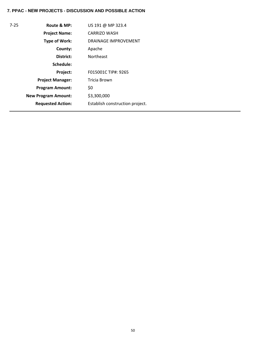| $7 - 25$ | Route & MP:                | US 191 @ MP 323.4               |
|----------|----------------------------|---------------------------------|
|          | <b>Project Name:</b>       | <b>CARRIZO WASH</b>             |
|          | Type of Work:              | <b>DRAINAGE IMPROVEMENT</b>     |
|          | County:                    | Apache                          |
|          | District:                  | <b>Northeast</b>                |
|          | Schedule:                  |                                 |
|          | Project:                   | F015001C TIP#: 9265             |
|          | <b>Project Manager:</b>    | Tricia Brown                    |
|          | <b>Program Amount:</b>     | \$0                             |
|          | <b>New Program Amount:</b> | \$3,300,000                     |
|          | <b>Requested Action:</b>   | Establish construction project. |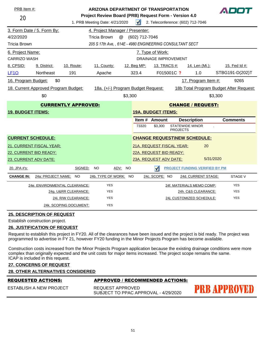| PRB Item #:                          |                                      |            |                        | <b>ARIZONA DEPARTMENT OF TRANSPORTATION</b><br>ADOT<br>Project Review Board (PRB) Request Form - Version 4.0 |                                    |            |                           |                             |                                   |                                                           |           |                 |                 |
|--------------------------------------|--------------------------------------|------------|------------------------|--------------------------------------------------------------------------------------------------------------|------------------------------------|------------|---------------------------|-----------------------------|-----------------------------------|-----------------------------------------------------------|-----------|-----------------|-----------------|
| 20<br>1. PRB Meeting Date: 4/21/2020 |                                      |            |                        |                                                                                                              |                                    | $\sqrt{ }$ |                           |                             | 2. Teleconference: (602) 712-7046 |                                                           |           |                 |                 |
|                                      | 3. Form Date / 5. Form By:           |            |                        |                                                                                                              | 4. Project Manager / Presenter:    |            |                           |                             |                                   |                                                           |           |                 |                 |
| 4/22/2020                            |                                      |            |                        | Tricia Brown                                                                                                 | $^{\textregistered}$               |            | (602) 712-7046            |                             |                                   |                                                           |           |                 |                 |
| <b>Tricia Brown</b>                  |                                      |            |                        |                                                                                                              |                                    |            |                           |                             |                                   | 205 S 17th Ave, , 614E - 4980 ENGINEERING CONSULTANT SECT |           |                 |                 |
| 6. Project Name:                     |                                      |            |                        |                                                                                                              |                                    |            |                           | 7. Type of Work:            |                                   |                                                           |           |                 |                 |
| <b>CARRIZO WASH</b>                  |                                      |            |                        |                                                                                                              |                                    |            |                           | <b>DRAINAGE IMPROVEMENT</b> |                                   |                                                           |           |                 |                 |
| 8. CPSID:                            | 9. District:                         | 10. Route: |                        |                                                                                                              | 11. County:                        |            | 12. Beg MP:               |                             | 13. TRACS #:                      | 14. Len (Mi.):                                            |           |                 | 15. Fed Id #:   |
| LF <sub>10</sub>                     | Northeast                            | 191        |                        |                                                                                                              | Apache                             |            | 323.4                     |                             | F015001C ?                        | 1.0                                                       |           |                 | STBG191-D(202)T |
| 16. Program Budget:                  | \$0                                  |            |                        |                                                                                                              |                                    |            |                           |                             |                                   | 17. Program Item #:                                       |           |                 | 9265            |
|                                      | 18. Current Approved Program Budget: |            |                        |                                                                                                              | 18a. (+/-) Program Budget Request: |            |                           |                             |                                   | 18b Total Program Budget After Request:                   |           |                 |                 |
|                                      | \$0                                  |            |                        |                                                                                                              |                                    | \$3,300    |                           |                             |                                   |                                                           | \$3,300   |                 |                 |
| <b>CURRENTLY APPROVED:</b>           |                                      |            |                        | <b>CHANGE / REQUEST:</b>                                                                                     |                                    |            |                           |                             |                                   |                                                           |           |                 |                 |
| <b>19. BUDGET ITEMS:</b>             |                                      |            |                        |                                                                                                              |                                    |            | <b>19A. BUDGET ITEMS:</b> |                             |                                   |                                                           |           |                 |                 |
|                                      |                                      |            |                        |                                                                                                              |                                    |            | Item # Amount             |                             |                                   | <b>Description</b>                                        |           | <b>Comments</b> |                 |
|                                      |                                      |            |                        |                                                                                                              |                                    |            | 73320                     | \$3.300                     |                                   | <b>STATEWIDE MINOR</b><br><b>PROJECTS</b>                 |           |                 |                 |
| <b>CURRENT SCHEDULE:</b>             |                                      |            |                        |                                                                                                              |                                    |            |                           |                             |                                   | <b>CHANGE REQUEST\NEW SCHEDULE:</b>                       |           |                 |                 |
|                                      | 21. CURRENT FISCAL YEAR:             |            |                        |                                                                                                              |                                    |            | 21A. REQUEST FISCAL YEAR: |                             |                                   |                                                           | 20        |                 |                 |
|                                      | 22. CURRENT BID READY:               |            |                        |                                                                                                              |                                    |            | 22A. REQUEST BID READY:   |                             |                                   |                                                           |           |                 |                 |
| 23. CURRENT ADV DATE:                |                                      |            |                        |                                                                                                              |                                    |            | 23A. REQUEST ADV DATE:    |                             |                                   |                                                           | 5/31/2020 |                 |                 |
| 20. JPA #'s:                         |                                      |            | SIGNED:                | <b>NO</b>                                                                                                    | ADV:                               | <b>NO</b>  |                           | $\sqrt{ }$                  |                                   | <b>PROJECT FUNDING VERIFIED BY PM</b>                     |           |                 |                 |
| <b>CHANGE IN:</b>                    | 24a: PROJECT NAME:                   |            | <b>NO</b>              |                                                                                                              | 24b. TYPE OF WORK: NO              |            |                           | 24c. SCOPE: NO              |                                   | 24d. CURRENT STAGE:                                       |           |                 | <b>STAGE V</b>  |
|                                      | 24e. ENVIRONMENTAL CLEARANCE:        |            |                        |                                                                                                              | <b>YES</b>                         |            |                           |                             |                                   | 24f. MATERIALS MEMO COMP:                                 |           |                 | <b>YES</b>      |
|                                      |                                      |            | 24g. U&RR CLEARANCE:   |                                                                                                              | <b>YES</b>                         |            |                           |                             |                                   | 24h. C&S CLEARANCE:                                       |           |                 | <b>YES</b>      |
|                                      |                                      |            | 24i. R/W CLEARANCE:    |                                                                                                              | <b>YES</b>                         |            |                           |                             |                                   | 24i. CUSTOMIZED SCHEDULE:                                 |           |                 | <b>YES</b>      |
|                                      |                                      |            | 24k. SCOPING DOCUMENT: |                                                                                                              | <b>YES</b>                         |            |                           |                             |                                   |                                                           |           |                 |                 |

Establish construction project.

#### **26. JUSTIFICATION OF REQUEST**

Request to establish this project in FY20. All of the clearances have been issued and the project is bid ready. The project was programmed to advertise in FY 21, however FY20 funding in the Minor Projects Program has become available.

Construction costs increased from the Minor Projects Program application because the existing drainage conditions were more complex than originally expected and the unit costs for major items increased. The project scope remains the same. ICAP is included in this request.

# **27. CONCERNS OF REQUEST**

**28. OTHER ALTERNATIVES CONSIDERED**

| <b>REQUESTED ACTIONS:</b> | APPROVED / RECOMMENDED ACTIONS:                          |                     |
|---------------------------|----------------------------------------------------------|---------------------|
| ESTABLISH A NEW PROJECT   | REQUEST APPROVED<br>SUBJECT TO PPAC APPROVAL - 4/29/2020 | <b>PRB APPROVED</b> |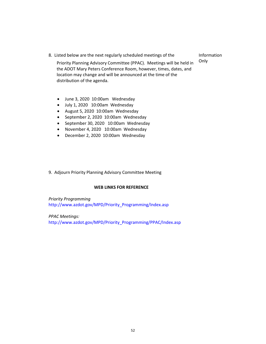8. Listed below are the next regularly scheduled meetings of the

Information Only

Priority Planning Advisory Committee (PPAC). Meetings will be held in the ADOT Mary Peters Conference Room, however, times, dates, and location may change and will be announced at the time of the distribution of the agenda.

- June 3, 2020 10:00am Wednesday
- July 1, 2020 10:00am Wednesday
- August 5, 2020 10:00am Wednesday
- September 2, 2020 10:00am Wednesday
- September 30, 2020 10:00am Wednesday
- November 4, 2020 10:00am Wednesday
- December 2, 2020 10:00am Wednesday
- 9. Adjourn Priority Planning Advisory Committee Meeting

### **[WEB LINKS FOR REFERENCE](http://www.azdot.gov/MPD/Priority_Programming/Index.asp)**

*Priority Programming*  [http://www.azdot.gov/MPD/Priority\\_Programming/Index.asp](http://www.azdot.gov/MPD/Priority_Programming/PPAC/Index.asp)

*PPAC Meetings:*  http://www.azdot.gov/MPD/Priority\_Programming/PPAC/Index.asp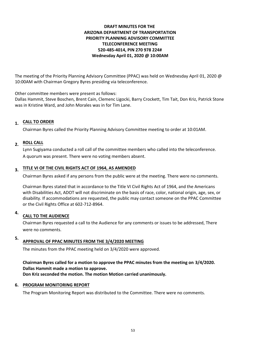# **DRAFT MINUTES FOR THE ARIZONA DEPARTMENT OF TRANSPORTATION PRIORITY PLANNING ADVISORY COMMITTEE TELECONFERENCE MEETING 520-485-4014, PIN 270 978 224# Wednesday April 01, 2020 @ 10:00AM**

The meeting of the Priority Planning Advisory Committee (PPAC) was held on Wednesday April 01, 2020 @ 10:00AM with Chairman Gregory Byres presiding via teleconference.

Other committee members were present as follows:

Dallas Hammit, Steve Boschen, Brent Cain, Clemenc Ligocki, Barry Crockett, Tim Tait, Don Kriz, Patrick Stone was in Kristine Ward, and John Morales was in for Tim Lane.

# **CALL TO ORDER 1.**

Chairman Byres called the Priority Planning Advisory Committee meeting to order at 10:01AM.

# **ROLL CALL 2.**

Lynn Sugiyama conducted a roll call of the committee members who called into the teleconference. A quorum was present. There were no voting members absent.

# **TITLE VI OF THE CIVIL RIGHTS ACT OF 1964, AS AMENDED 3.**

Chairman Byres asked if any persons from the public were at the meeting. There were no comments.

Chairman Byres stated that in accordance to the Title VI Civil Rights Act of 1964, and the Americans with Disabilities Act, ADOT will not discriminate on the basis of race, color, national origin, age, sex, or disability. If accommodations are requested, the public may contact someone on the PPAC Committee or the Civil Rights Office at 602-712-8964.

#### **CALL TO THE AUDIENCE 4.**

Chairman Byres requested a call to the Audience for any comments or issues to be addressed, There were no comments.

#### **APPROVAL OF PPAC MINUTES FROM THE 3/4/2020 MEETING 5.**

The minutes from the PPAC meeting held on 3/4/2020 were approved.

# **Chairman Byres called for a motion to approve the PPAC minutes from the meeting on 3/4/2020. Dallas Hammit made a motion to approve. Don Kriz seconded the motion. The motion Motion carried unanimously.**

### **6. PROGRAM MONITORING REPORT**

The Program Monitoring Report was distributed to the Committee. There were no comments.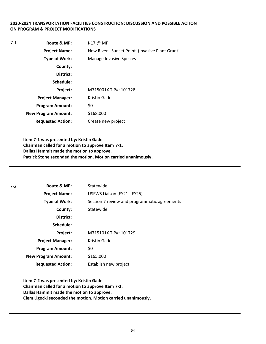# **2020-2024 TRANSPORTATION FACILITIES CONSTRUCTION: DISCUSSION AND POSSIBLE ACTION ON PROGRAM & PROJECT MODIFICATIONS**

| 7-1 | Route & MP:                | $1-17$ @ MP                                     |
|-----|----------------------------|-------------------------------------------------|
|     | <b>Project Name:</b>       | New River - Sunset Point (Invasive Plant Grant) |
|     | <b>Type of Work:</b>       | <b>Manage Invasive Species</b>                  |
|     | County:                    |                                                 |
|     | District:                  |                                                 |
|     | Schedule:                  |                                                 |
|     | Project:                   | M715001X TIP#: 101728                           |
|     | <b>Project Manager:</b>    | Kristin Gade                                    |
|     | <b>Program Amount:</b>     | \$0                                             |
|     | <b>New Program Amount:</b> | \$168,000                                       |
|     | <b>Requested Action:</b>   | Create new project                              |

**Item 7-1 was presented by: Kristin Gade Chairman called for a motion to approve Item 7-1. Dallas Hammit made the motion to approve. Patrick Stone seconded the motion. Motion carried unanimously.**

| $7 - 2$              | Route & MP:                | Statewide                                    |
|----------------------|----------------------------|----------------------------------------------|
|                      | <b>Project Name:</b>       | USFWS Liaison (FY21 - FY25)                  |
| <b>Type of Work:</b> |                            | Section 7 review and programmatic agreements |
|                      | County:                    | Statewide                                    |
|                      | District:                  |                                              |
|                      | Schedule:                  |                                              |
|                      | Project:                   | M715101X TIP#: 101729                        |
|                      | <b>Project Manager:</b>    | Kristin Gade                                 |
|                      | <b>Program Amount:</b>     | \$0                                          |
|                      | <b>New Program Amount:</b> | \$165,000                                    |
|                      | <b>Requested Action:</b>   | Establish new project                        |

**Item 7-2 was presented by: Kristin Gade Chairman called for a motion to approve Item 7-2. Dallas Hammit made the motion to approve. Clem Ligocki seconded the motion. Motion carried unanimously.**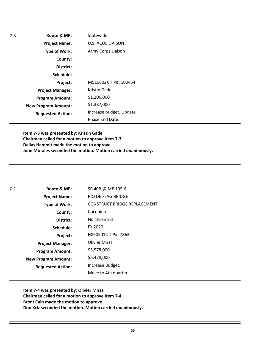| $7-3$ | Route & MP:                | Statewide                |
|-------|----------------------------|--------------------------|
|       | <b>Project Name:</b>       | <b>U.S. ACOE LIAISON</b> |
|       | <b>Type of Work:</b>       | Army Corps Liaison       |
|       | County:                    |                          |
|       | District:                  |                          |
|       | Schedule:                  |                          |
|       | Project:                   | M510602X TIP#: 100454    |
|       | <b>Project Manager:</b>    | Kristin Gade             |
|       | <b>Program Amount:</b>     | \$1,206,000              |
|       | <b>New Program Amount:</b> | \$1,387,000              |
|       | <b>Requested Action:</b>   | Increase budget. Update  |
|       |                            | Phase End Date.          |

**Item 7-3 was presented by: Kristin Gade Chairman called for a motion to approve Item 7-3. Dallas Hammit made the motion to approve. John Morales seconded the motion. Motion carried unanimously.**

| 7-4 | Route & MP:                | SB 40B @ MP 195.6            |
|-----|----------------------------|------------------------------|
|     | <b>Project Name:</b>       | RIO DE FLAG BRIDGE           |
|     | Type of Work:              | CONSTRUCT BRIDGE REPLACEMENT |
|     | County:                    | Coconino                     |
|     | District:                  | Northcentral                 |
|     | Schedule:                  | FY 2020                      |
|     | Project:                   | H890501C TIP#: 7863          |
|     | <b>Project Manager:</b>    | Olivier Mirza                |
|     | <b>Program Amount:</b>     | \$5,578,000                  |
|     | <b>New Program Amount:</b> | \$6,478,000                  |
|     | <b>Requested Action:</b>   | Increase Budget.             |
|     |                            | Move to 4th quarter.         |

**Item 7-4 was presented by: Olivier Mirza Chairman called for a motion to approve Item 7-4. Brent Cain made the motion to approve. Don Kriz seconded the motion. Motion carried unanimously.**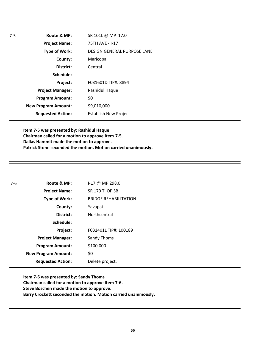| $7-5$ | Route & MP:                | SR 101L @ MP 17.0            |
|-------|----------------------------|------------------------------|
|       | <b>Project Name:</b>       | 75TH AVE - I-17              |
|       | <b>Type of Work:</b>       | DESIGN GENERAL PURPOSE LANE  |
|       | County:                    | Maricopa                     |
|       | District:                  | Central                      |
|       | Schedule:                  |                              |
|       | Project:                   | F031601D TIP#: 8894          |
|       | <b>Project Manager:</b>    | Rashidul Haque               |
|       | <b>Program Amount:</b>     | \$0                          |
|       | <b>New Program Amount:</b> | \$9,010,000                  |
|       | <b>Requested Action:</b>   | <b>Establish New Project</b> |

**Item 7-5 was presented by: Rashidul Haque Chairman called for a motion to approve Item 7-5. Dallas Hammit made the motion to approve. Patrick Stone seconded the motion. Motion carried unanimously.**

| 7-6 | Route & MP:                | I-17 @ MP 298.0              |
|-----|----------------------------|------------------------------|
|     | <b>Project Name:</b>       | <b>SR 179 TI OP SB</b>       |
|     | Type of Work:              | <b>BRIDGE REHABILITATION</b> |
|     | County:                    | Yavapai                      |
|     | District:                  | Northcentral                 |
|     | Schedule:                  |                              |
|     | Project:                   | F031401L TIP#: 100189        |
|     | <b>Project Manager:</b>    | <b>Sandy Thoms</b>           |
|     | <b>Program Amount:</b>     | \$100,000                    |
|     | <b>New Program Amount:</b> | \$0                          |
|     | <b>Requested Action:</b>   | Delete project.              |

**Item 7-6 was presented by: Sandy Thoms Chairman called for a motion to approve Item 7-6. Steve Boschen made the motion to approve. Barry Crockett seconded the motion. Motion carried unanimously.**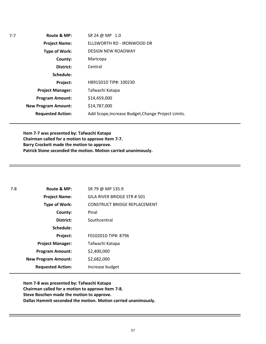**Route & MP: County: District: Schedule: Project Name: Type of Work: Project Manager: Project: Requested Action: New Program Amount: Program Amount:** SR 24 @ MP 1.0 ELLSWORTH RD - IRONWOOD DR DESIGN NEW ROADWAY Maricopa Central H891501D TIP#: 100230 Tafwachi Katapa \$14,459,000 \$14,787,000 Add Scope,Increase Budget,Change Project Limits.

7-7

**Item 7-7 was presented by: Tafwachi Katapa Chairman called for a motion to approve Item 7-7. Barry Crockett made the motion to approve. Patrick Stone seconded the motion. Motion carried unanimously.** 

| 7-8 | Route & MP:                | SR 79 @ MP 135.9                    |
|-----|----------------------------|-------------------------------------|
|     | <b>Project Name:</b>       | GILA RIVER BRIDGE STR # 501         |
|     | <b>Type of Work:</b>       | <b>CONSTRUCT BRIDGE REPLACEMENT</b> |
|     | County:                    | Pinal                               |
|     | District:                  | Southcentral                        |
|     | Schedule:                  |                                     |
|     | Project:                   | F010201D TIP#: 8796                 |
|     | <b>Project Manager:</b>    | Tafwachi Katapa                     |
|     | <b>Program Amount:</b>     | \$2,400,000                         |
|     | <b>New Program Amount:</b> | \$2,682,000                         |
|     | <b>Requested Action:</b>   | Increase budget                     |

**Item 7-8 was presented by: Tafwachi Katapa Chairman called for a motion to approve Item 7-8. Steve Boschen made the motion to approve. Dallas Hammit seconded the motion. Motion carried unanimously.**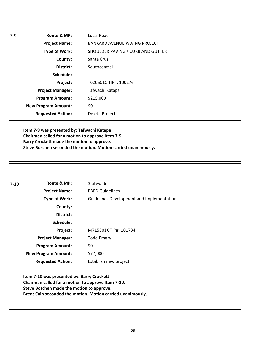| $7-9$ | Route & MP:                | Local Road                           |
|-------|----------------------------|--------------------------------------|
|       | <b>Project Name:</b>       | <b>BANKARD AVENUE PAVING PROJECT</b> |
|       | <b>Type of Work:</b>       | SHOULDER PAVING / CURB AND GUTTER    |
|       | County:                    | Santa Cruz                           |
|       | District:                  | Southcentral                         |
|       | Schedule:                  |                                      |
|       | Project:                   | T020501C TIP#: 100276                |
|       | <b>Project Manager:</b>    | Tafwachi Katapa                      |
|       | <b>Program Amount:</b>     | \$215,000                            |
|       | <b>New Program Amount:</b> | \$0                                  |
|       | <b>Requested Action:</b>   | Delete Project.                      |

**Item 7-9 was presented by: Tafwachi Katapa Chairman called for a motion to approve Item 7-9. Barry Crockett made the motion to approve. Steve Boschen seconded the motion. Motion carried unanimously.**

| $7-10$ | Route & MP:                | Statewide                                 |
|--------|----------------------------|-------------------------------------------|
|        | <b>Project Name:</b>       | <b>PBPD Guidelines</b>                    |
|        | <b>Type of Work:</b>       | Guidelines Development and Implementation |
|        | County:                    |                                           |
|        | District:                  |                                           |
|        | Schedule:                  |                                           |
|        | Project:                   | M715301X TIP#: 101734                     |
|        | <b>Project Manager:</b>    | <b>Todd Emery</b>                         |
|        | <b>Program Amount:</b>     | \$0                                       |
|        | <b>New Program Amount:</b> | \$77,000                                  |
|        | <b>Requested Action:</b>   | Establish new project                     |

**Item 7-10 was presented by: Barry Crockett Chairman called for a motion to approve Item 7-10. Steve Boschen made the motion to approve. Brent Cain seconded the motion. Motion carried unanimously.**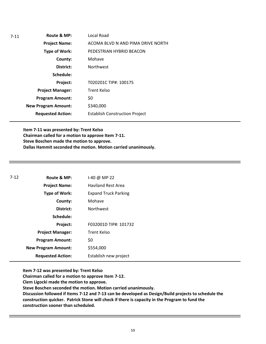| $7 - 11$ | Route & MP:                | Local Road                            |
|----------|----------------------------|---------------------------------------|
|          | <b>Project Name:</b>       | ACOMA BLVD N AND PIMA DRIVE NORTH     |
|          | <b>Type of Work:</b>       | PEDESTRIAN HYBRID BEACON              |
|          | County:                    | Mohave                                |
|          | District:                  | <b>Northwest</b>                      |
|          | Schedule:                  |                                       |
|          | Project:                   | T020201C TIP#: 100175                 |
|          | <b>Project Manager:</b>    | <b>Trent Kelso</b>                    |
|          | <b>Program Amount:</b>     | \$0                                   |
|          | <b>New Program Amount:</b> | \$340,000                             |
|          | <b>Requested Action:</b>   | <b>Establish Construction Project</b> |

**Item 7-11 was presented by: Trent Kelso Chairman called for a motion to approve Item 7-11. Steve Boschen made the motion to approve. Dallas Hammit seconded the motion. Motion carried unanimously.** 

| 7-12 | Route & MP:                | 1-40 @ MP 22                |
|------|----------------------------|-----------------------------|
|      | <b>Project Name:</b>       | <b>Haviland Rest Area</b>   |
|      | <b>Type of Work:</b>       | <b>Expand Truck Parking</b> |
|      | County:                    | Mohave                      |
|      | District:                  | <b>Northwest</b>            |
|      | Schedule:                  |                             |
|      | Project:                   | F032001D TIP#: 101732       |
|      | <b>Project Manager:</b>    | Trent Kelso                 |
|      | <b>Program Amount:</b>     | \$0                         |
|      | <b>New Program Amount:</b> | \$554,000                   |
|      | <b>Requested Action:</b>   | Establish new project       |

**Item 7-12 was presented by: Trent Kelso**

**Chairman called for a motion to approve Item 7-12.**

**Clem Ligocki made the motion to approve.**

**Steve Boschen seconded the motion. Motion carried unanimously.** 

**Discussion followed if Items 7-12 and 7-13 can be developed as Design/Build projects to schedule the construction quicker. Patrick Stone will check if there is capacity in the Program to fund the construction sooner than scheduled.**